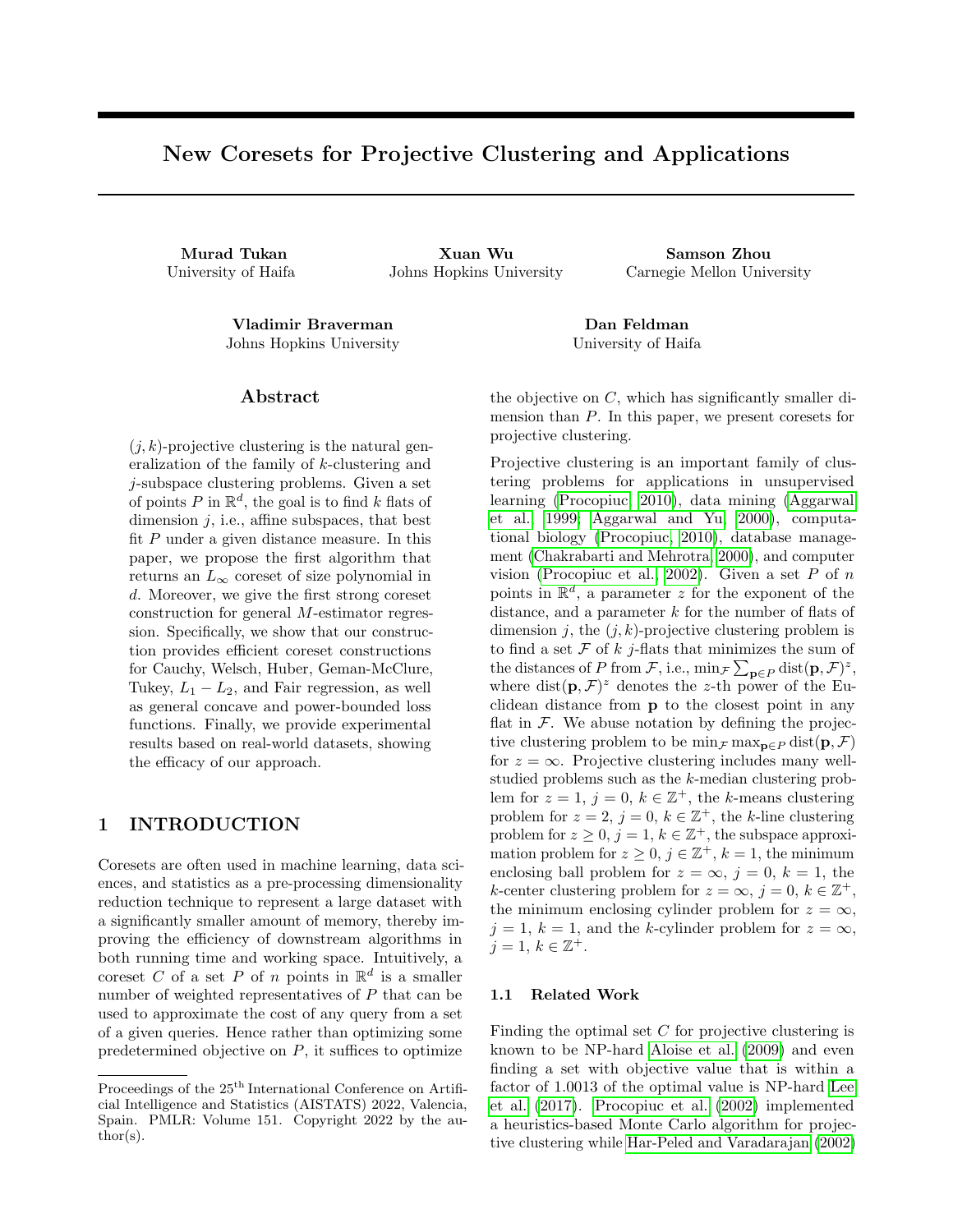# New Coresets for Projective Clustering and Applications

Murad Tukan Xuan Wu Samson Zhou

University of Haifa Johns Hopkins University Carnegie Mellon University

Vladimir Braverman Dan Feldman Johns Hopkins University University of Haifa

## Abstract

 $(j, k)$ -projective clustering is the natural generalization of the family of k-clustering and j-subspace clustering problems. Given a set of points P in  $\mathbb{R}^d$ , the goal is to find k flats of dimension  $j$ , i.e., affine subspaces, that best fit  $P$  under a given distance measure. In this paper, we propose the first algorithm that returns an  $L_{\infty}$  coreset of size polynomial in d. Moreover, we give the first strong coreset construction for general M-estimator regression. Specifically, we show that our construction provides efficient coreset constructions for Cauchy, Welsch, Huber, Geman-McClure, Tukey,  $L_1 - L_2$ , and Fair regression, as well as general concave and power-bounded loss functions. Finally, we provide experimental results based on real-world datasets, showing the efficacy of our approach.

# 1 INTRODUCTION

Coresets are often used in machine learning, data sciences, and statistics as a pre-processing dimensionality reduction technique to represent a large dataset with a significantly smaller amount of memory, thereby improving the efficiency of downstream algorithms in both running time and working space. Intuitively, a coreset C of a set P of n points in  $\mathbb{R}^d$  is a smaller number of weighted representatives of  $P$  that can be used to approximate the cost of any query from a set of a given queries. Hence rather than optimizing some predetermined objective on  $P$ , it suffices to optimize

the objective on  $C$ , which has significantly smaller dimension than  $P$ . In this paper, we present coresets for projective clustering.

Projective clustering is an important family of clustering problems for applications in unsupervised learning [\(Procopiuc, 2010\)](#page-10-0), data mining [\(Aggarwal](#page-9-0) [et al., 1999;](#page-9-0) [Aggarwal and Yu, 2000\)](#page-9-1), computational biology [\(Procopiuc, 2010\)](#page-10-0), database management [\(Chakrabarti and Mehrotra, 2000\)](#page-9-2), and computer vision [\(Procopiuc et al., 2002\)](#page-10-1). Given a set  $P$  of  $n$ points in  $\mathbb{R}^d$ , a parameter z for the exponent of the distance, and a parameter  $k$  for the number of flats of dimension j, the  $(j, k)$ -projective clustering problem is to find a set  $\mathcal F$  of  $k$  j-flats that minimizes the sum of the distances of P from F, i.e.,  $\min_{\mathcal{F}} \sum_{\mathbf{p} \in P} \text{dist}(\mathbf{p}, \mathcal{F})^z$ , where  $dist(\mathbf{p}, \mathcal{F})^z$  denotes the z-th power of the Euclidean distance from p to the closest point in any flat in  $\mathcal F$ . We abuse notation by defining the projective clustering problem to be  $\min_{\mathcal{F}} \max_{\mathbf{p} \in \mathcal{P}} \text{dist}(\mathbf{p}, \mathcal{F})$ for  $z = \infty$ . Projective clustering includes many wellstudied problems such as the k-median clustering problem for  $z = 1$ ,  $j = 0$ ,  $k \in \mathbb{Z}^+$ , the k-means clustering problem for  $z = 2$ ,  $j = 0$ ,  $k \in \mathbb{Z}^+$ , the k-line clustering problem for  $z \geq 0$ ,  $j = 1$ ,  $k \in \mathbb{Z}^+$ , the subspace approximation problem for  $z \geq 0$ ,  $j \in \mathbb{Z}^+$ ,  $k = 1$ , the minimum enclosing ball problem for  $z = \infty$ ,  $j = 0$ ,  $k = 1$ , the k-center clustering problem for  $z = \infty$ ,  $j = 0$ ,  $k \in \mathbb{Z}^+$ , the minimum enclosing cylinder problem for  $z = \infty$ ,  $j = 1, k = 1$ , and the k-cylinder problem for  $z = \infty$ ,  $j = 1, k \in \mathbb{Z}^+.$ 

## 1.1 Related Work

Finding the optimal set  $C$  for projective clustering is known to be NP-hard [Aloise et al.](#page-9-3) [\(2009\)](#page-9-3) and even finding a set with objective value that is within a factor of 1.0013 of the optimal value is NP-hard [Lee](#page-10-2) [et al.](#page-10-2) [\(2017\)](#page-10-2). [Procopiuc et al.](#page-10-1) [\(2002\)](#page-10-1) implemented a heuristics-based Monte Carlo algorithm for projective clustering while [Har-Peled and Varadarajan](#page-10-3) [\(2002\)](#page-10-3)

Proceedings of the  $25^{\text{th}}$  International Conference on Artificial Intelligence and Statistics (AISTATS) 2022, Valencia, Spain. PMLR: Volume 151. Copyright 2022 by the au- $\text{thor}(s)$ .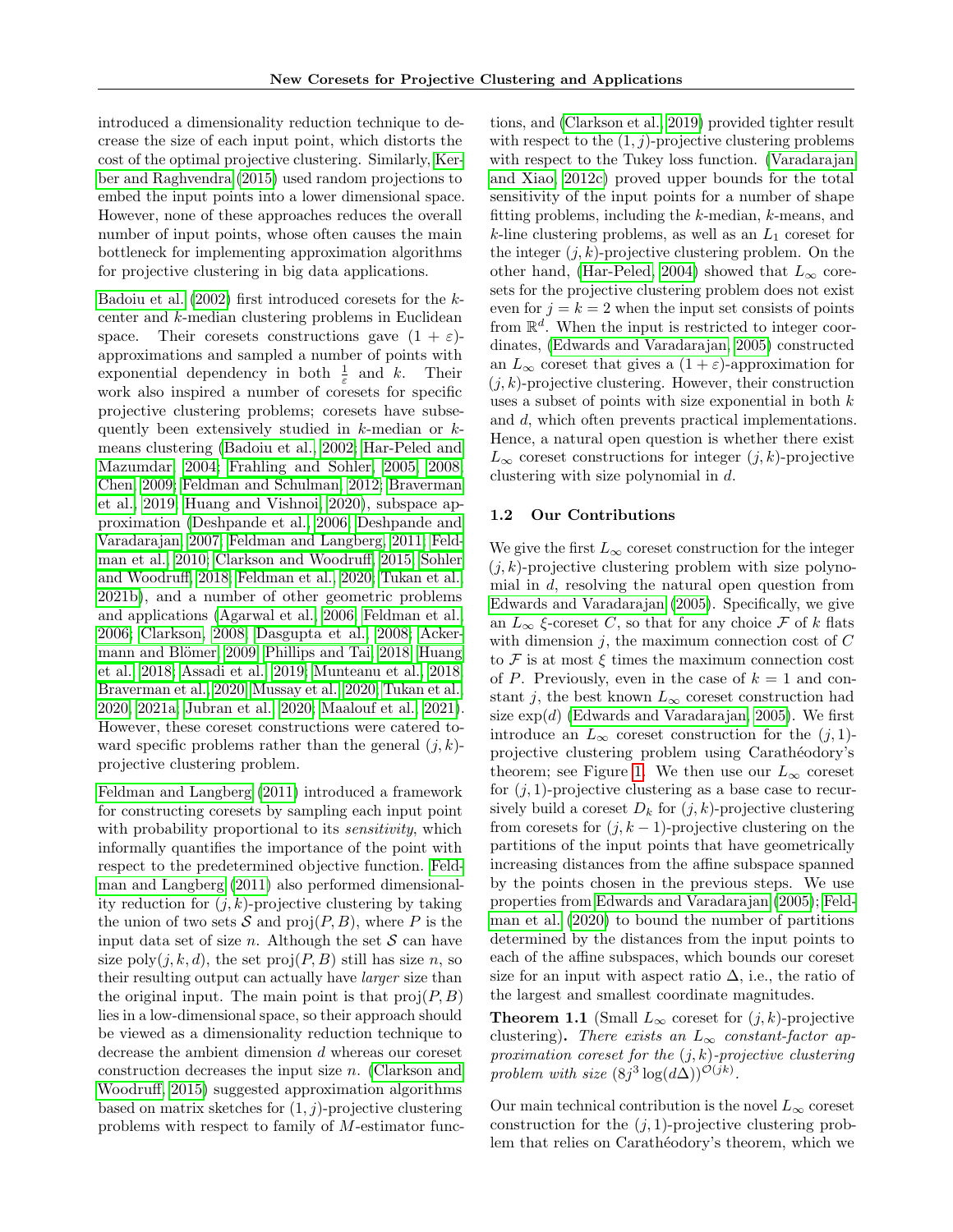introduced a dimensionality reduction technique to decrease the size of each input point, which distorts the cost of the optimal projective clustering. Similarly, [Ker](#page-10-4)[ber and Raghvendra](#page-10-4) [\(2015\)](#page-10-4) used random projections to embed the input points into a lower dimensional space. However, none of these approaches reduces the overall number of input points, whose often causes the main bottleneck for implementing approximation algorithms for projective clustering in big data applications.

[Badoiu et al.](#page-9-4) [\(2002\)](#page-9-4) first introduced coresets for the kcenter and k-median clustering problems in Euclidean space. Their coresets constructions gave  $(1 + \varepsilon)$ approximations and sampled a number of points with exponential dependency in both  $\frac{1}{\varepsilon}$  and k. Their work also inspired a number of coresets for specific projective clustering problems; coresets have subsequently been extensively studied in  $k$ -median or  $k$ means clustering [\(Badoiu et al., 2002;](#page-9-4) [Har-Peled and](#page-10-5) [Mazumdar, 2004;](#page-10-5) [Frahling and Sohler, 2005,](#page-10-6) [2008;](#page-10-7) [Chen, 2009;](#page-9-5) [Feldman and Schulman, 2012;](#page-10-8) [Braverman](#page-9-6) [et al., 2019;](#page-9-6) [Huang and Vishnoi, 2020\)](#page-10-9), subspace approximation [\(Deshpande et al., 2006;](#page-9-7) [Deshpande and](#page-9-8) [Varadarajan, 2007;](#page-9-8) [Feldman and Langberg, 2011;](#page-10-10) [Feld](#page-10-11)[man et al., 2010;](#page-10-11) [Clarkson and Woodruff, 2015;](#page-9-9) [Sohler](#page-10-12) [and Woodruff, 2018;](#page-10-12) [Feldman et al., 2020;](#page-10-13) [Tukan et al.,](#page-11-0) [2021b\)](#page-11-0), and a number of other geometric problems and applications [\(Agarwal et al., 2006;](#page-9-10) [Feldman et al.,](#page-10-14) [2006;](#page-10-14) [Clarkson, 2008;](#page-9-11) [Dasgupta et al., 2008;](#page-9-12) [Acker-](#page-9-13)mann and Blömer, 2009; [Phillips and Tai, 2018;](#page-10-15) [Huang](#page-10-16) [et al., 2018;](#page-10-16) [Assadi et al., 2019;](#page-9-14) [Munteanu et al., 2018;](#page-10-17) [Braverman et al., 2020;](#page-9-15) [Mussay et al., 2020;](#page-10-18) [Tukan et al.,](#page-11-1) [2020,](#page-11-1) [2021a;](#page-11-2) [Jubran et al., 2020;](#page-10-19) [Maalouf et al., 2021\)](#page-10-20). However, these coreset constructions were catered toward specific problems rather than the general  $(j, k)$ projective clustering problem.

[Feldman and Langberg](#page-10-10) [\(2011\)](#page-10-10) introduced a framework for constructing coresets by sampling each input point with probability proportional to its *sensitivity*, which informally quantifies the importance of the point with respect to the predetermined objective function. [Feld](#page-10-10)[man and Langberg](#page-10-10) [\(2011\)](#page-10-10) also performed dimensionality reduction for  $(j, k)$ -projective clustering by taking the union of two sets  $S$  and  $proj(P, B)$ , where P is the input data set of size n. Although the set  $S$  can have size  $\text{poly}(j, k, d)$ , the set  $\text{proj}(P, B)$  still has size n, so their resulting output can actually have larger size than the original input. The main point is that  $proj(P, B)$ lies in a low-dimensional space, so their approach should be viewed as a dimensionality reduction technique to decrease the ambient dimension d whereas our coreset construction decreases the input size n. [\(Clarkson and](#page-9-9) [Woodruff, 2015\)](#page-9-9) suggested approximation algorithms based on matrix sketches for  $(1, j)$ -projective clustering problems with respect to family of M-estimator functions, and [\(Clarkson et al., 2019\)](#page-9-16) provided tighter result with respect to the  $(1, j)$ -projective clustering problems with respect to the Tukey loss function. [\(Varadarajan](#page-11-3) [and Xiao, 2012c\)](#page-11-3) proved upper bounds for the total sensitivity of the input points for a number of shape fitting problems, including the k-median, k-means, and  $k$ -line clustering problems, as well as an  $L_1$  coreset for the integer  $(j, k)$ -projective clustering problem. On the other hand, [\(Har-Peled, 2004\)](#page-10-21) showed that  $L_{\infty}$  coresets for the projective clustering problem does not exist even for  $j = k = 2$  when the input set consists of points from  $\mathbb{R}^d$ . When the input is restricted to integer coordinates, [\(Edwards and Varadarajan, 2005\)](#page-9-17) constructed an  $L_{\infty}$  coreset that gives a  $(1 + \varepsilon)$ -approximation for  $(j, k)$ -projective clustering. However, their construction uses a subset of points with size exponential in both  $k$ and d, which often prevents practical implementations. Hence, a natural open question is whether there exist  $L_{\infty}$  coreset constructions for integer  $(j, k)$ -projective clustering with size polynomial in d.

## 1.2 Our Contributions

We give the first  $L_{\infty}$  coreset construction for the integer  $(j, k)$ -projective clustering problem with size polynomial in d, resolving the natural open question from [Edwards and Varadarajan](#page-9-17) [\(2005\)](#page-9-17). Specifically, we give an  $L_{\infty}$  ξ-coreset C, so that for any choice F of k flats with dimension  $j$ , the maximum connection cost of  $C$ to  $\mathcal F$  is at most  $\xi$  times the maximum connection cost of P. Previously, even in the case of  $k = 1$  and constant j, the best known  $L_{\infty}$  coreset construction had size  $\exp(d)$  [\(Edwards and Varadarajan, 2005\)](#page-9-17). We first introduce an  $L_{\infty}$  coreset construction for the  $(j, 1)$ projective clustering problem using Carathéodory's theorem; see Figure [1.](#page-3-0) We then use our  $L_{\infty}$  coreset for  $(j, 1)$ -projective clustering as a base case to recursively build a coreset  $D_k$  for  $(j, k)$ -projective clustering from coresets for  $(j, k - 1)$ -projective clustering on the partitions of the input points that have geometrically increasing distances from the affine subspace spanned by the points chosen in the previous steps. We use properties from [Edwards and Varadarajan](#page-9-17) [\(2005\)](#page-9-17); [Feld](#page-10-13)[man et al.](#page-10-13) [\(2020\)](#page-10-13) to bound the number of partitions determined by the distances from the input points to each of the affine subspaces, which bounds our coreset size for an input with aspect ratio  $\Delta$ , i.e., the ratio of the largest and smallest coordinate magnitudes.

<span id="page-1-0"></span>**Theorem 1.1** (Small  $L_{\infty}$  coreset for  $(j, k)$ -projective clustering). There exists an  $L_{\infty}$  constant-factor approximation coreset for the  $(i, k)$ -projective clustering problem with size  $(8j^3 \log(d\Delta))^{\mathcal{O}(jk)}$ .

Our main technical contribution is the novel  $L_{\infty}$  coreset construction for the  $(j, 1)$ -projective clustering problem that relies on Carathéodory's theorem, which we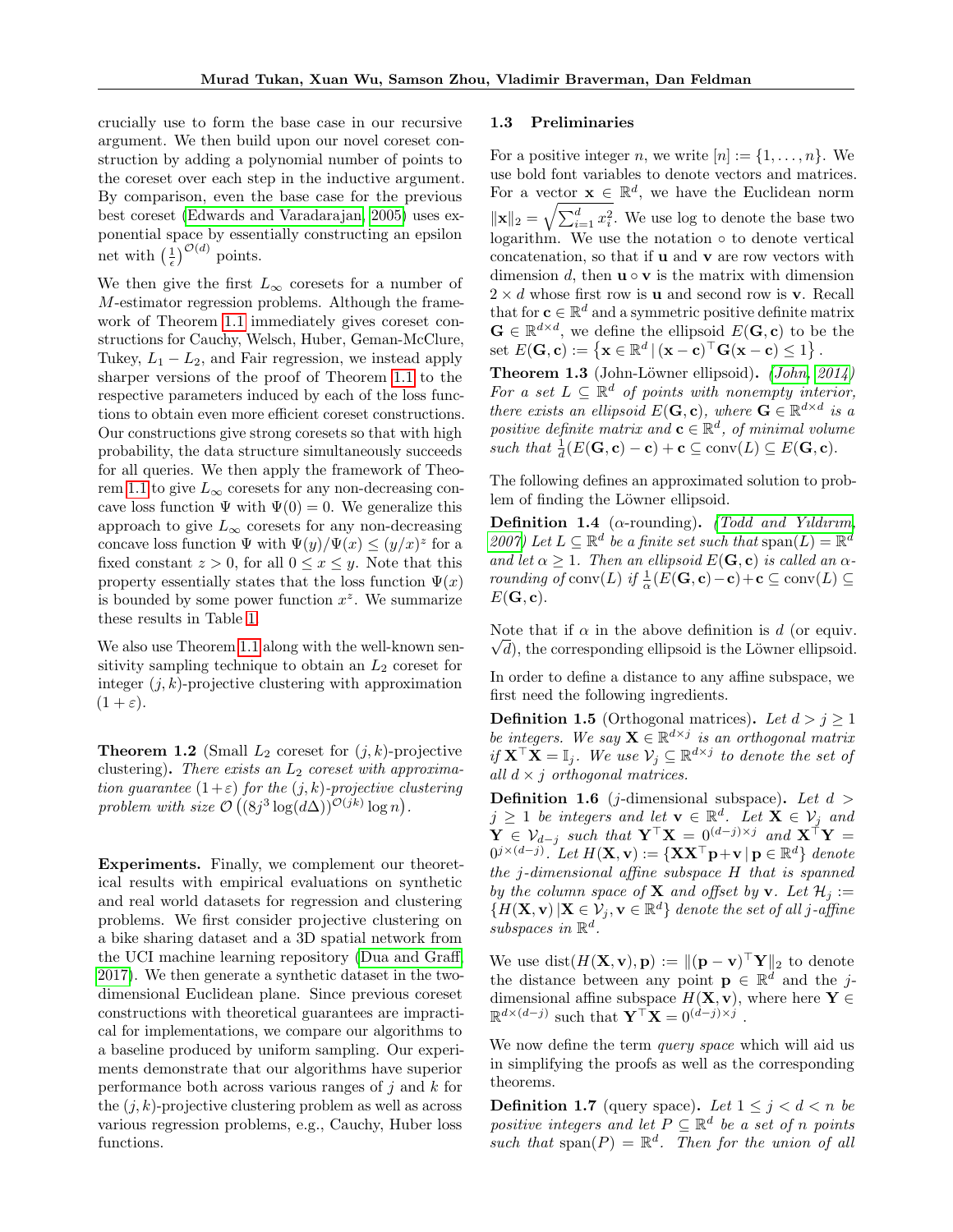crucially use to form the base case in our recursive argument. We then build upon our novel coreset construction by adding a polynomial number of points to the coreset over each step in the inductive argument. By comparison, even the base case for the previous best coreset [\(Edwards and Varadarajan, 2005\)](#page-9-17) uses exponential space by essentially constructing an epsilon net with  $\left(\frac{1}{\epsilon}\right)^{\mathcal{O}(d)}$  points.

We then give the first  $L_{\infty}$  coresets for a number of M-estimator regression problems. Although the framework of Theorem [1.1](#page-1-0) immediately gives coreset constructions for Cauchy, Welsch, Huber, Geman-McClure, Tukey,  $L_1 - L_2$ , and Fair regression, we instead apply sharper versions of the proof of Theorem [1.1](#page-1-0) to the respective parameters induced by each of the loss functions to obtain even more efficient coreset constructions. Our constructions give strong coresets so that with high probability, the data structure simultaneously succeeds for all queries. We then apply the framework of Theo-rem [1.1](#page-1-0) to give  $L_{\infty}$  coresets for any non-decreasing concave loss function  $\Psi$  with  $\Psi(0) = 0$ . We generalize this approach to give  $L_{\infty}$  coresets for any non-decreasing concave loss function  $\Psi$  with  $\Psi(y)/\Psi(x) \leq (y/x)^z$  for a fixed constant  $z > 0$ , for all  $0 \le x \le y$ . Note that this property essentially states that the loss function  $\Psi(x)$ is bounded by some power function  $x^z$ . We summarize these results in Table [1.](#page-3-1)

We also use Theorem [1.1](#page-1-0) along with the well-known sensitivity sampling technique to obtain an  $L_2$  coreset for integer  $(j, k)$ -projective clustering with approximation  $(1 + \varepsilon).$ 

**Theorem 1.2** (Small  $L_2$  coreset for  $(j, k)$ -projective clustering). There exists an  $L_2$  coreset with approximation guarantee  $(1+\varepsilon)$  for the  $(j, k)$ -projective clustering problem with size  $\mathcal{O}\left( (8j^3 \log(d\Delta))^{O(jk)} \log n \right)$ .

Experiments. Finally, we complement our theoretical results with empirical evaluations on synthetic and real world datasets for regression and clustering problems. We first consider projective clustering on a bike sharing dataset and a 3D spatial network from the UCI machine learning repository [\(Dua and Graff,](#page-9-18) [2017\)](#page-9-18). We then generate a synthetic dataset in the twodimensional Euclidean plane. Since previous coreset constructions with theoretical guarantees are impractical for implementations, we compare our algorithms to a baseline produced by uniform sampling. Our experiments demonstrate that our algorithms have superior performance both across various ranges of  $j$  and  $k$  for the  $(i, k)$ -projective clustering problem as well as across various regression problems, e.g., Cauchy, Huber loss functions.

#### 1.3 Preliminaries

For a positive integer n, we write  $[n] := \{1, \ldots, n\}$ . We use bold font variables to denote vectors and matrices. For a vector  $\mathbf{x} \in \mathbb{R}^d$ , we have the Euclidean norm  $\|\mathbf{x}\|_2 = \sqrt{\sum_{i=1}^d x_i^2}$ . We use log to denote the base two logarithm. We use the notation ◦ to denote vertical concatenation, so that if u and v are row vectors with dimension d, then  $\mathbf{u} \circ \mathbf{v}$  is the matrix with dimension  $2 \times d$  whose first row is **u** and second row is **v**. Recall that for  $\mathbf{c} \in \mathbb{R}^d$  and a symmetric positive definite matrix  $\mathbf{G} \in \mathbb{R}^{d \times d}$ , we define the ellipsoid  $E(\mathbf{G}, \mathbf{c})$  to be the set  $E(\mathbf{G}, \mathbf{c}) := \{ \mathbf{x} \in \mathbb{R}^d \, | \, (\mathbf{x} - \mathbf{c})^\top \mathbf{G} (\mathbf{x} - \mathbf{c}) \leq 1 \}$ .

<span id="page-2-0"></span>**Theorem 1.3** (John-Löwner ellipsoid). (John,  $2014$ ) For a set  $L \subseteq \mathbb{R}^d$  of points with nonempty interior, there exists an ellipsoid  $E(G, c)$ , where  $G \in \mathbb{R}^{d \times d}$  is a positive definite matrix and  $\mathbf{c} \in \mathbb{R}^d$ , of minimal volume such that  $\frac{1}{d}(E(\mathbf{G}, \mathbf{c}) - \mathbf{c}) + \mathbf{c} \subseteq \text{conv}(L) \subseteq E(\mathbf{G}, \mathbf{c}).$ 

The following defines an approximated solution to problem of finding the Löwner ellipsoid.

**Definition 1.4** ( $\alpha$ -rounding). (Todd and Yuldurum, [2007\)](#page-11-4) Let  $L \subseteq \mathbb{R}^d$  be a finite set such that  $\text{span}(L) = \mathbb{R}^d$ and let  $\alpha \geq 1$ . Then an ellipsoid  $E(\mathbf{G}, \mathbf{c})$  is called an  $\alpha$ rounding of conv $(L)$  if  $\frac{1}{\alpha}(E(\mathbf{G}, \mathbf{c})-\mathbf{c})+\mathbf{c} \subseteq \text{conv}(L) \subseteq$  $E(G, c)$ .

Note that if  $\alpha$  in the above definition is d (or equiv.  $\sqrt{d}$ ), the corresponding ellipsoid is the Löwner ellipsoid.

In order to define a distance to any affine subspace, we first need the following ingredients.

**Definition 1.5** (Orthogonal matrices). Let  $d > j \ge 1$ be integers. We say  $\mathbf{X} \in \mathbb{R}^{d \times j}$  is an orthogonal matrix if  $\mathbf{X}^{\top} \mathbf{X} = \mathbb{I}_j$ . We use  $\mathcal{V}_j \subseteq \mathbb{R}^{d \times j}$  to denote the set of all  $d \times j$  orthogonal matrices.

**Definition 1.6** (*j*-dimensional subspace). Let  $d >$  $j \geq 1$  be integers and let  $\mathbf{v} \in \mathbb{R}^d$ . Let  $\mathbf{X} \in \mathcal{V}_j$  and  $\mathbf{Y} \in \mathcal{V}_{d-j}$  such that  $\mathbf{Y}^{\top} \mathbf{X} = 0^{(d-j)\times j}$  and  $\mathbf{X}^{\top} \mathbf{Y} =$  $0^{j \times (d-j)}$ . Let  $H(\mathbf{X}, \mathbf{v}) := \{ \mathbf{X} \mathbf{X}^{\top} \mathbf{p} + \mathbf{v} \, | \, \mathbf{p} \in \mathbb{R}^d \}$  denote the j-dimensional affine subspace H that is spanned by the column space of **X** and offset by **v**. Let  $\mathcal{H}_i :=$  ${H(\mathbf{X}, \mathbf{v}) | \mathbf{X} \in \mathcal{V}_j, \mathbf{v} \in \mathbb{R}^d}$  denote the set of all j-affine  $subspaces$  in  $\mathbb{R}^d$ .

We use  $dist(H(X, v), p) := ||(p - v)^{\top} Y||_2$  to denote the distance between any point  $\mathbf{p} \in \mathbb{R}^d$  and the jdimensional affine subspace  $H(\mathbf{X}, \mathbf{v})$ , where here  $\mathbf{Y} \in$  $\mathbb{R}^{d \times (d-j)}$  such that  $\mathbf{Y}^{\top} \mathbf{X} = 0^{(d-j) \times j}$ .

We now define the term *query space* which will aid us in simplifying the proofs as well as the corresponding theorems.

**Definition 1.7** (query space). Let  $1 \leq j \leq d \leq n$  be positive integers and let  $P \subseteq \mathbb{R}^d$  be a set of n points such that  $\text{span}(P) = \mathbb{R}^d$ . Then for the union of all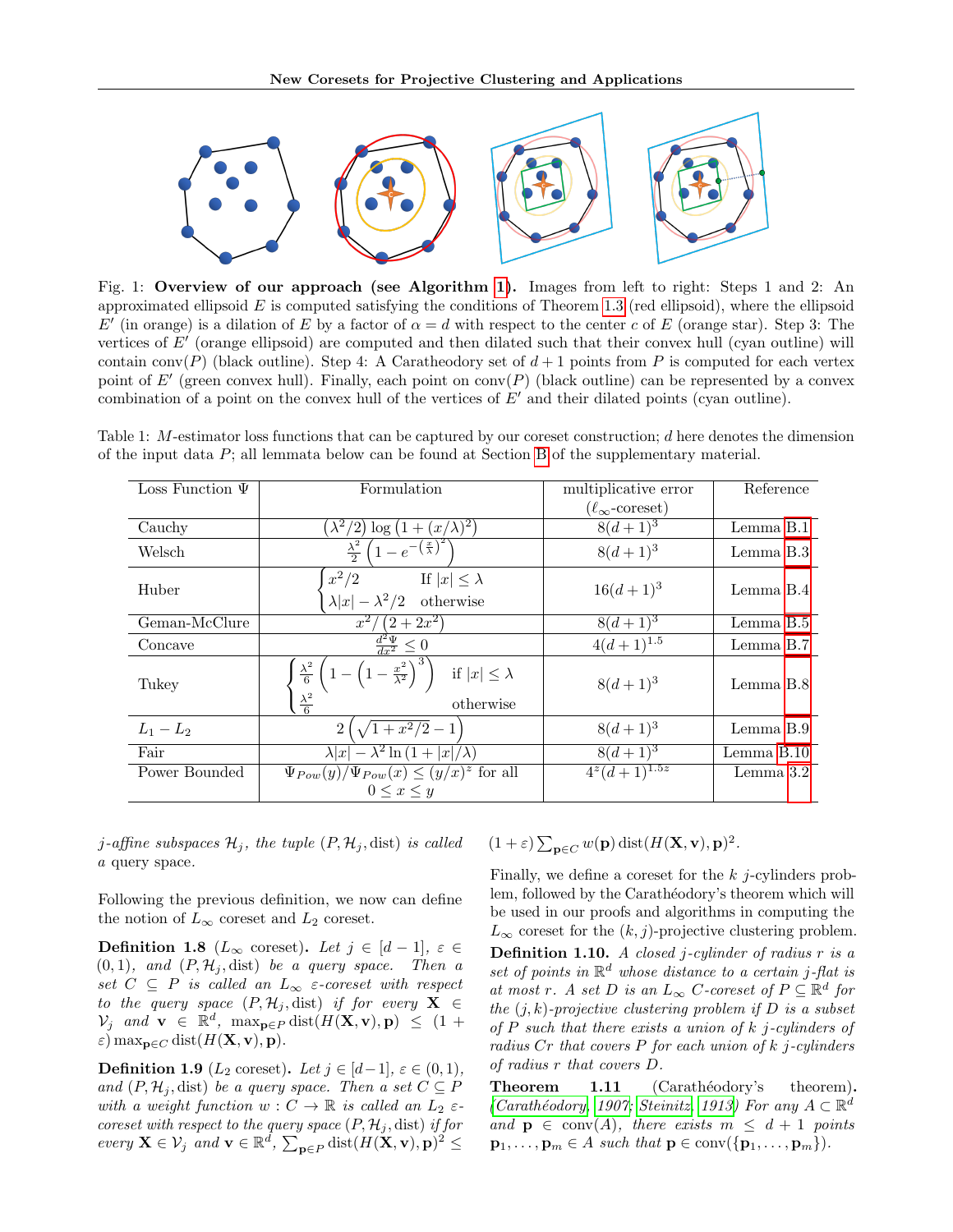<span id="page-3-0"></span>

Fig. 1: Overview of our approach (see Algorithm [1\)](#page-4-0). Images from left to right: Steps 1 and 2: An approximated ellipsoid  $E$  is computed satisfying the conditions of Theorem [1.3](#page-2-0) (red ellipsoid), where the ellipsoid E' (in orange) is a dilation of E by a factor of  $\alpha = d$  with respect to the center c of E (orange star). Step 3: The vertices of  $E'$  (orange ellipsoid) are computed and then dilated such that their convex hull (cyan outline) will contain conv(P) (black outline). Step 4: A Caratheodory set of  $d+1$  points from P is computed for each vertex point of E' (green convex hull). Finally, each point on conv(P) (black outline) can be represented by a convex combination of a point on the convex hull of the vertices of  $E'$  and their dilated points (cyan outline).

<span id="page-3-1"></span>Table 1: M-estimator loss functions that can be captured by our coreset construction; d here denotes the dimension of the input data P; all lemmata below can be found at Section [B](#page-15-0) of the supplementary material.

| Loss Function $\Psi$ | Formulation                                                                                                                                 | multiplicative error             | Reference  |
|----------------------|---------------------------------------------------------------------------------------------------------------------------------------------|----------------------------------|------------|
|                      |                                                                                                                                             | $(\ell_{\infty}\text{-coreset})$ |            |
| Cauchy               | $(\lambda^2/2) \log (1 + (x/\lambda)^2)$                                                                                                    | $8(d+1)^3$                       | Lemma B.1  |
| Welsch               | $\frac{\lambda^2}{2} \left( 1 - e^{-\left(\frac{x}{\lambda}\right)^2} \right)$                                                              | $8(d+1)^3$                       | Lemma B.3  |
| Huber                | $x^2/2$<br>If $ x  \leq \lambda$<br>$\lambda  x  - \lambda^2/2$ otherwise                                                                   | $16(d+1)^3$                      | Lemma B.4  |
| Geman-McClure        | $(2+2x^2)$<br>$x^2$                                                                                                                         | $8(d+1)^3$                       | Lemma B.5  |
| Concave              | $\frac{d^2\Psi}{dx^2}\leq 0$                                                                                                                | $4(d+1)^{1.5}$                   | Lemma B.7  |
| Tukey                | $\left(1-\left(1-\frac{x^2}{\lambda^2}\right)^3\right)$ if $ x \leq \lambda$<br>$\frac{\lambda^2}{6}$<br>$\frac{\lambda^2}{6}$<br>otherwise | $8(d+1)^3$                       | Lemma B.8  |
| $L_1 - L_2$          | $\sqrt{1+x^2/2}-1$<br>$\overline{2}$                                                                                                        | $8(d+1)^3$                       | Lemma B.9  |
| Fair                 | $\lambda  x  - \lambda^2 \ln \left(1 +  x /\lambda\right)$                                                                                  | $8(d+1)^3$                       | Lemma B.10 |
| Power Bounded        | $\Psi_{Pow}(y)/\Psi_{Pow}(x) \leq (y/x)^z$ for all                                                                                          | $4^{z}(d+1)^{1.5z}$              | Lemma 3.2  |
|                      | $0 \leq x \leq y$                                                                                                                           |                                  |            |

*j*-affine subspaces  $\mathcal{H}_j$ , the tuple  $(P, \mathcal{H}_j, \text{dist})$  is called a query space.

Following the previous definition, we now can define the notion of  $L_{\infty}$  coreset and  $L_2$  coreset.

**Definition 1.8** ( $L_{\infty}$  coreset). Let  $j \in [d-1], \varepsilon \in$  $(0, 1)$ , and  $(P, \mathcal{H}_j, dist)$  be a query space. Then a set  $C \subseteq P$  is called an  $L_{\infty}$   $\varepsilon$ -coreset with respect to the query space  $(P, \mathcal{H}_j, \text{dist})$  if for every  $\mathbf{X} \in$  $\mathcal{V}_j$  and  $\mathbf{v} \in \mathbb{R}^d$ ,  $\max_{\mathbf{p} \in P} \text{dist}(H(\mathbf{X}, \mathbf{v}), \mathbf{p}) \leq (1 + \epsilon)$  $\varepsilon$ ) max<sub>p∈C</sub> dist( $H(\mathbf{X}, \mathbf{v}),$  p).

**Definition 1.9** ( $L_2$  coreset). Let  $j \in [d-1], \varepsilon \in (0,1)$ , and  $(P, \mathcal{H}_i, \text{dist})$  be a query space. Then a set  $C \subseteq P$ with a weight function  $w: C \to \mathbb{R}$  is called an  $L_2 \varepsilon$ coreset with respect to the query space  $(P, \mathcal{H}_j, dist)$  if for every  $\mathbf{X} \in \mathcal{V}_j$  and  $\mathbf{v} \in \mathbb{R}^d$ ,  $\sum_{\mathbf{p} \in P} \text{dist}(H(\mathbf{X}, \mathbf{v}), \mathbf{p})^2 \leq$ 

 $(1+\varepsilon)\sum_{\mathbf{p}\in C} w(\mathbf{p}) \text{dist}(H(\mathbf{X}, \mathbf{v}), \mathbf{p})^2.$ 

Finally, we define a coreset for the  $k$  *j*-cylinders problem, followed by the Carathéodory's theorem which will be used in our proofs and algorithms in computing the  $L_{\infty}$  coreset for the  $(k, j)$ -projective clustering problem. **Definition 1.10.** A closed j-cylinder of radius  $r$  is a set of points in  $\mathbb{R}^d$  whose distance to a certain j-flat is at most r. A set D is an  $L_{\infty}$  C-coreset of  $P \subseteq \mathbb{R}^d$  for the  $(j, k)$ -projective clustering problem if  $D$  is a subset of  $P$  such that there exists a union of  $k$  j-cylinders of radius  $Cr$  that covers  $P$  for each union of  $k$  *j*-cylinders of radius r that covers D.

Theorem 1.11 (Carathéodory's theorem). (Carathéodory, 1907; [Steinitz, 1913\)](#page-10-23) For any  $A \subset \mathbb{R}^d$ and  $p \in \text{conv}(A)$ , there exists  $m \leq d+1$  points  $\mathbf{p}_1, \ldots, \mathbf{p}_m \in A$  such that  $\mathbf{p} \in \text{conv}(\{\mathbf{p}_1, \ldots, \mathbf{p}_m\}).$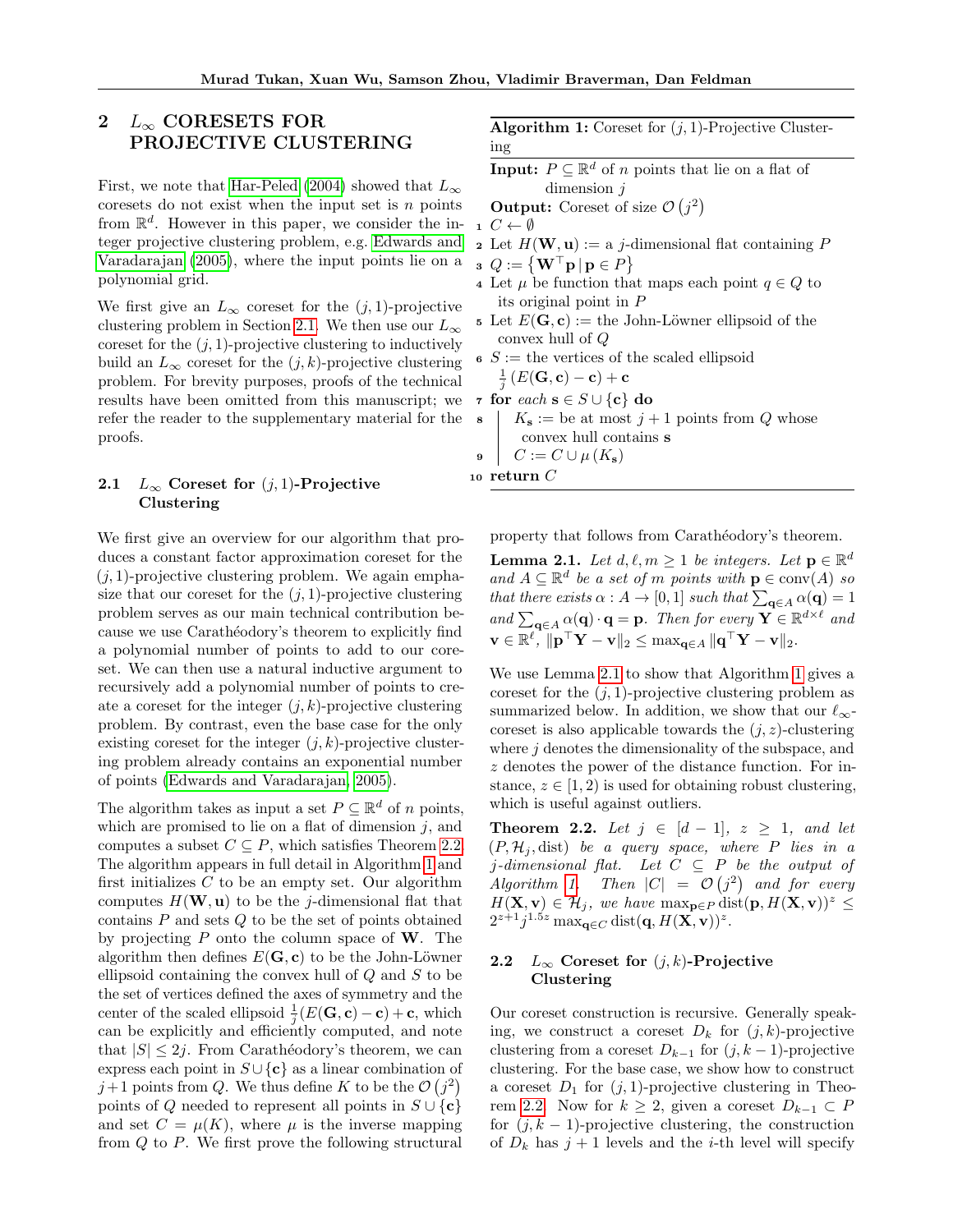# 2  $L_{\infty}$  CORESETS FOR PROJECTIVE CLUSTERING

First, we note that [Har-Peled](#page-10-21) [\(2004\)](#page-10-21) showed that  $L_{\infty}$ coresets do not exist when the input set is  $n$  points from  $\mathbb{R}^d$ . However in this paper, we consider the integer projective clustering problem, e.g. [Edwards and](#page-9-17) [Varadarajan](#page-9-17) [\(2005\)](#page-9-17), where the input points lie on a polynomial grid.

We first give an  $L_{\infty}$  coreset for the  $(j, 1)$ -projective clustering problem in Section [2.1.](#page-4-1) We then use our  $L_{\infty}$ coreset for the  $(j, 1)$ -projective clustering to inductively build an  $L_{\infty}$  coreset for the  $(j, k)$ -projective clustering problem. For brevity purposes, proofs of the technical results have been omitted from this manuscript; we refer the reader to the supplementary material for the proofs.

# <span id="page-4-1"></span>2.1  $L_{\infty}$  Coreset for  $(j, 1)$ -Projective Clustering

We first give an overview for our algorithm that produces a constant factor approximation coreset for the  $(i, 1)$ -projective clustering problem. We again emphasize that our coreset for the  $(j, 1)$ -projective clustering problem serves as our main technical contribution because we use Carathéodory's theorem to explicitly find a polynomial number of points to add to our coreset. We can then use a natural inductive argument to recursively add a polynomial number of points to create a coreset for the integer  $(i, k)$ -projective clustering problem. By contrast, even the base case for the only existing coreset for the integer  $(i, k)$ -projective clustering problem already contains an exponential number of points [\(Edwards and Varadarajan, 2005\)](#page-9-17).

The algorithm takes as input a set  $P \subseteq \mathbb{R}^d$  of n points, which are promised to lie on a flat of dimension  $j$ , and computes a subset  $C \subseteq P$ , which satisfies Theorem [2.2.](#page-4-2) The algorithm appears in full detail in Algorithm [1](#page-4-0) and first initializes  $C$  to be an empty set. Our algorithm computes  $H(\mathbf{W}, \mathbf{u})$  to be the *j*-dimensional flat that contains  $P$  and sets  $Q$  to be the set of points obtained by projecting  $P$  onto the column space of  $W$ . The algorithm then defines  $E(\mathbf{G}, \mathbf{c})$  to be the John-Löwner ellipsoid containing the convex hull of  $Q$  and  $S$  to be the set of vertices defined the axes of symmetry and the center of the scaled ellipsoid  $\frac{1}{j}(E(\mathbf{G}, \mathbf{c}) - \mathbf{c}) + \mathbf{c}$ , which can be explicitly and efficiently computed, and note that  $|S| \leq 2j$ . From Carathéodory's theorem, we can express each point in  $S \cup \{c\}$  as a linear combination of  $j+1$  points from Q. We thus define K to be the  $\mathcal{O}(j^2)$ points of Q needed to represent all points in  $S \cup \{c\}$ and set  $C = \mu(K)$ , where  $\mu$  is the inverse mapping from  $Q$  to  $P$ . We first prove the following structural

**Algorithm 1:** Coreset for  $(j, 1)$ -Projective Clustering

<span id="page-4-0"></span>**Input:**  $P \subseteq \mathbb{R}^d$  of *n* points that lie on a flat of dimension j

**Output:** Coreset of size  $\mathcal{O}(j^2)$ 

 $1 \ C \leftarrow \emptyset$ 

2 Let  $H(\mathbf{W}, \mathbf{u}) := a j$ -dimensional flat containing P

 $\mathbf{a} \cdot Q := \left\{ \mathbf{W}^\top \mathbf{p} \, | \, \mathbf{p} \in P \right\}$ 

- 4 Let  $\mu$  be function that maps each point  $q \in Q$  to its original point in P
- 5 Let  $E(\mathbf{G}, \mathbf{c}) :=$  the John-Löwner ellipsoid of the convex hull of Q
- $s S :=$  the vertices of the scaled ellipsoid  $\frac{1}{j}\left(E(\mathbf{G}, \mathbf{c}) - \mathbf{c}\right) + \mathbf{c}$
- 7 for each  $s \in S \cup \{c\}$  do<br>
8 |  $K_s :=$  be at most  $j +$ 
	- $K_{\mathbf{s}} := \text{be at most } j+1 \text{ points from } Q \text{ whose}$ convex hull contains s

9  $C := C \cup \mu(K_{s})$ 

10 return  $C$ 

property that follows from Carathéodory's theorem.

<span id="page-4-3"></span>**Lemma 2.1.** Let  $d, \ell, m \geq 1$  be integers. Let  $p \in \mathbb{R}^d$ and  $A \subseteq \mathbb{R}^d$  be a set of m points with  $p \in \text{conv}(A)$  so that there exists  $\alpha : A \to [0,1]$  such that  $\sum_{\mathbf{q} \in A} \alpha(\mathbf{q}) = 1$ and  $\sum_{\mathbf{q}\in A}\alpha(\mathbf{q})\cdot\mathbf{q} = \mathbf{p}$ . Then for every  $\mathbf{Y} \in \mathbb{R}^{d \times \ell}$  and  $\mathbf{v} \in \mathbb{R}^{\ell}$ ,  $\|\mathbf{p}^\top \mathbf{Y} - \mathbf{v}\|_2 \leq \max_{\mathbf{q} \in A} \|\mathbf{q}^\top \mathbf{Y} - \mathbf{v}\|_2$ .

We use Lemma [2.1](#page-4-3) to show that Algorithm [1](#page-4-0) gives a coreset for the  $(j, 1)$ -projective clustering problem as summarized below. In addition, we show that our  $\ell_{\infty}$ coreset is also applicable towards the  $(j, z)$ -clustering where  $j$  denotes the dimensionality of the subspace, and z denotes the power of the distance function. For instance,  $z \in [1, 2)$  is used for obtaining robust clustering, which is useful against outliers.

<span id="page-4-2"></span>**Theorem 2.2.** Let  $j \in [d-1], z \geq 1,$  and let  $(P, \mathcal{H}_j, dist)$  be a query space, where P lies in a j-dimensional flat. Let  $C \subseteq P$  be the output of  $Algorithm \ 1. \quad Then \ |C| \ = \ \mathcal{O}\left(j^2\right) \ and \ for \ every$  $Algorithm \ 1. \quad Then \ |C| \ = \ \mathcal{O}\left(j^2\right) \ and \ for \ every$  $Algorithm \ 1. \quad Then \ |C| \ = \ \mathcal{O}\left(j^2\right) \ and \ for \ every$  $H(\mathbf{X}, \mathbf{v}) \in \mathcal{H}_j$ , we have  $\max_{\mathbf{p} \in P} \text{dist}(\mathbf{p}, H(\mathbf{X}, \mathbf{v}))^z \leq$  $2^{z+1}j^{1.5z} \max_{\mathbf{q}\in C} \text{dist}(\mathbf{q}, H(\mathbf{X}, \mathbf{v}))^z.$ 

# 2.2  $L_{\infty}$  Coreset for  $(j, k)$ -Projective Clustering

Our coreset construction is recursive. Generally speaking, we construct a coreset  $D_k$  for  $(j, k)$ -projective clustering from a coreset  $D_{k-1}$  for  $(j, k-1)$ -projective clustering. For the base case, we show how to construct a coreset  $D_1$  for  $(j, 1)$ -projective clustering in Theo-rem [2.2.](#page-4-2) Now for  $k \geq 2$ , given a coreset  $D_{k-1} \subset P$ for  $(j, k - 1)$ -projective clustering, the construction of  $D_k$  has  $j + 1$  levels and the *i*-th level will specify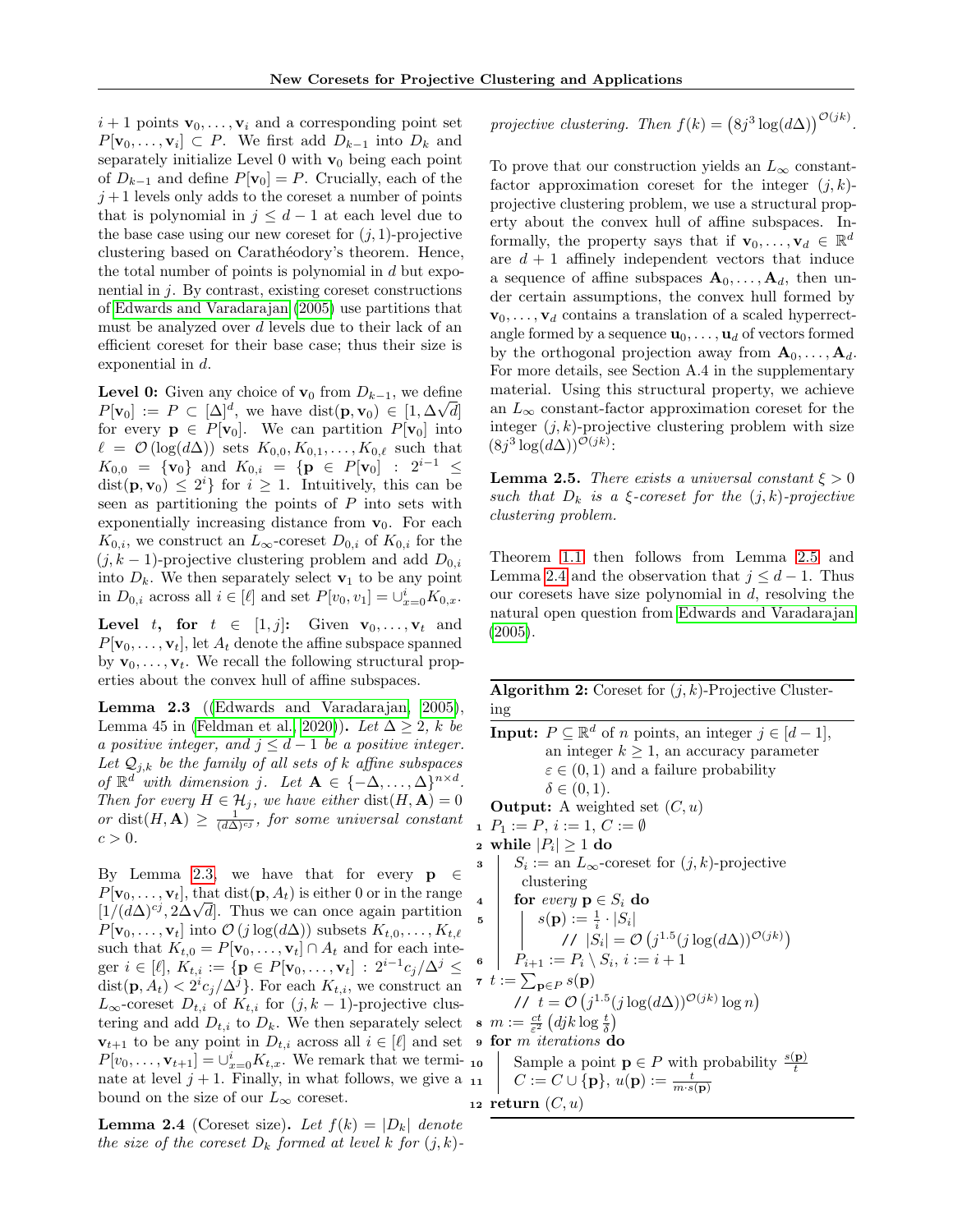$i+1$  points  $\mathbf{v}_0, \ldots, \mathbf{v}_i$  and a corresponding point set  $P[\mathbf{v}_0, \dots, \mathbf{v}_i] \subset P$ . We first add  $D_{k-1}$  into  $D_k$  and separately initialize Level  $0$  with  $\mathbf{v}_0$  being each point of  $D_{k-1}$  and define  $P[\mathbf{v}_0] = P$ . Crucially, each of the  $j+1$  levels only adds to the coreset a number of points that is polynomial in  $j \leq d-1$  at each level due to the base case using our new coreset for  $(i, 1)$ -projective clustering based on Carathéodory's theorem. Hence, the total number of points is polynomial in  $d$  but exponential in  $j$ . By contrast, existing coreset constructions of [Edwards and Varadarajan](#page-9-17) [\(2005\)](#page-9-17) use partitions that must be analyzed over d levels due to their lack of an efficient coreset for their base case; thus their size is exponential in d.

**Level 0:** Given any choice of  $\mathbf{v}_0$  from  $D_{k-1}$ , we define  $P[\mathbf{v}_0] := P \subset [\Delta]^d$ , we have dist $(\mathbf{p}, \mathbf{v}_0) \in [1, \Delta\sqrt{d}]$ for every  $p \in P[v_0]$ . We can partition  $P[v_0]$  into  $\ell = \mathcal{O}(\log(d\Delta))$  sets  $K_{0,0}, K_{0,1}, \ldots, K_{0,\ell}$  such that  $K_{0,0} = \{v_0\}$  and  $K_{0,i} = \{p \in P[v_0] : 2^{i-1} \leq$  $dist(\mathbf{p}, \mathbf{v}_0) \leq 2^i$  for  $i \geq 1$ . Intuitively, this can be seen as partitioning the points of  $P$  into sets with exponentially increasing distance from  $v_0$ . For each  $K_{0,i}$ , we construct an  $L_{\infty}$ -coreset  $D_{0,i}$  of  $K_{0,i}$  for the  $(j, k - 1)$ -projective clustering problem and add  $D_{0,i}$ into  $D_k$ . We then separately select  $\mathbf{v}_1$  to be any point in  $D_{0,i}$  across all  $i \in [\ell]$  and set  $P[v_0, v_1] = \bigcup_{x=0}^{i} K_{0,x}$ .

**Level** t, for  $t \in [1, j]$ : Given  $\mathbf{v}_0, \ldots, \mathbf{v}_t$  and  $P[\mathbf{v}_0, \ldots, \mathbf{v}_t]$ , let  $A_t$  denote the affine subspace spanned by  $\mathbf{v}_0, \ldots, \mathbf{v}_t$ . We recall the following structural properties about the convex hull of affine subspaces.

<span id="page-5-0"></span>Lemma 2.3 ([\(Edwards and Varadarajan, 2005\)](#page-9-17), Lemma 45 in [\(Feldman et al., 2020\)](#page-10-13)). Let  $\Delta \geq 2$ , k be a positive integer, and  $j \leq d-1$  be a positive integer. Let  $\mathcal{Q}_{j,k}$  be the family of all sets of k affine subspaces of  $\mathbb{R}^d$  with dimension j. Let  $\mathbf{A} \in \{-\Delta, \ldots, \Delta\}^{n \times d}$ . Then for every  $H \in \mathcal{H}_j$ , we have either  $dist(H, A) = 0$ or dist $(H, A) \geq \frac{1}{(d\Delta)^{cj}}$ , for some universal constant  $c > 0$ .

By Lemma [2.3,](#page-5-0) we have that for every  $p \in$  $P[\mathbf{v}_0, \dots, \mathbf{v}_t]$ , that dist( $\mathbf{p}, A_t$ ) is either 0 or in the range  $[1/(d\Delta)^{cj}, 2\Delta\sqrt{d}]$ . Thus we can once again partition  $P[\mathbf{v}_0, \ldots, \mathbf{v}_t]$  into  $\mathcal{O}(j \log(d\Delta))$  subsets  $K_{t,0}, \ldots, K_{t,\ell}$ such that  $K_{t,0} = P[\mathbf{v}_0, \dots, \mathbf{v}_t] \cap A_t$  and for each integer  $i \in [\ell], K_{t,i} := \{ \mathbf{p} \in P[\mathbf{v}_0, \dots, \mathbf{v}_t] : 2^{i-1} c_j / \Delta^j \leq$  $dist(\mathbf{p}, A_t) < 2^i c_j / \Delta^j$ . For each  $K_{t,i}$ , we construct an  $L_{\infty}$ -coreset  $D_{t,i}$  of  $K_{t,i}$  for  $(j, k-1)$ -projective clustering and add  $D_{t,i}$  to  $D_k$ . We then separately select  $\mathbf{s} \cdot m := \frac{ct}{\varepsilon^2} \left( djk \log \frac{t}{\delta} \right)$  $\mathbf{v}_{t+1}$  to be any point in  $D_{t,i}$  across all  $i \in [\ell]$  and set  $P[v_0, \ldots, \mathbf{v}_{t+1}] = \bigcup_{x=0}^{i} K_{t,x}$ . We remark that we terminate at level  $j + 1$ . Finally, in what follows, we give a  $_{11}$ bound on the size of our  $L_{\infty}$  coreset.

<span id="page-5-2"></span>**Lemma 2.4** (Coreset size). Let  $f(k) = |D_k|$  denote the size of the coreset  $D_k$  formed at level k for  $(j, k)$ - projective clustering. Then  $f(k) = (8j^3 \log(d\Delta))^{O(jk)}$ .

To prove that our construction yields an  $L_{\infty}$  constantfactor approximation coreset for the integer  $(j, k)$ projective clustering problem, we use a structural property about the convex hull of affine subspaces. Informally, the property says that if  $\mathbf{v}_0, \ldots, \mathbf{v}_d \in \mathbb{R}^d$ are  $d + 1$  affinely independent vectors that induce a sequence of affine subspaces  $A_0, \ldots, A_d$ , then under certain assumptions, the convex hull formed by  $\mathbf{v}_0, \ldots, \mathbf{v}_d$  contains a translation of a scaled hyperrectangle formed by a sequence  $\mathbf{u}_0, \ldots, \mathbf{u}_d$  of vectors formed by the orthogonal projection away from  $A_0, \ldots, A_d$ . For more details, see Section A.4 in the supplementary material. Using this structural property, we achieve an  $L_{\infty}$  constant-factor approximation coreset for the integer  $(j, k)$ -projective clustering problem with size  $(8j^3 \log(d\Delta))^{\mathcal{O}(jk)}$ :

<span id="page-5-1"></span>**Lemma 2.5.** There exists a universal constant  $\xi > 0$ such that  $D_k$  is a  $\xi$ -coreset for the  $(j, k)$ -projective clustering problem.

Theorem [1.1](#page-1-0) then follows from Lemma [2.5](#page-5-1) and Lemma [2.4](#page-5-2) and the observation that  $j \leq d-1$ . Thus our coresets have size polynomial in d, resolving the natural open question from [Edwards and Varadarajan](#page-9-17) [\(2005\)](#page-9-17).

**Algorithm 2:** Coreset for  $(j, k)$ -Projective Clustering

<span id="page-5-3"></span>**Input:**  $P \subseteq \mathbb{R}^d$  of *n* points, an integer  $j \in [d-1]$ , an integer  $k > 1$ , an accuracy parameter  $\varepsilon \in (0,1)$  and a failure probability  $\delta \in (0,1)$ . **Output:** A weighted set  $(C, u)$ 1  $P_1 := P, i := 1, C := \emptyset$ 2 while  $|P_i|\geq 1$  do  $s \mid S_i := \text{an } L_\infty$ -coreset for  $(j,k)$ -projective clustering 4 for every  $p \in S_i$  do  $\begin{array}{|c|c|c|}\hline \hspace{0.2cm}5 & & | \hspace{0.2cm} & s({\bf p}) := \frac{1}{i} \cdot |S_i| \hline \end{array}$ //  $|S_i| = O(j^{1.5}(j \log(d\Delta))^{O(jk)})$ 6  $\mid P_{i+1} := P_i \setminus S_i, i := i+1$  $\tau\;t:=\sum_{\mathbf{p}\in P} s(\mathbf{p})$ //  $t = \mathcal{O}\left(j^{1.5}(j \log(d\Delta))^{\mathcal{O}(jk)} \log n\right)$ <sup>9</sup> for m iterations do 10 Sample a point  $p \in P$  with probability  $\frac{s(p)}{t}$ 11  $C := C \cup \{p\}, u(p) := \frac{t}{m \cdot s(p)}$ 12 return  $(C, u)$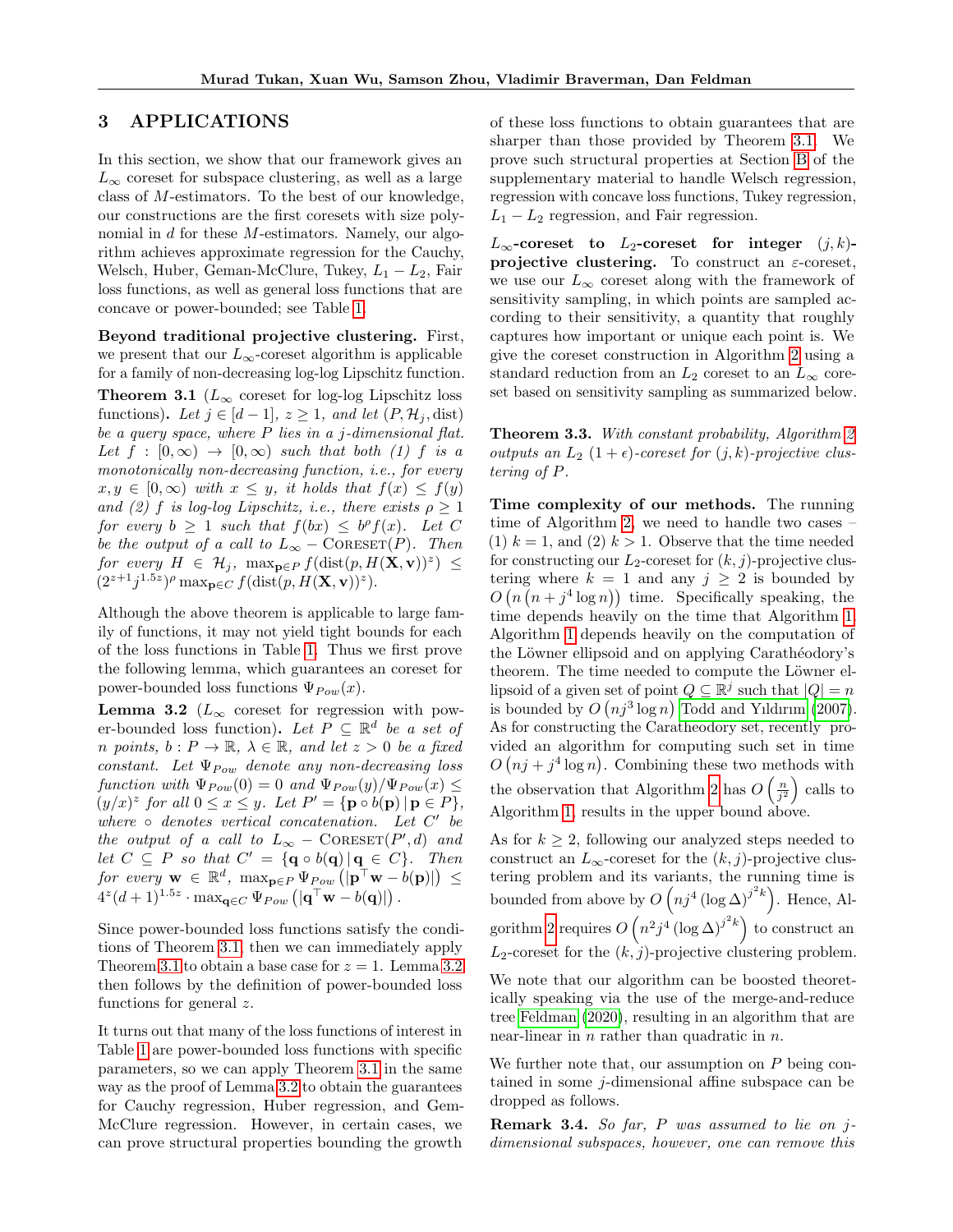# 3 APPLICATIONS

In this section, we show that our framework gives an  $L_{\infty}$  coreset for subspace clustering, as well as a large class of M-estimators. To the best of our knowledge, our constructions are the first coresets with size polynomial in d for these M-estimators. Namely, our algorithm achieves approximate regression for the Cauchy, Welsch, Huber, Geman-McClure, Tukey,  $L_1 - L_2$ , Fair loss functions, as well as general loss functions that are concave or power-bounded; see Table [1.](#page-3-1)

Beyond traditional projective clustering. First, we present that our  $L_{\infty}$ -coreset algorithm is applicable for a family of non-decreasing log-log Lipschitz function.

<span id="page-6-1"></span>**Theorem 3.1** ( $L_{\infty}$  coreset for log-log Lipschitz loss functions). Let  $j \in [d-1], z \geq 1$ , and let  $(P, \mathcal{H}_i, \text{dist})$ be a query space, where  $P$  lies in a j-dimensional flat. Let  $f : [0, \infty) \rightarrow [0, \infty)$  such that both (1) f is a monotonically non-decreasing function, *i.e.*, for every  $x, y \in [0, \infty)$  with  $x \leq y$ , it holds that  $f(x) \leq f(y)$ and (2) f is log-log Lipschitz, i.e., there exists  $\rho \geq 1$ for every  $b \geq 1$  such that  $f(bx) \leq b^{\rho} f(x)$ . Let C be the output of a call to  $L_{\infty}$  – CORESET(P). Then for every  $H \in \mathcal{H}_j$ ,  $\max_{\mathbf{p} \in P} f(\text{dist}(p, H(\mathbf{X}, \mathbf{v}))^z) \leq$  $(2^{z+1}j^{1.5z})^{\rho}$  max<sub>p</sub> $\in$ *c*  $f$ (dist $(p, H(\mathbf{X}, \mathbf{v}))^z$ ).

Although the above theorem is applicable to large family of functions, it may not yield tight bounds for each of the loss functions in Table [1.](#page-3-1) Thus we first prove the following lemma, which guarantees an coreset for power-bounded loss functions  $\Psi_{Pow}(x)$ .

<span id="page-6-0"></span>**Lemma 3.2** ( $L_{\infty}$  coreset for regression with power-bounded loss function). Let  $P \subseteq \mathbb{R}^d$  be a set of n points,  $b: P \to \mathbb{R}, \lambda \in \mathbb{R}$ , and let  $z > 0$  be a fixed constant. Let  $\Psi_{Pow}$  denote any non-decreasing loss function with  $\Psi_{Pow}(0) = 0$  and  $\Psi_{Pow}(y)/\Psi_{Pow}(x) \le$  $(y/x)^z$  for all  $0 \le x \le y$ . Let  $P' = {\bf{p} \circ b({\bf{p}}) | {\bf{p}} \in P}$ , where  $\circ$  denotes vertical concatenation. Let  $C'$  be the output of a call to  $L_{\infty}$  – CORESET(P', d) and let  $C \subseteq P$  so that  $C' = {\mathbf{q} \circ b(\mathbf{q}) | \mathbf{q} \in C}.$  Then for every  $\mathbf{w} \in \mathbb{R}^d$ ,  $\max_{\mathbf{p} \in P} \Psi_{Pow} (|\mathbf{p}^\top \mathbf{w} - b(\mathbf{p})|) \leq$  $4^z(d+1)^{1.5z} \cdot \max_{\mathbf{q} \in C} \Psi_{Pow}\left(|\mathbf{q}^\top \mathbf{w} - b(\mathbf{q})|\right).$ 

Since power-bounded loss functions satisfy the conditions of Theorem [3.1,](#page-6-1) then we can immediately apply Theorem [3.1](#page-6-1) to obtain a base case for  $z = 1$ . Lemma [3.2](#page-6-0) then follows by the definition of power-bounded loss functions for general  $z$ .

It turns out that many of the loss functions of interest in Table [1](#page-3-1) are power-bounded loss functions with specific parameters, so we can apply Theorem [3.1](#page-6-1) in the same way as the proof of Lemma [3.2](#page-6-0) to obtain the guarantees for Cauchy regression, Huber regression, and Gem-McClure regression. However, in certain cases, we can prove structural properties bounding the growth of these loss functions to obtain guarantees that are sharper than those provided by Theorem [3.1.](#page-6-1) We prove such structural properties at Section [B](#page-15-0) of the supplementary material to handle Welsch regression, regression with concave loss functions, Tukey regression,  $L_1 - L_2$  regression, and Fair regression.

 $L_{\infty}$ -coreset to  $L_2$ -coreset for integer  $(j,k)$ projective clustering. To construct an  $\varepsilon$ -coreset, we use our  $L_{\infty}$  coreset along with the framework of sensitivity sampling, in which points are sampled according to their sensitivity, a quantity that roughly captures how important or unique each point is. We give the coreset construction in Algorithm [2](#page-5-3) using a standard reduction from an  $L_2$  coreset to an  $L_\infty$  coreset based on sensitivity sampling as summarized below.

<span id="page-6-2"></span>Theorem 3.3. With constant probability, Algorithm [2](#page-5-3) outputs an  $L_2$   $(1+\epsilon)$ -coreset for  $(j, k)$ -projective clustering of P.

Time complexity of our methods. The running time of Algorithm [2,](#page-5-3) we need to handle two cases – (1)  $k = 1$ , and (2)  $k > 1$ . Observe that the time needed for constructing our  $L_2$ -coreset for  $(k, j)$ -projective clustering where  $k = 1$  and any  $j \geq 2$  is bounded by  $O(n(n+*j*<sup>4</sup> log n))$  time. Specifically speaking, the time depends heavily on the time that Algorithm [1.](#page-4-0) Algorithm [1](#page-4-0) depends heavily on the computation of the Löwner ellipsoid and on applying Carathéodory's theorem. The time needed to compute the Löwner ellipsoid of a given set of point  $Q \subseteq \mathbb{R}^j$  such that  $|Q| = n$ is bounded by  $O(nj^3 \log n)$  [Todd and Yıldırım](#page-11-4) [\(2007\)](#page-11-4). As for constructing the Caratheodory set, recently provided an algorithm for computing such set in time  $O(nj + j^4 \log n)$ . Combining these two methods with the observation that Algorithm [2](#page-5-3) has  $O\left(\frac{n}{j^2}\right)$  calls to Algorithm [1,](#page-4-0) results in the upper bound above.

As for  $k \geq 2$ , following our analyzed steps needed to construct an  $L_{\infty}$ -coreset for the  $(k, j)$ -projective clustering problem and its variants, the running time is bounded from above by  $O(nj^4 (\log \Delta)^{j^2 k})$ . Hence, Al-gorithm [2](#page-5-3) requires  $O(n^2j^4 (\log \Delta)^{j^2k})$  to construct an  $L_2$ -coreset for the  $(k, j)$ -projective clustering problem.

We note that our algorithm can be boosted theoretically speaking via the use of the merge-and-reduce tree [Feldman](#page-9-20) [\(2020\)](#page-9-20), resulting in an algorithm that are near-linear in  $n$  rather than quadratic in  $n$ .

We further note that, our assumption on  $P$  being contained in some j-dimensional affine subspace can be dropped as follows.

Remark 3.4. So far, P was assumed to lie on jdimensional subspaces, however, one can remove this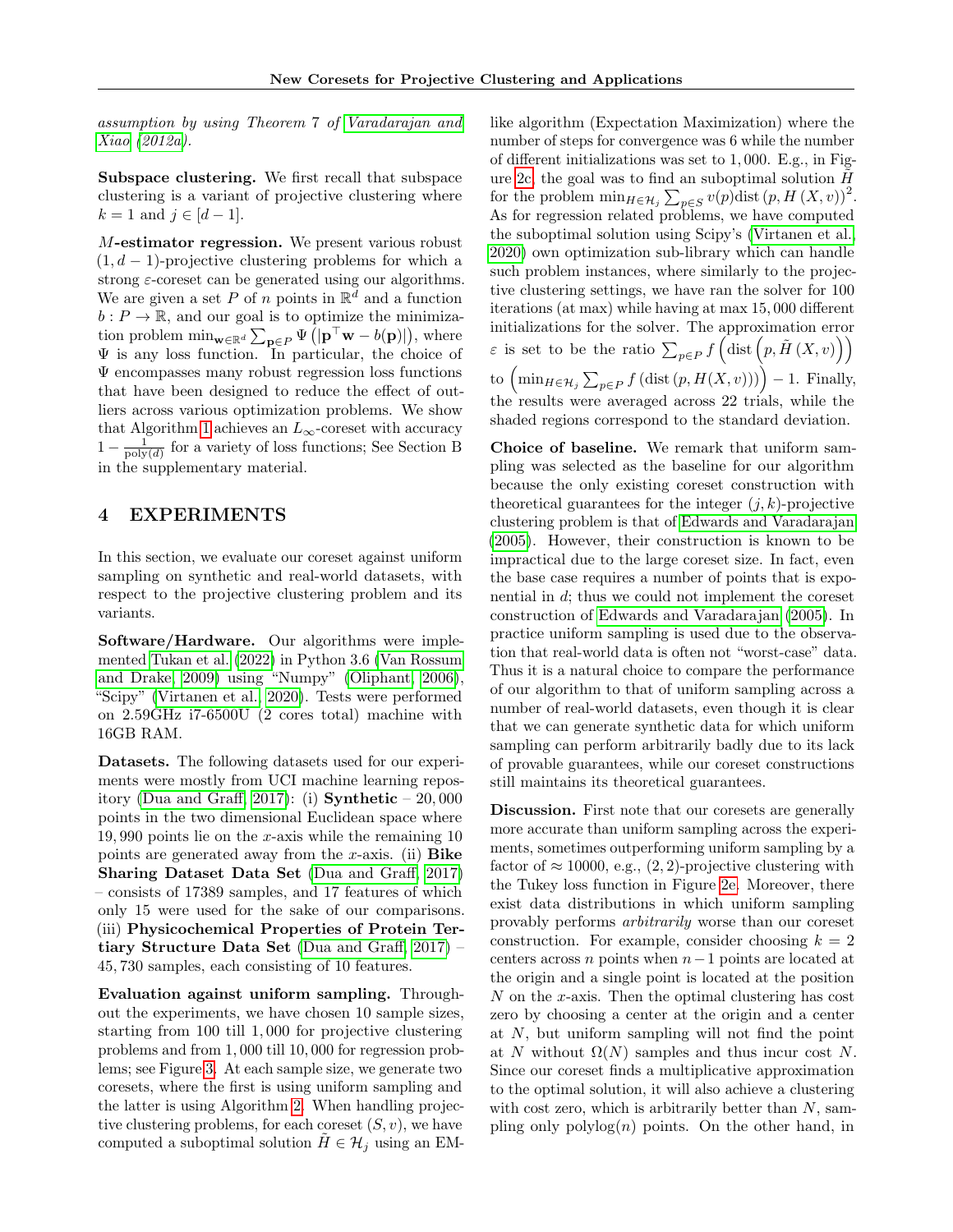assumption by using Theorem 7 of [Varadarajan and](#page-11-5) [Xiao](#page-11-5) [\(2012a\)](#page-11-5).

Subspace clustering. We first recall that subspace clustering is a variant of projective clustering where  $k = 1$  and  $j \in [d-1]$ .

M-estimator regression. We present various robust  $(1, d - 1)$ -projective clustering problems for which a strong  $\varepsilon$ -coreset can be generated using our algorithms. We are given a set P of n points in  $\mathbb{R}^{\bar{d}}$  and a function  $b: P \to \mathbb{R}$ , and our goal is to optimize the minimization problem  $\min_{\mathbf{w}\in\mathbb{R}^d} \sum_{\mathbf{p}\in P} \Psi(|\mathbf{p}^\top \mathbf{w} - b(\mathbf{p})|)$ , where  $\Psi$  is any loss function. In particular, the choice of Ψ encompasses many robust regression loss functions that have been designed to reduce the effect of outliers across various optimization problems. We show that Algorithm [1](#page-4-0) achieves an  $L_{\infty}$ -coreset with accuracy  $1 - \frac{1}{\text{poly}(d)}$  for a variety of loss functions; See Section B in the supplementary material.

# 4 EXPERIMENTS

In this section, we evaluate our coreset against uniform sampling on synthetic and real-world datasets, with respect to the projective clustering problem and its variants.

Software/Hardware. Our algorithms were implemented [Tukan et al.](#page-11-6) [\(2022\)](#page-11-6) in Python 3.6 [\(Van Rossum](#page-11-7) [and Drake, 2009\)](#page-11-7) using "Numpy" [\(Oliphant, 2006\)](#page-10-24), "Scipy" [\(Virtanen et al., 2020\)](#page-11-8). Tests were performed on 2.59GHz i7-6500U (2 cores total) machine with 16GB RAM.

Datasets. The following datasets used for our experiments were mostly from UCI machine learning repos-itory [\(Dua and Graff, 2017\)](#page-9-18): (i) **Synthetic**  $-20,000$ points in the two dimensional Euclidean space where 19,990 points lie on the  $x$ -axis while the remaining 10 points are generated away from the x-axis. (ii)  $Bike$ Sharing Dataset Data Set [\(Dua and Graff, 2017\)](#page-9-18) – consists of 17389 samples, and 17 features of which only 15 were used for the sake of our comparisons. (iii) Physicochemical Properties of Protein Tertiary Structure Data Set [\(Dua and Graff, 2017\)](#page-9-18) – 45, 730 samples, each consisting of 10 features.

Evaluation against uniform sampling. Throughout the experiments, we have chosen 10 sample sizes, starting from 100 till 1, 000 for projective clustering problems and from 1, 000 till 10, 000 for regression problems; see Figure [3.](#page-24-0) At each sample size, we generate two coresets, where the first is using uniform sampling and the latter is using Algorithm [2.](#page-5-3) When handling projective clustering problems, for each coreset  $(S, v)$ , we have computed a suboptimal solution  $H \in \mathcal{H}_j$  using an EM-

like algorithm (Expectation Maximization) where the number of steps for convergence was 6 while the number of different initializations was set to 1, 000. E.g., in Fig-ure [2c,](#page-8-0) the goal was to find an suboptimal solution  $\tilde{H}$ for the problem  $\min_{H \in \mathcal{H}_j} \sum_{p \in S} v(p) \text{dist}(p, H(X, v))^2$ . As for regression related problems, we have computed the suboptimal solution using Scipy's [\(Virtanen et al.,](#page-11-8) [2020\)](#page-11-8) own optimization sub-library which can handle such problem instances, where similarly to the projective clustering settings, we have ran the solver for 100 iterations (at max) while having at max 15, 000 different initializations for the solver. The approximation error  $\varepsilon$  is set to be the ratio  $\sum_{p\in P} f\left(\text{dist}\left(p, \tilde{H}\left(X, v\right)\right)\right)$ to  $\left(\min_{H \in \mathcal{H}_j} \sum_{p \in P} f\left(\text{dist}\left(p, H(X, v)\right)\right)\right) - 1$ . Finally, the results were averaged across 22 trials, while the shaded regions correspond to the standard deviation.

Choice of baseline. We remark that uniform sampling was selected as the baseline for our algorithm because the only existing coreset construction with theoretical guarantees for the integer  $(j, k)$ -projective clustering problem is that of [Edwards and Varadarajan](#page-9-17) [\(2005\)](#page-9-17). However, their construction is known to be impractical due to the large coreset size. In fact, even the base case requires a number of points that is exponential in d; thus we could not implement the coreset construction of [Edwards and Varadarajan](#page-9-17) [\(2005\)](#page-9-17). In practice uniform sampling is used due to the observation that real-world data is often not "worst-case" data. Thus it is a natural choice to compare the performance of our algorithm to that of uniform sampling across a number of real-world datasets, even though it is clear that we can generate synthetic data for which uniform sampling can perform arbitrarily badly due to its lack of provable guarantees, while our coreset constructions still maintains its theoretical guarantees.

<span id="page-7-2"></span><span id="page-7-1"></span><span id="page-7-0"></span>Discussion. First note that our coresets are generally more accurate than uniform sampling across the experiments, sometimes outperforming uniform sampling by a factor of  $\approx 10000$ , e.g.,  $(2, 2)$ -projective clustering with the Tukey loss function in Figure [2e.](#page-8-0) Moreover, there exist data distributions in which uniform sampling provably performs arbitrarily worse than our coreset construction. For example, consider choosing  $k = 2$ centers across n points when  $n-1$  points are located at the origin and a single point is located at the position  $N$  on the  $x$ -axis. Then the optimal clustering has cost zero by choosing a center at the origin and a center at  $N$ , but uniform sampling will not find the point at N without  $\Omega(N)$  samples and thus incur cost N. Since our coreset finds a multiplicative approximation to the optimal solution, it will also achieve a clustering with cost zero, which is arbitrarily better than  $N$ , sampling only  $\text{polylog}(n)$  points. On the other hand, in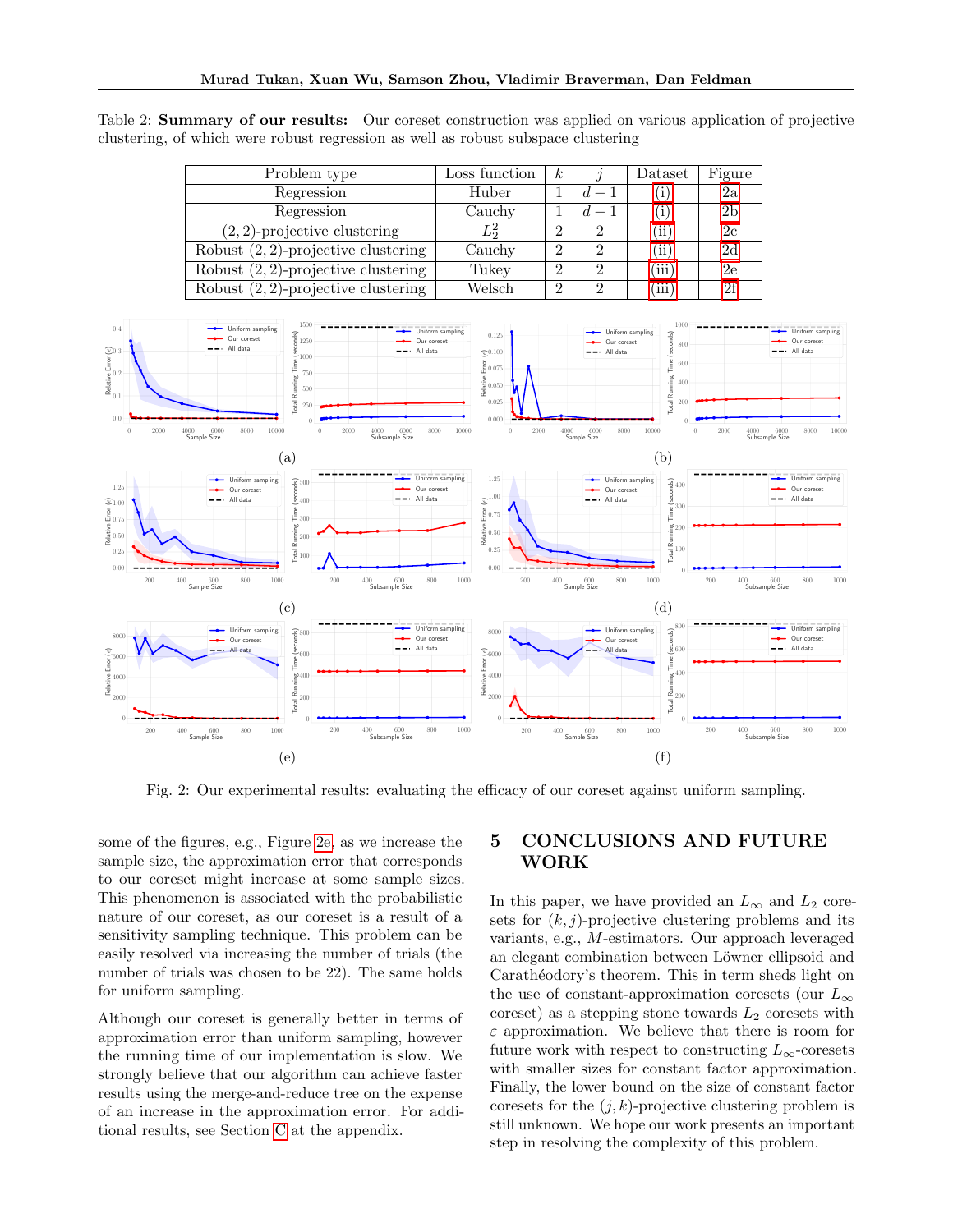Table 2: Summary of our results: Our coreset construction was applied on various application of projective clustering, of which were robust regression as well as robust subspace clustering

| Problem type                           | Loss function | $\boldsymbol{k}$ |               | Dataset           | Figure          |
|----------------------------------------|---------------|------------------|---------------|-------------------|-----------------|
| Regression                             | Huber         |                  |               | Ί.                | 2a              |
| Regression                             | Cauchy        |                  | $d-1$         | $\left( i\right)$ | 2 <sub>b</sub>  |
| $(2, 2)$ -projective clustering        | L,            | $\overline{2}$   |               | $\rm ii)$         | 2c              |
| Robust $(2, 2)$ -projective clustering | Cauchy        | $\overline{2}$   |               | (iii)             | 2d              |
| Robust $(2, 2)$ -projective clustering | Tukey         | $\overline{2}$   | $\mathcal{D}$ | 'iii              | 2e              |
| Robust $(2, 2)$ -projective clustering | Welsch        | $\overline{2}$   |               | 'iii              | $\overline{2f}$ |

<span id="page-8-0"></span>

Fig. 2: Our experimental results: evaluating the efficacy of our coreset against uniform sampling.

some of the figures, e.g., Figure [2e,](#page-8-0) as we increase the sample size, the approximation error that corresponds to our coreset might increase at some sample sizes. This phenomenon is associated with the probabilistic nature of our coreset, as our coreset is a result of a sensitivity sampling technique. This problem can be easily resolved via increasing the number of trials (the number of trials was chosen to be 22). The same holds for uniform sampling.

Although our coreset is generally better in terms of approximation error than uniform sampling, however the running time of our implementation is slow. We strongly believe that our algorithm can achieve faster results using the merge-and-reduce tree on the expense of an increase in the approximation error. For additional results, see Section [C](#page-24-1) at the appendix.

# 5 CONCLUSIONS AND FUTURE WORK

In this paper, we have provided an  $L_{\infty}$  and  $L_2$  coresets for  $(k, j)$ -projective clustering problems and its variants, e.g., M-estimators. Our approach leveraged an elegant combination between Löwner ellipsoid and Carathéodory's theorem. This in term sheds light on the use of constant-approximation coresets (our  $L_{\infty}$ ) coreset) as a stepping stone towards  $L_2$  coresets with  $\varepsilon$  approximation. We believe that there is room for future work with respect to constructing  $L_{\infty}$ -coresets with smaller sizes for constant factor approximation. Finally, the lower bound on the size of constant factor coresets for the  $(j, k)$ -projective clustering problem is still unknown. We hope our work presents an important step in resolving the complexity of this problem.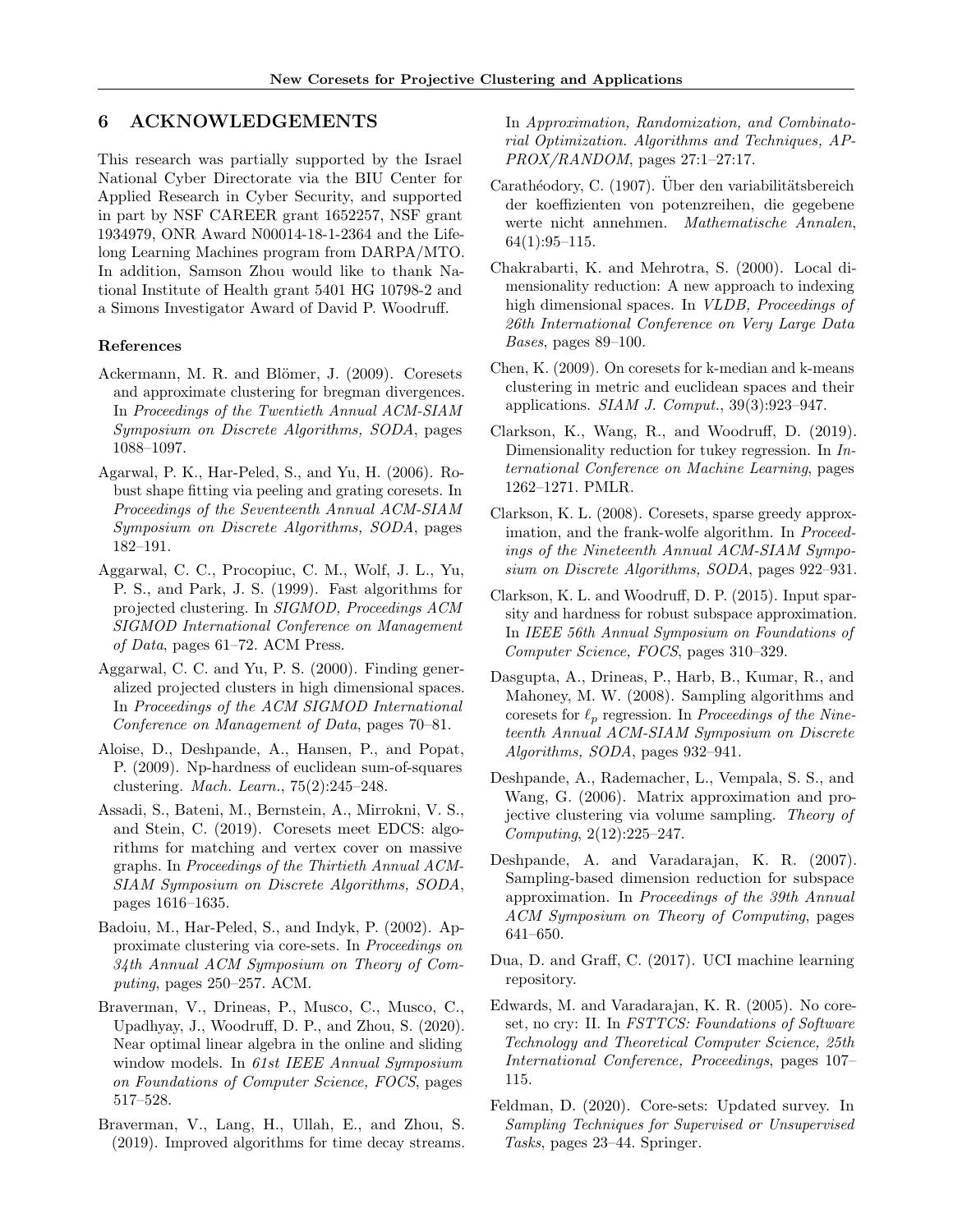# 6 ACKNOWLEDGEMENTS

This research was partially supported by the Israel National Cyber Directorate via the BIU Center for Applied Research in Cyber Security, and supported in part by NSF CAREER grant 1652257, NSF grant 1934979, ONR Award N00014-18-1-2364 and the Lifelong Learning Machines program from DARPA/MTO. In addition, Samson Zhou would like to thank National Institute of Health grant 5401 HG 10798-2 and a Simons Investigator Award of David P. Woodruff.

### References

- <span id="page-9-13"></span>Ackermann, M. R. and Blömer, J. (2009). Coresets and approximate clustering for bregman divergences. In Proceedings of the Twentieth Annual ACM-SIAM Symposium on Discrete Algorithms, SODA, pages 1088–1097.
- <span id="page-9-10"></span>Agarwal, P. K., Har-Peled, S., and Yu, H. (2006). Robust shape fitting via peeling and grating coresets. In Proceedings of the Seventeenth Annual ACM-SIAM Symposium on Discrete Algorithms, SODA, pages 182–191.
- <span id="page-9-0"></span>Aggarwal, C. C., Procopiuc, C. M., Wolf, J. L., Yu, P. S., and Park, J. S. (1999). Fast algorithms for projected clustering. In SIGMOD, Proceedings ACM SIGMOD International Conference on Management of Data, pages 61–72. ACM Press.
- <span id="page-9-1"></span>Aggarwal, C. C. and Yu, P. S. (2000). Finding generalized projected clusters in high dimensional spaces. In Proceedings of the ACM SIGMOD International Conference on Management of Data, pages 70–81.
- <span id="page-9-3"></span>Aloise, D., Deshpande, A., Hansen, P., and Popat, P. (2009). Np-hardness of euclidean sum-of-squares clustering. Mach. Learn., 75(2):245–248.
- <span id="page-9-14"></span>Assadi, S., Bateni, M., Bernstein, A., Mirrokni, V. S., and Stein, C. (2019). Coresets meet EDCS: algorithms for matching and vertex cover on massive graphs. In Proceedings of the Thirtieth Annual ACM-SIAM Symposium on Discrete Algorithms, SODA, pages 1616–1635.
- <span id="page-9-4"></span>Badoiu, M., Har-Peled, S., and Indyk, P. (2002). Approximate clustering via core-sets. In Proceedings on 34th Annual ACM Symposium on Theory of Computing, pages 250–257. ACM.
- <span id="page-9-15"></span>Braverman, V., Drineas, P., Musco, C., Musco, C., Upadhyay, J., Woodruff, D. P., and Zhou, S. (2020). Near optimal linear algebra in the online and sliding window models. In 61st IEEE Annual Symposium on Foundations of Computer Science, FOCS, pages 517–528.
- <span id="page-9-6"></span>Braverman, V., Lang, H., Ullah, E., and Zhou, S. (2019). Improved algorithms for time decay streams.

In Approximation, Randomization, and Combinatorial Optimization. Algorithms and Techniques, AP-PROX/RANDOM, pages 27:1–27:17.

- <span id="page-9-19"></span>Carathéodory, C. (1907). Über den variabilitätsbereich der koeffizienten von potenzreihen, die gegebene werte nicht annehmen. Mathematische Annalen, 64(1):95–115.
- <span id="page-9-2"></span>Chakrabarti, K. and Mehrotra, S. (2000). Local dimensionality reduction: A new approach to indexing high dimensional spaces. In VLDB, Proceedings of 26th International Conference on Very Large Data Bases, pages 89–100.
- <span id="page-9-5"></span>Chen, K. (2009). On coresets for k-median and k-means clustering in metric and euclidean spaces and their applications.  $SIAM$  J. Comput.,  $39(3):923-947$ .
- <span id="page-9-16"></span>Clarkson, K., Wang, R., and Woodruff, D. (2019). Dimensionality reduction for tukey regression. In International Conference on Machine Learning, pages 1262–1271. PMLR.
- <span id="page-9-11"></span>Clarkson, K. L. (2008). Coresets, sparse greedy approximation, and the frank-wolfe algorithm. In *Proceed*ings of the Nineteenth Annual ACM-SIAM Symposium on Discrete Algorithms, SODA, pages 922–931.
- <span id="page-9-9"></span>Clarkson, K. L. and Woodruff, D. P. (2015). Input sparsity and hardness for robust subspace approximation. In IEEE 56th Annual Symposium on Foundations of Computer Science, FOCS, pages 310–329.
- <span id="page-9-12"></span>Dasgupta, A., Drineas, P., Harb, B., Kumar, R., and Mahoney, M. W. (2008). Sampling algorithms and coresets for  $\ell_p$  regression. In Proceedings of the Nineteenth Annual ACM-SIAM Symposium on Discrete Algorithms, SODA, pages 932–941.
- <span id="page-9-7"></span>Deshpande, A., Rademacher, L., Vempala, S. S., and Wang, G. (2006). Matrix approximation and projective clustering via volume sampling. Theory of Computing, 2(12):225–247.
- <span id="page-9-8"></span>Deshpande, A. and Varadarajan, K. R. (2007). Sampling-based dimension reduction for subspace approximation. In Proceedings of the 39th Annual ACM Symposium on Theory of Computing, pages 641–650.
- <span id="page-9-18"></span>Dua, D. and Graff, C. (2017). UCI machine learning repository.
- <span id="page-9-17"></span>Edwards, M. and Varadarajan, K. R. (2005). No coreset, no cry: II. In FSTTCS: Foundations of Software Technology and Theoretical Computer Science, 25th International Conference, Proceedings, pages 107– 115.
- <span id="page-9-20"></span>Feldman, D. (2020). Core-sets: Updated survey. In Sampling Techniques for Supervised or Unsupervised Tasks, pages 23–44. Springer.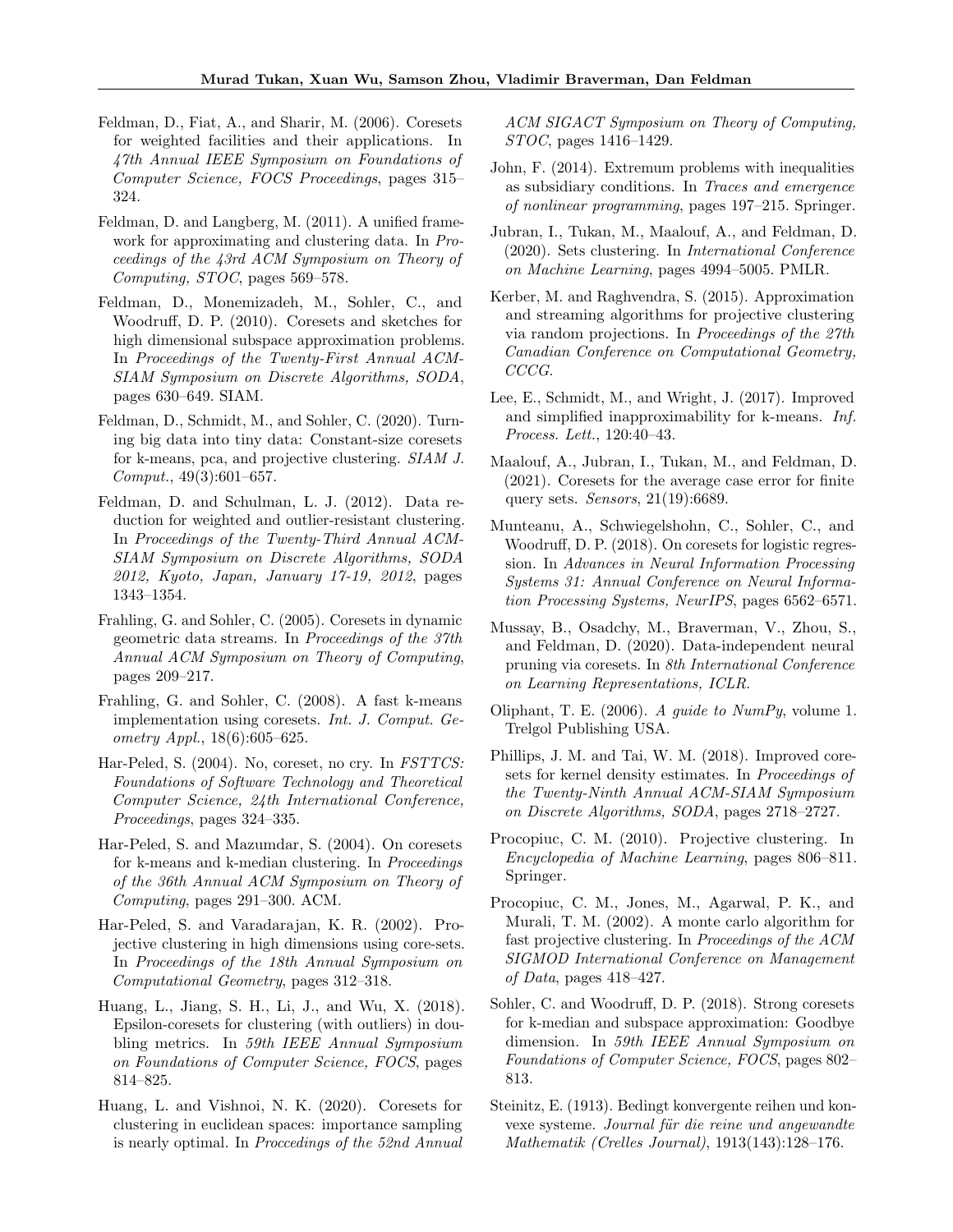- <span id="page-10-14"></span>Feldman, D., Fiat, A., and Sharir, M. (2006). Coresets for weighted facilities and their applications. In 47th Annual IEEE Symposium on Foundations of Computer Science, FOCS Proceedings, pages 315– 324.
- <span id="page-10-10"></span>Feldman, D. and Langberg, M. (2011). A unified framework for approximating and clustering data. In Proceedings of the 43rd ACM Symposium on Theory of Computing, STOC, pages 569–578.
- <span id="page-10-11"></span>Feldman, D., Monemizadeh, M., Sohler, C., and Woodruff, D. P. (2010). Coresets and sketches for high dimensional subspace approximation problems. In Proceedings of the Twenty-First Annual ACM-SIAM Symposium on Discrete Algorithms, SODA, pages 630–649. SIAM.
- <span id="page-10-13"></span>Feldman, D., Schmidt, M., and Sohler, C. (2020). Turning big data into tiny data: Constant-size coresets for k-means, pca, and projective clustering. SIAM J. Comput., 49(3):601–657.
- <span id="page-10-8"></span>Feldman, D. and Schulman, L. J. (2012). Data reduction for weighted and outlier-resistant clustering. In Proceedings of the Twenty-Third Annual ACM-SIAM Symposium on Discrete Algorithms, SODA 2012, Kyoto, Japan, January 17-19, 2012, pages 1343–1354.
- <span id="page-10-6"></span>Frahling, G. and Sohler, C. (2005). Coresets in dynamic geometric data streams. In Proceedings of the 37th Annual ACM Symposium on Theory of Computing, pages 209–217.
- <span id="page-10-7"></span>Frahling, G. and Sohler, C. (2008). A fast k-means implementation using coresets. Int. J. Comput. Geometry Appl., 18(6):605–625.
- <span id="page-10-21"></span>Har-Peled, S. (2004). No, coreset, no cry. In FSTTCS: Foundations of Software Technology and Theoretical Computer Science, 24th International Conference, Proceedings, pages 324–335.
- <span id="page-10-5"></span>Har-Peled, S. and Mazumdar, S. (2004). On coresets for k-means and k-median clustering. In Proceedings of the 36th Annual ACM Symposium on Theory of Computing, pages 291–300. ACM.
- <span id="page-10-3"></span>Har-Peled, S. and Varadarajan, K. R. (2002). Projective clustering in high dimensions using core-sets. In Proceedings of the 18th Annual Symposium on Computational Geometry, pages 312–318.
- <span id="page-10-16"></span>Huang, L., Jiang, S. H., Li, J., and Wu, X. (2018). Epsilon-coresets for clustering (with outliers) in doubling metrics. In 59th IEEE Annual Symposium on Foundations of Computer Science, FOCS, pages 814–825.
- <span id="page-10-9"></span>Huang, L. and Vishnoi, N. K. (2020). Coresets for clustering in euclidean spaces: importance sampling is nearly optimal. In Proccedings of the 52nd Annual

ACM SIGACT Symposium on Theory of Computing, STOC, pages 1416–1429.

- <span id="page-10-22"></span>John, F. (2014). Extremum problems with inequalities as subsidiary conditions. In Traces and emergence of nonlinear programming, pages 197–215. Springer.
- <span id="page-10-19"></span>Jubran, I., Tukan, M., Maalouf, A., and Feldman, D. (2020). Sets clustering. In International Conference on Machine Learning, pages 4994–5005. PMLR.
- <span id="page-10-4"></span>Kerber, M. and Raghvendra, S. (2015). Approximation and streaming algorithms for projective clustering via random projections. In Proceedings of the 27th Canadian Conference on Computational Geometry, CCCG.
- <span id="page-10-2"></span>Lee, E., Schmidt, M., and Wright, J. (2017). Improved and simplified inapproximability for k-means. Inf. Process. Lett., 120:40–43.
- <span id="page-10-20"></span>Maalouf, A., Jubran, I., Tukan, M., and Feldman, D. (2021). Coresets for the average case error for finite query sets. Sensors, 21(19):6689.
- <span id="page-10-17"></span>Munteanu, A., Schwiegelshohn, C., Sohler, C., and Woodruff, D. P. (2018). On coresets for logistic regression. In Advances in Neural Information Processing Systems 31: Annual Conference on Neural Information Processing Systems, NeurIPS, pages 6562–6571.
- <span id="page-10-18"></span>Mussay, B., Osadchy, M., Braverman, V., Zhou, S., and Feldman, D. (2020). Data-independent neural pruning via coresets. In 8th International Conference on Learning Representations, ICLR.
- <span id="page-10-24"></span>Oliphant, T. E. (2006). A guide to NumPy, volume 1. Trelgol Publishing USA.
- <span id="page-10-15"></span>Phillips, J. M. and Tai, W. M. (2018). Improved coresets for kernel density estimates. In Proceedings of the Twenty-Ninth Annual ACM-SIAM Symposium on Discrete Algorithms, SODA, pages 2718–2727.
- <span id="page-10-0"></span>Procopiuc, C. M. (2010). Projective clustering. In Encyclopedia of Machine Learning, pages 806–811. Springer.
- <span id="page-10-1"></span>Procopiuc, C. M., Jones, M., Agarwal, P. K., and Murali, T. M. (2002). A monte carlo algorithm for fast projective clustering. In Proceedings of the ACM SIGMOD International Conference on Management of Data, pages  $418-427$ .
- <span id="page-10-12"></span>Sohler, C. and Woodruff, D. P. (2018). Strong coresets for k-median and subspace approximation: Goodbye dimension. In 59th IEEE Annual Symposium on Foundations of Computer Science, FOCS, pages 802– 813.
- <span id="page-10-23"></span>Steinitz, E. (1913). Bedingt konvergente reihen und konvexe systeme. Journal für die reine und angewandte Mathematik (Crelles Journal), 1913(143):128–176.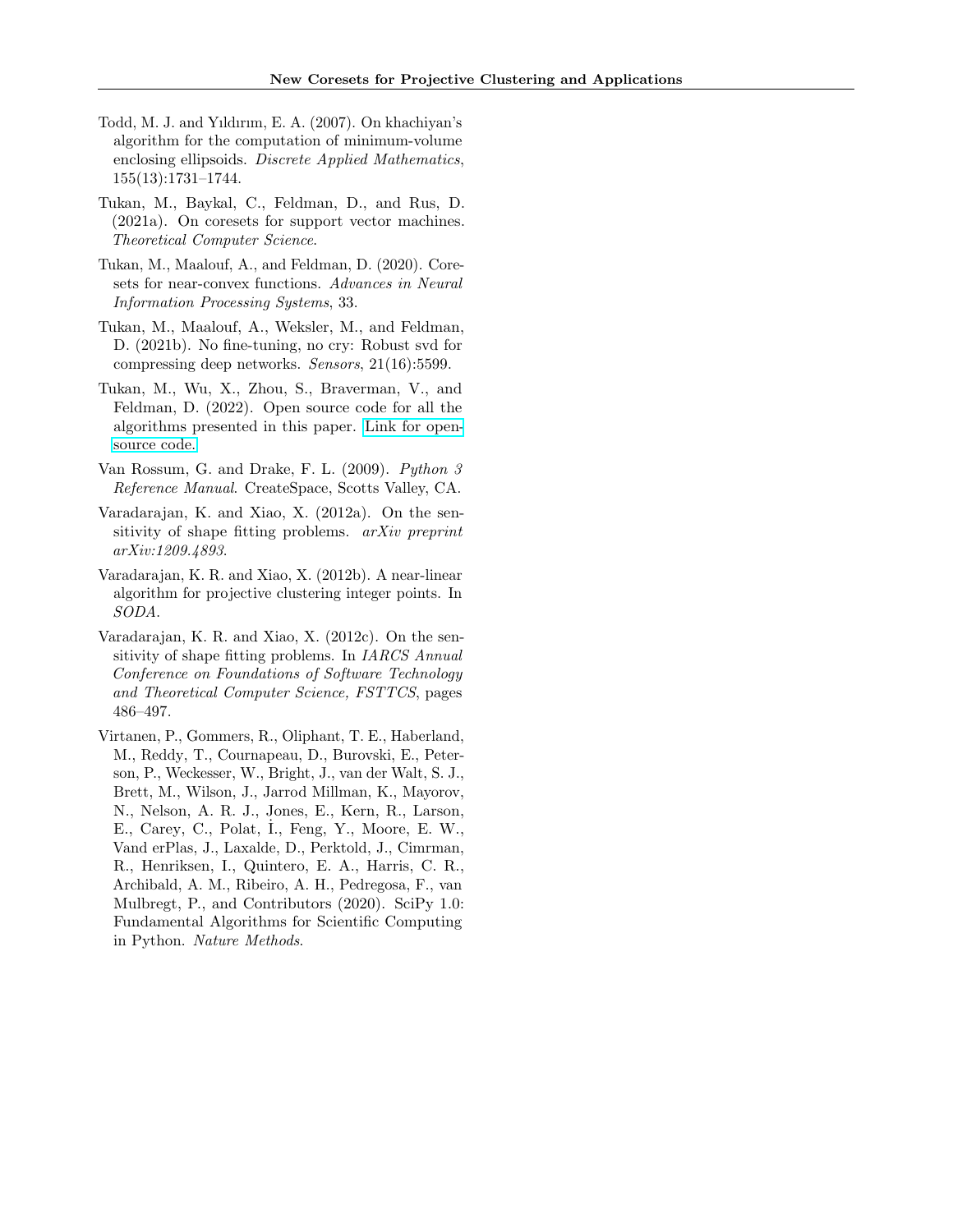- <span id="page-11-4"></span>Todd, M. J. and Yıldırım, E. A. (2007). On khachiyan's algorithm for the computation of minimum-volume enclosing ellipsoids. Discrete Applied Mathematics, 155(13):1731–1744.
- <span id="page-11-2"></span>Tukan, M., Baykal, C., Feldman, D., and Rus, D. (2021a). On coresets for support vector machines. Theoretical Computer Science.
- <span id="page-11-1"></span>Tukan, M., Maalouf, A., and Feldman, D. (2020). Coresets for near-convex functions. Advances in Neural Information Processing Systems, 33.
- <span id="page-11-0"></span>Tukan, M., Maalouf, A., Weksler, M., and Feldman, D. (2021b). No fine-tuning, no cry: Robust svd for compressing deep networks. Sensors, 21(16):5599.
- <span id="page-11-6"></span>Tukan, M., Wu, X., Zhou, S., Braverman, V., and Feldman, D. (2022). Open source code for all the algorithms presented in this paper. [Link for open](https://github.com/muradtuk/ProjectiveClusteringCoresets)[source code.](https://github.com/muradtuk/ProjectiveClusteringCoresets)
- <span id="page-11-7"></span>Van Rossum, G. and Drake, F. L. (2009). Python 3 Reference Manual. CreateSpace, Scotts Valley, CA.
- <span id="page-11-5"></span>Varadarajan, K. and Xiao, X. (2012a). On the sensitivity of shape fitting problems. *arXiv preprint* arXiv:1209.4893.
- <span id="page-11-9"></span>Varadarajan, K. R. and Xiao, X. (2012b). A near-linear algorithm for projective clustering integer points. In SODA.
- <span id="page-11-3"></span>Varadarajan, K. R. and Xiao, X. (2012c). On the sensitivity of shape fitting problems. In IARCS Annual Conference on Foundations of Software Technology and Theoretical Computer Science, FSTTCS, pages 486–497.
- <span id="page-11-8"></span>Virtanen, P., Gommers, R., Oliphant, T. E., Haberland, M., Reddy, T., Cournapeau, D., Burovski, E., Peterson, P., Weckesser, W., Bright, J., van der Walt, S. J., Brett, M., Wilson, J., Jarrod Millman, K., Mayorov, N., Nelson, A. R. J., Jones, E., Kern, R., Larson, E., Carey, C., Polat, I., Feng, Y., Moore, E. W., Vand erPlas, J., Laxalde, D., Perktold, J., Cimrman, R., Henriksen, I., Quintero, E. A., Harris, C. R., Archibald, A. M., Ribeiro, A. H., Pedregosa, F., van Mulbregt, P., and Contributors (2020). SciPy 1.0: Fundamental Algorithms for Scientific Computing in Python. Nature Methods.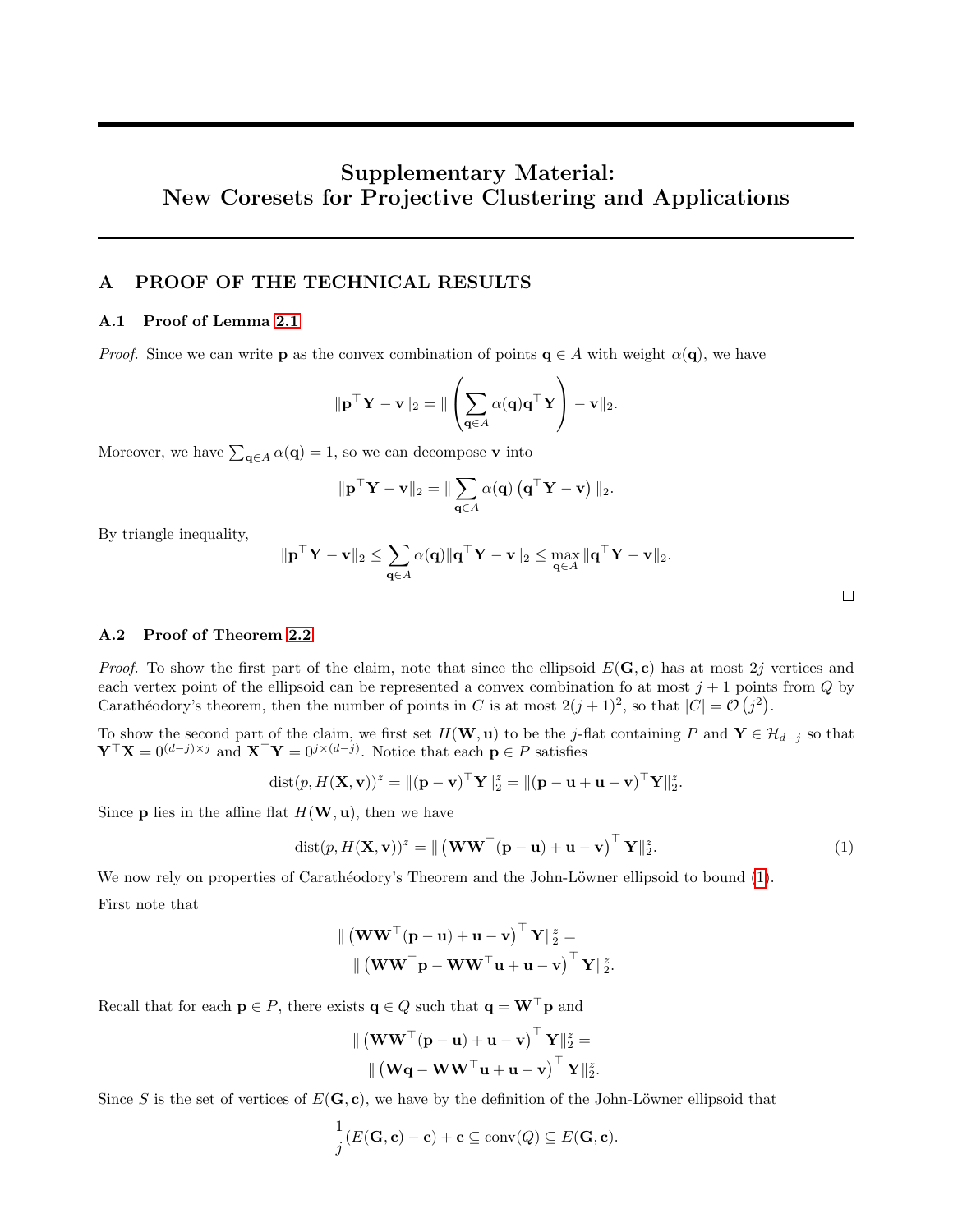# Supplementary Material: New Coresets for Projective Clustering and Applications

# A PROOF OF THE TECHNICAL RESULTS

### A.1 Proof of Lemma [2.1](#page-4-3)

*Proof.* Since we can write **p** as the convex combination of points  $q \in A$  with weight  $\alpha(q)$ , we have

$$
\|\mathbf{p}^\top \mathbf{Y} - \mathbf{v}\|_2 = \| \left( \sum_{\mathbf{q} \in A} \alpha(\mathbf{q}) \mathbf{q}^\top \mathbf{Y} \right) - \mathbf{v} \|_2.
$$

Moreover, we have  $\sum_{\mathbf{q} \in A} \alpha(\mathbf{q}) = 1$ , so we can decompose v into

$$
\|\mathbf{p}^\top \mathbf{Y} - \mathbf{v}\|_2 = \|\sum_{\mathbf{q} \in A} \alpha(\mathbf{q}) \left(\mathbf{q}^\top \mathbf{Y} - \mathbf{v}\right)\|_2.
$$

By triangle inequality,

$$
\|\mathbf{p}^\top\mathbf{Y}-\mathbf{v}\|_2 \leq \sum_{\mathbf{q}\in A} \alpha(\mathbf{q}) \|\mathbf{q}^\top\mathbf{Y}-\mathbf{v}\|_2 \leq \max_{\mathbf{q}\in A} \|\mathbf{q}^\top\mathbf{Y}-\mathbf{v}\|_2.
$$

<span id="page-12-0"></span> $\Box$ 

# A.2 Proof of Theorem [2.2](#page-4-2)

*Proof.* To show the first part of the claim, note that since the ellipsoid  $E(G, c)$  has at most 2j vertices and each vertex point of the ellipsoid can be represented a convex combination fo at most  $j + 1$  points from  $Q$  by Carathéodory's theorem, then the number of points in C is at most  $2(j+1)^2$ , so that  $|C| = \mathcal{O}(j^2)$ .

To show the second part of the claim, we first set  $H(\mathbf{W}, \mathbf{u})$  to be the j-flat containing P and  $\mathbf{Y} \in \mathcal{H}_{d-j}$  so that  $\mathbf{Y}^{\top}\mathbf{X} = 0^{(d-j)\times j}$  and  $\mathbf{X}^{\top}\mathbf{Y} = 0^{j\times(d-j)}$ . Notice that each  $\mathbf{p} \in P$  satisfies

dist
$$
(p, H(\mathbf{X}, \mathbf{v}))^z = ||(\mathbf{p} - \mathbf{v})^\top \mathbf{Y}||_2^z = ||(\mathbf{p} - \mathbf{u} + \mathbf{u} - \mathbf{v})^\top \mathbf{Y}||_2^z
$$
.

Since **p** lies in the affine flat  $H(\mathbf{W}, \mathbf{u})$ , then we have

$$
dist(p, H(\mathbf{X}, \mathbf{v}))^z = \| (\mathbf{WW}^\top (\mathbf{p} - \mathbf{u}) + \mathbf{u} - \mathbf{v})^\top \mathbf{Y} \|_2^z.
$$
 (1)

.

We now rely on properties of Carathéodory's Theorem and the John-Löwner ellipsoid to bound [\(1\)](#page-12-0).

First note that

$$
\| \left( \mathbf{W} \mathbf{W}^\top (\mathbf{p} - \mathbf{u}) + \mathbf{u} - \mathbf{v} \right)^\top \mathbf{Y} \|_2^2 =
$$

$$
\| \left( \mathbf{W} \mathbf{W}^\top \mathbf{p} - \mathbf{W} \mathbf{W}^\top \mathbf{u} + \mathbf{u} - \mathbf{v} \right)^\top \mathbf{Y} \|_2^2
$$

Recall that for each  $p \in P$ , there exists  $q \in Q$  such that  $q = W^{\top}p$  and

$$
\| \left( \mathbf{W} \mathbf{W}^{\top} (\mathbf{p} - \mathbf{u}) + \mathbf{u} - \mathbf{v} \right)^{\top} \mathbf{Y} \|_{2}^{z} =
$$

$$
\| \left( \mathbf{W} \mathbf{q} - \mathbf{W} \mathbf{W}^{\top} \mathbf{u} + \mathbf{u} - \mathbf{v} \right)^{\top} \mathbf{Y} \|_{2}^{z}.
$$

Since S is the set of vertices of  $E(G, c)$ , we have by the definition of the John-Löwner ellipsoid that

$$
\frac{1}{j}(E(\mathbf{G}, \mathbf{c}) - \mathbf{c}) + \mathbf{c} \subseteq \text{conv}(Q) \subseteq E(\mathbf{G}, \mathbf{c}).
$$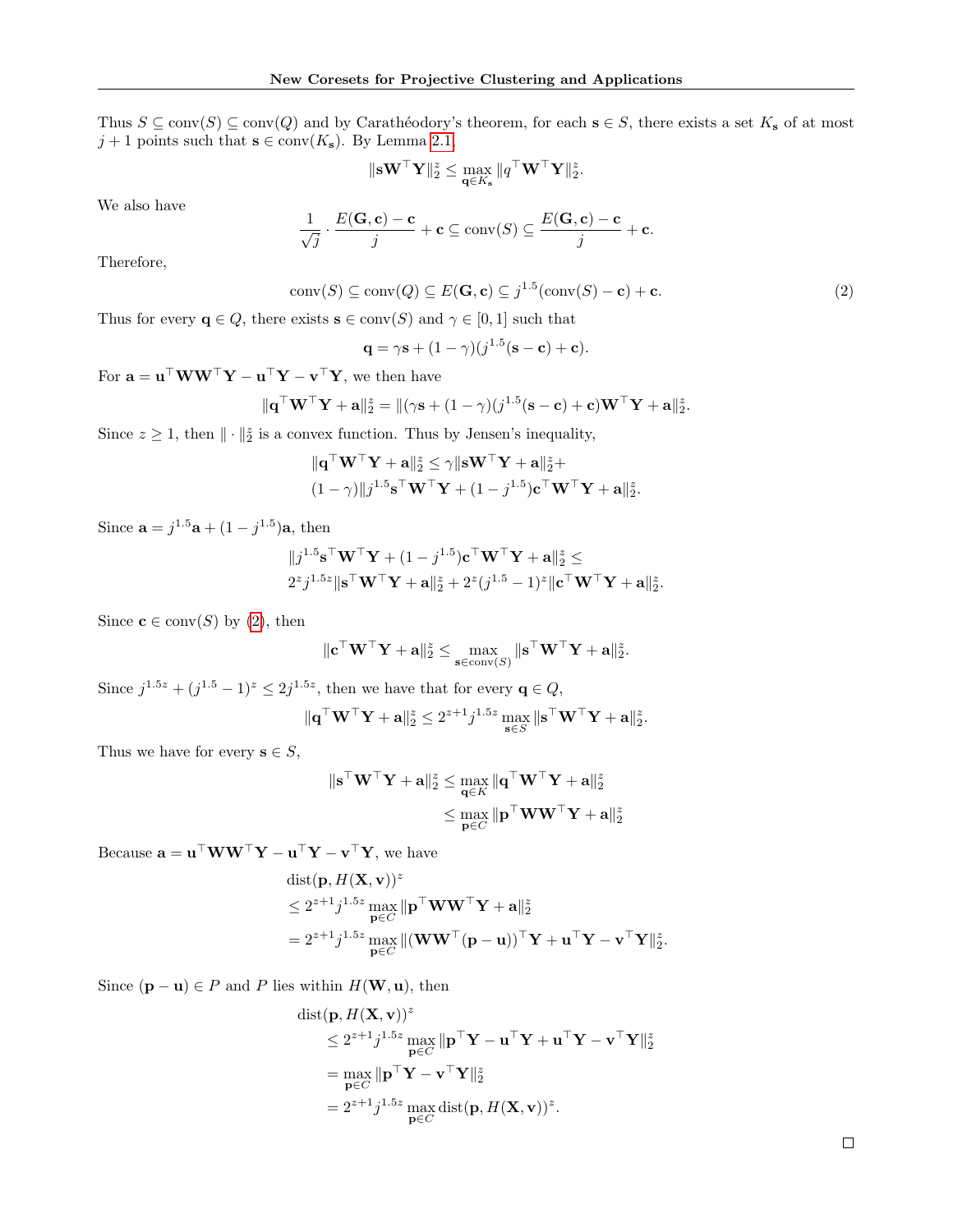Thus  $S \subseteq \text{conv}(S) \subseteq \text{conv}(Q)$  and by Carathéodory's theorem, for each  $s \in S$ , there exists a set  $K_s$  of at most  $j + 1$  points such that  $s \in \text{conv}(K_s)$ . By Lemma [2.1,](#page-4-3)

$$
\|\mathbf{s}\mathbf{W}^\top\mathbf{Y}\|_2^z \leq \max_{\mathbf{q}\in K_\mathbf{s}}\|q^\top\mathbf{W}^\top\mathbf{Y}\|_2^z.
$$

We also have

$$
\frac{1}{\sqrt{j}} \cdot \frac{E(\mathbf{G}, \mathbf{c}) - \mathbf{c}}{j} + \mathbf{c} \subseteq \text{conv}(S) \subseteq \frac{E(\mathbf{G}, \mathbf{c}) - \mathbf{c}}{j} + \mathbf{c}.
$$

Therefore,

$$
conv(S) \subseteq conv(Q) \subseteq E(\mathbf{G}, \mathbf{c}) \subseteq j^{1.5} (conv(S) - \mathbf{c}) + \mathbf{c}.
$$
 (2)

<span id="page-13-0"></span>.

Thus for every  $q \in Q$ , there exists  $s \in \text{conv}(S)$  and  $\gamma \in [0,1]$  such that

$$
\mathbf{q} = \gamma \mathbf{s} + (1 - \gamma)(j^{1.5}(\mathbf{s} - \mathbf{c}) + \mathbf{c}).
$$

For  $\mathbf{a} = \mathbf{u}^\top \mathbf{W} \mathbf{W}^\top \mathbf{Y} - \mathbf{u}^\top \mathbf{Y} - \mathbf{v}^\top \mathbf{Y}$ , we then have

$$
\|\mathbf{q}^\top \mathbf{W}^\top \mathbf{Y} + \mathbf{a}\|_2^z = \|(\gamma \mathbf{s} + (1 - \gamma)(j^{1.5}(\mathbf{s} - \mathbf{c}) + \mathbf{c})\mathbf{W}^\top \mathbf{Y} + \mathbf{a}\|_2^z
$$

Since  $z \geq 1$ , then  $\|\cdot\|_2^z$  is a convex function. Thus by Jensen's inequality,

$$
\|\mathbf{q}^\top \mathbf{W}^\top \mathbf{Y} + \mathbf{a}\|_2^2 \le \gamma \|\mathbf{s} \mathbf{W}^\top \mathbf{Y} + \mathbf{a}\|_2^2 +
$$
  

$$
(1 - \gamma)\|j^{1.5} \mathbf{s}^\top \mathbf{W}^\top \mathbf{Y} + (1 - j^{1.5}) \mathbf{c}^\top \mathbf{W}^\top \mathbf{Y} + \mathbf{a}\|_2^2.
$$

Since  $\mathbf{a} = j^{1.5} \mathbf{a} + (1 - j^{1.5}) \mathbf{a}$ , then

$$
||j^{1.5}\mathbf{s}^\top\mathbf{W}^\top\mathbf{Y} + (1-j^{1.5})\mathbf{c}^\top\mathbf{W}^\top\mathbf{Y} + \mathbf{a}||_2^z \leq
$$
  

$$
2^z j^{1.5z}||\mathbf{s}^\top\mathbf{W}^\top\mathbf{Y} + \mathbf{a}||_2^z + 2^z(j^{1.5} - 1)^z||\mathbf{c}^\top\mathbf{W}^\top\mathbf{Y} + \mathbf{a}||_2^z.
$$

Since  $\mathbf{c} \in \text{conv}(S)$  by [\(2\)](#page-13-0), then

$$
\| \mathbf{c}^\top \mathbf{W}^\top \mathbf{Y} + \mathbf{a} \|_2^z \leq \max_{\mathbf{s} \in \operatorname{conv}(S)} \| \mathbf{s}^\top \mathbf{W}^\top \mathbf{Y} + \mathbf{a} \|_2^z.
$$

Since  $j^{1.5z} + (j^{1.5} - 1)^z \le 2j^{1.5z}$ , then we have that for every  $\mathbf{q} \in Q$ ,  $\|\mathbf q^\top \mathbf W^\top \mathbf Y + \mathbf a\|_2^z \leq 2^{z+1} j^{1.5z} \max_{\mathbf s \in S} \|\mathbf s^\top \mathbf W^\top \mathbf Y + \mathbf a\|_2^z.$ 

Thus we have for every  $s \in S$ ,

$$
\begin{aligned} \|\mathbf{s}^\top \mathbf{W}^\top \mathbf{Y} + \mathbf{a}\|_2^2 &\leq \max_{\mathbf{q} \in K} \|\mathbf{q}^\top \mathbf{W}^\top \mathbf{Y} + \mathbf{a}\|_2^2 \\ &\leq \max_{\mathbf{p} \in C} \|\mathbf{p}^\top \mathbf{W} \mathbf{W}^\top \mathbf{Y} + \mathbf{a}\|_2^2 \end{aligned}
$$

Because  $\mathbf{a} = \mathbf{u}^\top \mathbf{W} \mathbf{W}^\top \mathbf{Y} - \mathbf{u}^\top \mathbf{Y} - \mathbf{v}^\top \mathbf{Y}$ , we have

$$
\begin{aligned} &\text{dist}(\mathbf{p}, H(\mathbf{X}, \mathbf{v}))^{z} \\ &\leq 2^{z+1}j^{1.5z}\max_{\mathbf{p}\in C}\|\mathbf{p}^{\top}\mathbf{W}\mathbf{W}^{\top}\mathbf{Y}+\mathbf{a}\|_{2}^{z} \\ &=2^{z+1}j^{1.5z}\max_{\mathbf{p}\in C}\|(\mathbf{W}\mathbf{W}^{\top}(\mathbf{p}-\mathbf{u}))^{\top}\mathbf{Y}+\mathbf{u}^{\top}\mathbf{Y}-\mathbf{v}^{\top}\mathbf{Y}\|_{2}^{z}.\end{aligned}
$$

Since  $(\mathbf{p} - \mathbf{u}) \in P$  and P lies within  $H(\mathbf{W}, \mathbf{u})$ , then

dist(**p**, 
$$
H(\mathbf{X}, \mathbf{v})
$$
)<sup>z</sup>  
\n $\leq 2^{z+1}j^{1.5z} \max_{\mathbf{p} \in C} \|\mathbf{p}^\top \mathbf{Y} - \mathbf{u}^\top \mathbf{Y} + \mathbf{u}^\top \mathbf{Y} - \mathbf{v}^\top \mathbf{Y}\|_2^z$   
\n $= \max_{\mathbf{p} \in C} \|\mathbf{p}^\top \mathbf{Y} - \mathbf{v}^\top \mathbf{Y}\|_2^z$   
\n $= 2^{z+1}j^{1.5z} \max_{\mathbf{p} \in C} \text{dist}(\mathbf{p}, H(\mathbf{X}, \mathbf{v}))^z.$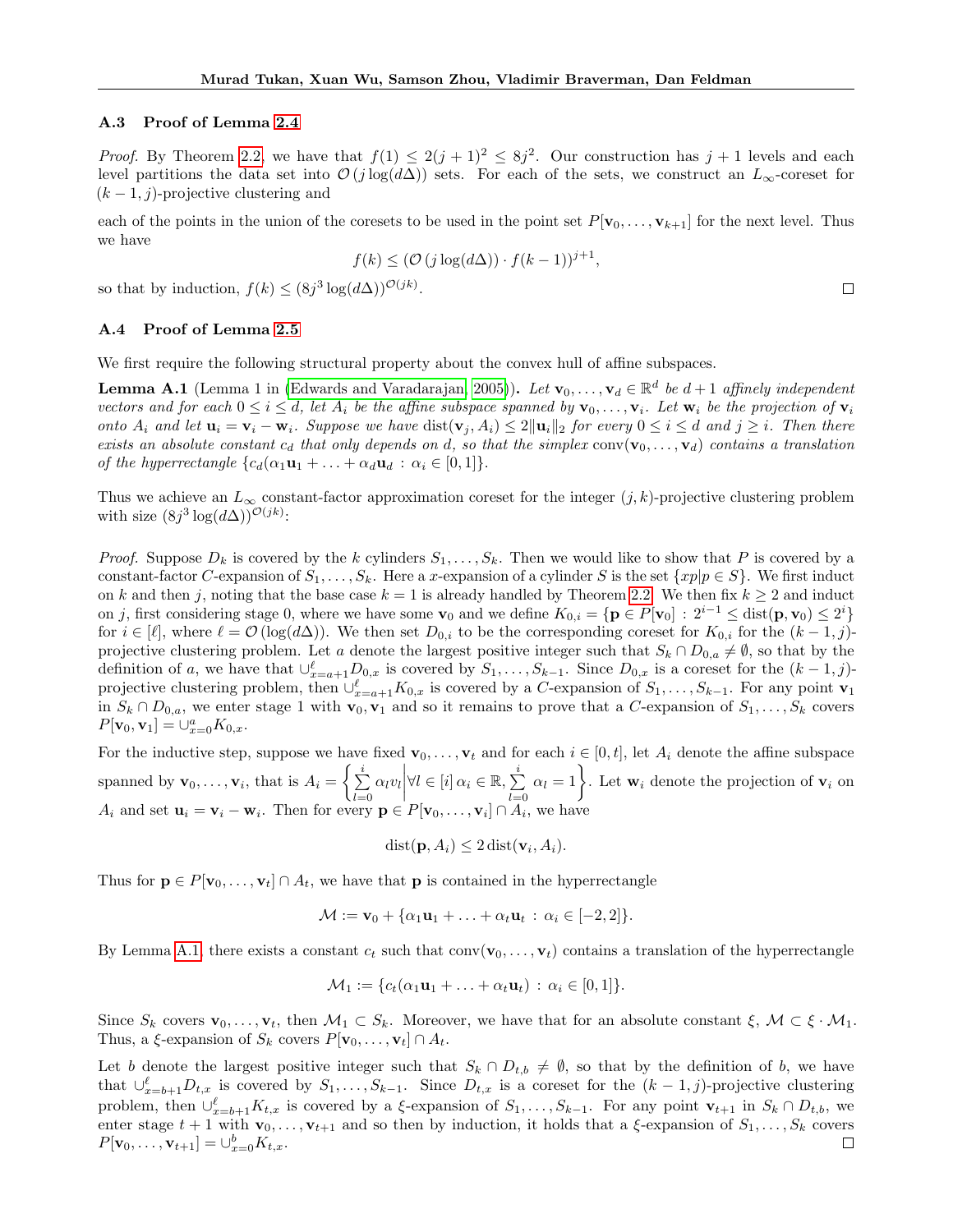#### A.3 Proof of Lemma [2.4](#page-5-2)

*Proof.* By Theorem [2.2,](#page-4-2) we have that  $f(1) \leq 2(j+1)^2 \leq 8j^2$ . Our construction has  $j+1$  levels and each level partitions the data set into  $\mathcal{O}(j \log(d\Delta))$  sets. For each of the sets, we construct an  $L_{\infty}$ -coreset for  $(k-1, j)$ -projective clustering and

each of the points in the union of the coresets to be used in the point set  $P[\mathbf{v}_0, \ldots, \mathbf{v}_{k+1}]$  for the next level. Thus we have

$$
f(k) \le (\mathcal{O}(j \log(d\Delta)) \cdot f(k-1))^{j+1},
$$

 $\Box$ 

so that by induction,  $f(k) \leq (8j^3 \log(d\Delta))^{\mathcal{O}(jk)}$ .

### A.4 Proof of Lemma [2.5](#page-5-1)

We first require the following structural property about the convex hull of affine subspaces.

<span id="page-14-0"></span>**Lemma A.1** (Lemma 1 in [\(Edwards and Varadarajan, 2005\)](#page-9-17)). Let  $\mathbf{v}_0, \ldots, \mathbf{v}_d \in \mathbb{R}^d$  be  $d+1$  affinely independent vectors and for each  $0 \le i \le d$ , let  $A_i$  be the affine subspace spanned by  $\mathbf{v}_0, \ldots, \mathbf{v}_i$ . Let  $\mathbf{w}_i$  be the projection of  $\mathbf{v}_i$ onto  $A_i$  and let  $\mathbf{u}_i = \mathbf{v}_i - \mathbf{w}_i$ . Suppose we have  $dist(\mathbf{v}_i, A_i) \leq 2 \|\mathbf{u}_i\|_2$  for every  $0 \leq i \leq d$  and  $j \geq i$ . Then there exists an absolute constant  $c_d$  that only depends on d, so that the simplex  $conv(v_0, \ldots, v_d)$  contains a translation of the hyperrectangle  ${c_d(\alpha_1\mathbf{u}_1 + \ldots + \alpha_d\mathbf{u}_d : \alpha_i \in [0,1]}$ .

Thus we achieve an  $L_{\infty}$  constant-factor approximation coreset for the integer  $(j, k)$ -projective clustering problem with size  $(8j^3 \log(d\Delta))^{\mathcal{O}(jk)}$ :

*Proof.* Suppose  $D_k$  is covered by the k cylinders  $S_1, \ldots, S_k$ . Then we would like to show that P is covered by a constant-factor C-expansion of  $S_1, \ldots, S_k$ . Here a x-expansion of a cylinder S is the set  $\{xp|p \in S\}$ . We first induct on k and then j, noting that the base case  $k = 1$  is already handled by Theorem [2.2.](#page-4-2) We then fix  $k \ge 2$  and induct on j, first considering stage 0, where we have some  $\mathbf{v}_0$  and we define  $K_{0,i} = \{ \mathbf{p} \in P[\mathbf{v}_0] : 2^{i-1} \leq \text{dist}(\mathbf{p}, \mathbf{v}_0) \leq 2^i \}$ for  $i \in [\ell],$  where  $\ell = \mathcal{O}(\log(d\Delta))$ . We then set  $D_{0,i}$  to be the corresponding coreset for  $K_{0,i}$  for the  $(k-1,j)$ projective clustering problem. Let a denote the largest positive integer such that  $S_k \cap D_{0,a} \neq \emptyset$ , so that by the definition of a, we have that  $\cup_{x=a+1}^{\ell} D_{0,x}$  is covered by  $S_1,\ldots,S_{k-1}$ . Since  $D_{0,x}$  is a coreset for the  $(k-1,j)$ projective clustering problem, then  $\cup_{x=a+1}^{\ell} K_{0,x}$  is covered by a C-expansion of  $S_1, \ldots, S_{k-1}$ . For any point  $\mathbf{v}_1$ in  $S_k \cap D_{0,a}$ , we enter stage 1 with  $\mathbf{v}_0, \mathbf{v}_1$  and so it remains to prove that a C-expansion of  $S_1, \ldots, S_k$  covers  $P[\mathbf{v}_0, \mathbf{v}_1] = \bigcup_{x=0}^a K_{0,x}.$ 

For the inductive step, suppose we have fixed  $\mathbf{v}_0, \ldots, \mathbf{v}_t$  and for each  $i \in [0, t]$ , let  $A_i$  denote the affine subspace spanned by  $\mathbf{v}_0, \ldots, \mathbf{v}_i$ , that is  $A_i = \begin{cases} \sum_i^i$  $\sum_{l=0}^{i} \alpha_l v_l \bigg| \forall l \in [i] \, \alpha_i \in \mathbb{R}, \sum_{l=0}^{i}$  $\sum_{l=0}^{i} \alpha_l = 1$ . Let  $\mathbf{w}_i$  denote the projection of  $\mathbf{v}_i$  on  $A_i$  and set  $\mathbf{u}_i = \mathbf{v}_i - \mathbf{w}_i$ . Then for every  $\mathbf{p} \in P[\mathbf{v}_0, \dots, \mathbf{v}_i] \cap A_i$ , we have

$$
dist(\mathbf{p}, A_i) \leq 2 \operatorname{dist}(\mathbf{v}_i, A_i).
$$

Thus for  $\mathbf{p} \in P[\mathbf{v}_0, \dots, \mathbf{v}_t] \cap A_t$ , we have that **p** is contained in the hyperrectangle

$$
\mathcal{M} := \mathbf{v}_0 + \{ \alpha_1 \mathbf{u}_1 + \ldots + \alpha_t \mathbf{u}_t \, : \, \alpha_i \in [-2,2] \}.
$$

By Lemma [A.1,](#page-14-0) there exists a constant  $c_t$  such that  $conv(\mathbf{v}_0, \ldots, \mathbf{v}_t)$  contains a translation of the hyperrectangle

$$
\mathcal{M}_1 := \{c_t(\alpha_1\mathbf{u}_1 + \ldots + \alpha_t\mathbf{u}_t) : \alpha_i \in [0,1]\}.
$$

Since  $S_k$  covers  $\mathbf{v}_0, \ldots, \mathbf{v}_t$ , then  $\mathcal{M}_1 \subset S_k$ . Moreover, we have that for an absolute constant  $\xi, \mathcal{M} \subset \xi \cdot \mathcal{M}_1$ . Thus, a  $\xi$ -expansion of  $S_k$  covers  $P[\mathbf{v}_0, \dots, \mathbf{v}_t] \cap A_t$ .

Let b denote the largest positive integer such that  $S_k \cap D_{t,b} \neq \emptyset$ , so that by the definition of b, we have that  $\cup_{x=b+1}^{\ell} D_{t,x}$  is covered by  $S_1,\ldots,S_{k-1}$ . Since  $D_{t,x}$  is a coreset for the  $(k-1,j)$ -projective clustering problem, then  $\cup_{x=b+1}^{\ell} K_{t,x}$  is covered by a  $\xi$ -expansion of  $S_1, \ldots, S_{k-1}$ . For any point  $\mathbf{v}_{t+1}$  in  $S_k \cap D_{t,b}$ , we enter stage  $t + 1$  with  $\mathbf{v}_0, \ldots, \mathbf{v}_{t+1}$  and so then by induction, it holds that a  $\xi$ -expansion of  $S_1, \ldots, S_k$  covers  $P[\mathbf{v}_0, \dots, \mathbf{v}_{t+1}] = \bigcup_{x=0}^{b} K_{t,x}.$  $\Box$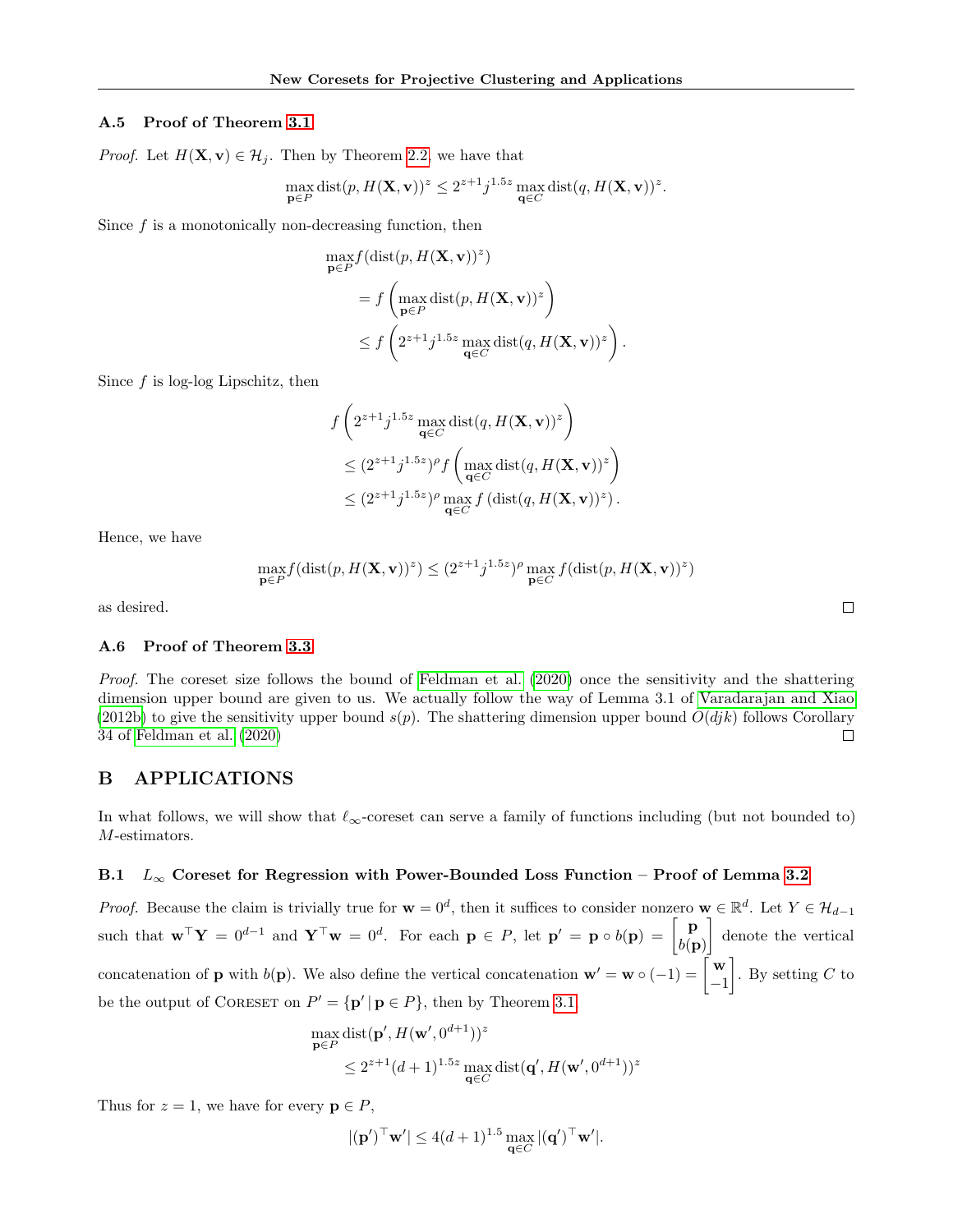### A.5 Proof of Theorem [3.1](#page-6-1)

*Proof.* Let  $H(\mathbf{X}, \mathbf{v}) \in \mathcal{H}_i$ . Then by Theorem [2.2,](#page-4-2) we have that

$$
\max_{\mathbf{p}\in P} \text{dist}(p, H(\mathbf{X}, \mathbf{v}))^z \leq 2^{z+1} j^{1.5z} \max_{\mathbf{q}\in C} \text{dist}(q, H(\mathbf{X}, \mathbf{v}))^z.
$$

Since  $f$  is a monotonically non-decreasing function, then

$$
\max_{\mathbf{p}\in P} f(\text{dist}(p, H(\mathbf{X}, \mathbf{v}))^z)
$$
\n
$$
= f\left(\max_{\mathbf{p}\in P} \text{dist}(p, H(\mathbf{X}, \mathbf{v}))^z\right)
$$
\n
$$
\leq f\left(2^{z+1}j^{1.5z}\max_{\mathbf{q}\in C} \text{dist}(q, H(\mathbf{X}, \mathbf{v}))^z\right).
$$

Since  $f$  is log-log Lipschitz, then

$$
f\left(2^{z+1}j^{1.5z}\max_{\mathbf{q}\in C}\text{dist}(q, H(\mathbf{X}, \mathbf{v}))^{z}\right)
$$
  
\n
$$
\leq (2^{z+1}j^{1.5z})^{\rho}f\left(\max_{\mathbf{q}\in C}\text{dist}(q, H(\mathbf{X}, \mathbf{v}))^{z}\right)
$$
  
\n
$$
\leq (2^{z+1}j^{1.5z})^{\rho}\max_{\mathbf{q}\in C}f\left(\text{dist}(q, H(\mathbf{X}, \mathbf{v}))^{z}\right).
$$

Hence, we have

$$
\max_{\mathbf{p}\in P}f(\text{dist}(p,H(\mathbf{X},\mathbf{v}))^z)\leq (2^{z+1}j^{1.5z})^{\rho}\max_{\mathbf{p}\in C}f(\text{dist}(p,H(\mathbf{X},\mathbf{v}))^z)
$$

as desired.

### A.6 Proof of Theorem [3.3](#page-6-2)

Proof. The coreset size follows the bound of [Feldman et al.](#page-10-13) [\(2020\)](#page-10-13) once the sensitivity and the shattering dimension upper bound are given to us. We actually follow the way of Lemma 3.1 of [Varadarajan and Xiao](#page-11-9) [\(2012b\)](#page-11-9) to give the sensitivity upper bound  $s(p)$ . The shattering dimension upper bound  $O(djk)$  follows Corollary 34 of [Feldman et al.](#page-10-13) [\(2020\)](#page-10-13)  $\Box$ 

# <span id="page-15-0"></span>B APPLICATIONS

In what follows, we will show that  $\ell_{\infty}$ -coreset can serve a family of functions including (but not bounded to) M-estimators.

## B.1  $L_{\infty}$  Coreset for Regression with Power-Bounded Loss Function – Proof of Lemma [3.2](#page-6-0)

*Proof.* Because the claim is trivially true for  $\mathbf{w} = 0^d$ , then it suffices to consider nonzero  $\mathbf{w} \in \mathbb{R}^d$ , then it suffices to consider nonzero  $\mathbf{w} \in \mathbb{R}^d$ . Let  $Y \in \mathcal{H}_{d-1}$ such that  $\mathbf{w}^\top \mathbf{Y} = 0^{d-1}$  and  $\mathbf{Y}^\top \mathbf{w} = 0^d$ . For each  $\mathbf{p} \in P$ , let  $\mathbf{p}' = \mathbf{p} \circ b(\mathbf{p}) = \begin{bmatrix} \mathbf{p} \\ b(\mathbf{p}) \end{bmatrix}$  $b(\mathbf{p})$  denote the vertical concatenation of **p** with  $b(\mathbf{p})$ . We also define the vertical concatenation  $\mathbf{w}' = \mathbf{w} \circ (-1) = \begin{bmatrix} \mathbf{w} \\ -1 \end{bmatrix}$ −1 . By setting  $C$  to be the output of CORESET on  $P' = {\{ \mathbf{p}' \mid \mathbf{p} \in P \}}$ , then by Theorem [3.1,](#page-6-1)

$$
\max_{\mathbf{p}\in P} \text{dist}(\mathbf{p}', H(\mathbf{w}', 0^{d+1}))^z
$$
  
\$\leq 2^{z+1}(d+1)^{1.5z} \max\_{\mathbf{q}\in C} \text{dist}(\mathbf{q}', H(\mathbf{w}', 0^{d+1}))^z\$

Thus for  $z = 1$ , we have for every  $p \in P$ ,

$$
|(\mathbf{p}')^\top \mathbf{w}'| \le 4(d+1)^{1.5} \max_{\mathbf{q} \in C} |(\mathbf{q}')^\top \mathbf{w}'|.
$$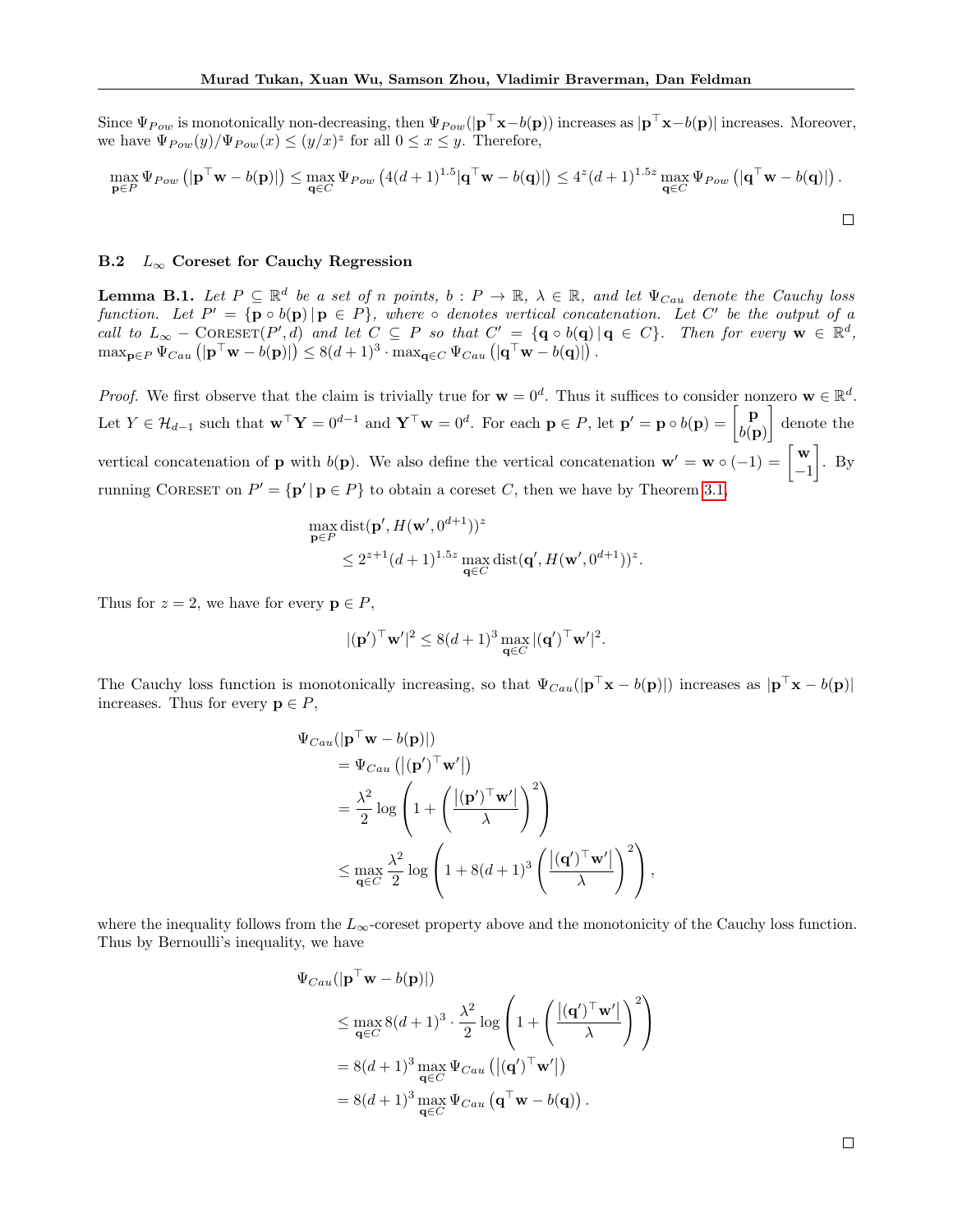Since  $\Psi_{Pow}$  is monotonically non-decreasing, then  $\Psi_{Pow}(|\mathbf{p}^{\top}\mathbf{x}-b(\mathbf{p}))$  increases as  $|\mathbf{p}^{\top}\mathbf{x}-b(\mathbf{p})|$  increases. Moreover, we have  $\Psi_{Pow}(y)/\Psi_{Pow}(x) \leq (y/x)^z$  for all  $0 \leq x \leq y$ . Therefore,

$$
\max_{\mathbf{p}\in P}\Psi_{Pow}\left(|\mathbf{p}^\top\mathbf{w}-b(\mathbf{p})|\right)\leq \max_{\mathbf{q}\in C}\Psi_{Pow}\left(4(d+1)^{1.5}|\mathbf{q}^\top\mathbf{w}-b(\mathbf{q})|\right)\leq 4^z(d+1)^{1.5z}\max_{\mathbf{q}\in C}\Psi_{Pow}\left(|\mathbf{q}^\top\mathbf{w}-b(\mathbf{q})|\right).
$$

#### B.2  $L_{\infty}$  Coreset for Cauchy Regression

<span id="page-16-0"></span>**Lemma B.1.** Let  $P \subseteq \mathbb{R}^d$  be a set of n points,  $b : P \to \mathbb{R}$ ,  $\lambda \in \mathbb{R}$ , and let  $\Psi_{Cau}$  denote the Cauchy loss function. Let  $P' = {\mathbf{p} \circ b(\mathbf{p}) | \mathbf{p} \in P}$ , where  $\circ$  denotes vertical concatenation. Let C' be the output of a call to  $L_{\infty}$  – CORESET(P',d) and let  $C \subseteq P$  so that  $C' = {\mathbf{q} \circ b(\mathbf{q}) | \mathbf{q} \in C}$ . Then for every  $\mathbf{w} \in \mathbb{R}^d$ ,  $\max_{\mathbf{p}\in P}\Psi_{Cau} \left( |\mathbf{p}^{\top}\mathbf{w}-b(\mathbf{p})| \right) \leq 8(d+1)^3\cdot \max_{\mathbf{q}\in C}\Psi_{Cau} \left( |\mathbf{q}^{\top}\mathbf{w}-b(\mathbf{q})| \right).$ 

*Proof.* We first observe that the claim is trivially true for  $\mathbf{w} = 0^d$ . Thus it suffices to consider nonzero  $\mathbf{w} \in \mathbb{R}^d$ . Let  $Y \in \mathcal{H}_{d-1}$  such that  $\mathbf{w}^\top \mathbf{Y} = 0^{d-1}$  and  $\mathbf{Y}^\top \mathbf{w} = 0^d$ . For each  $\mathbf{p} \in P$ , let  $\mathbf{p}' = \mathbf{p} \circ b(\mathbf{p}) = \begin{bmatrix} \mathbf{p} \\ b(\mathbf{p}') \end{bmatrix}$  $b(\mathbf{p})$  denote the vertical concatenation of **p** with  $b(\mathbf{p})$ . We also define the vertical concatenation  $\mathbf{w}' = \mathbf{w} \circ (-1) = \begin{bmatrix} \mathbf{w} \\ -1 \end{bmatrix}$ −1  $\big]$ . By running CORESET on  $P' = {\mathbf{p'} | \mathbf{p} \in P}$  to obtain a coreset C, then we have by Theorem [3.1,](#page-6-1)

$$
\max_{\mathbf{p}\in P} \text{dist}(\mathbf{p}', H(\mathbf{w}', 0^{d+1}))^z
$$
  

$$
\leq 2^{z+1} (d+1)^{1.5z} \max_{\mathbf{q}\in C} \text{dist}(\mathbf{q}', H(\mathbf{w}', 0^{d+1}))^z.
$$

Thus for  $z = 2$ , we have for every  $p \in P$ ,

$$
|(\mathbf{p}')^\top \mathbf{w}'|^2 \le 8(d+1)^3 \max_{\mathbf{q} \in C} |(\mathbf{q}')^\top \mathbf{w}'|^2.
$$

The Cauchy loss function is monotonically increasing, so that  $\Psi_{Cau}(|\mathbf{p}^{\top}\mathbf{x} - b(\mathbf{p})|)$  increases as  $|\mathbf{p}^{\top}\mathbf{x} - b(\mathbf{p})|$ increases. Thus for every  $p \in P$ ,

$$
\Psi_{Cau}(|\mathbf{p}^{\top}\mathbf{w} - b(\mathbf{p})|)
$$
\n
$$
= \Psi_{Cau} (|(\mathbf{p}')^{\top}\mathbf{w}'|)
$$
\n
$$
= \frac{\lambda^2}{2} \log \left( 1 + \left( \frac{|(\mathbf{p}')^{\top}\mathbf{w}'|}{\lambda} \right)^2 \right)
$$
\n
$$
\leq \max_{\mathbf{q} \in C} \frac{\lambda^2}{2} \log \left( 1 + 8(d+1)^3 \left( \frac{|(\mathbf{q}')^{\top}\mathbf{w}'|}{\lambda} \right)^2 \right),
$$

where the inequality follows from the  $L_{\infty}$ -coreset property above and the monotonicity of the Cauchy loss function. Thus by Bernoulli's inequality, we have

$$
\Psi_{Cau}(|\mathbf{p}^{\top}\mathbf{w} - b(\mathbf{p})|)
$$
\n
$$
\leq \max_{\mathbf{q} \in C} 8(d+1)^3 \cdot \frac{\lambda^2}{2} \log \left( 1 + \left( \frac{|(\mathbf{q}')^{\top}\mathbf{w}'|}{\lambda} \right)^2 \right)
$$
\n
$$
= 8(d+1)^3 \max_{\mathbf{q} \in C} \Psi_{Cau} \left( |(\mathbf{q}')^{\top}\mathbf{w}'| \right)
$$
\n
$$
= 8(d+1)^3 \max_{\mathbf{q} \in C} \Psi_{Cau} \left( \mathbf{q}^{\top}\mathbf{w} - b(\mathbf{q}) \right).
$$

 $\Box$ 

 $\Box$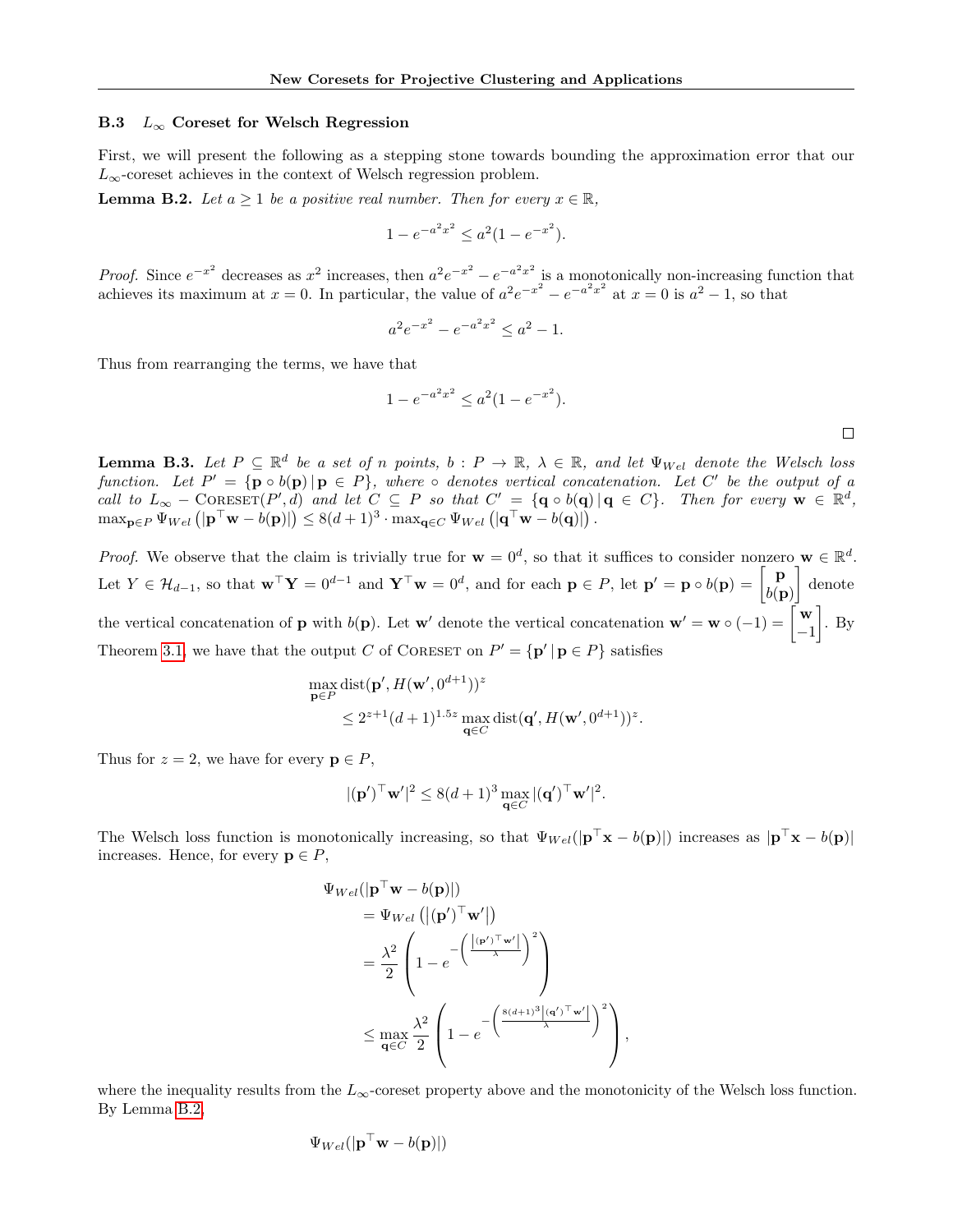### B.3  $L_{\infty}$  Coreset for Welsch Regression

First, we will present the following as a stepping stone towards bounding the approximation error that our  $L_{\infty}$  coreset achieves in the context of Welsch regression problem.

<span id="page-17-1"></span>**Lemma B.2.** Let  $a \geq 1$  be a positive real number. Then for every  $x \in \mathbb{R}$ ,

$$
1 - e^{-a^2 x^2} \le a^2 (1 - e^{-x^2}).
$$

*Proof.* Since  $e^{-x^2}$  decreases as  $x^2$  increases, then  $a^2e^{-x^2} - e^{-a^2x^2}$  is a monotonically non-increasing function that achieves its maximum at  $x = 0$ . In particular, the value of  $a^2e^{-x^2} - e^{-a^2x^2}$  at  $x = 0$  is  $a^2 - 1$ , so that

$$
a^2 e^{-x^2} - e^{-a^2 x^2} \le a^2 - 1.
$$

Thus from rearranging the terms, we have that

$$
1 - e^{-a^2 x^2} \le a^2 (1 - e^{-x^2}).
$$

 $\Box$ 

<span id="page-17-0"></span>**Lemma B.3.** Let  $P \subseteq \mathbb{R}^d$  be a set of n points,  $b : P \to \mathbb{R}$ ,  $\lambda \in \mathbb{R}$ , and let  $\Psi_{Wel}$  denote the Welsch loss function. Let  $P' = {\mathbf{p} \circ b(\mathbf{p}) | \mathbf{p} \in P}$ , where  $\circ$  denotes vertical concatenation. Let C' be the output of a call to  $L_{\infty}$  – CORESET(P',d) and let  $C \subseteq P$  so that  $C' = {\mathbf{q} \circ b(\mathbf{q}) | \mathbf{q} \in C}$ . Then for every  $\mathbf{w} \in \mathbb{R}^d$ ,  $\max_{\mathbf{p}\in P}\Psi_{Wel}(\mathbf{p}^{\top}\mathbf{w}-b(\mathbf{p})\mathbf{)}\leq 8(d+1)^{3}\cdot\max_{\mathbf{q}\in C}\Psi_{Wel}(\mathbf{q}^{\top}\mathbf{w}-b(\mathbf{q})\mathbf{)}$ .

*Proof.* We observe that the claim is trivially true for  $\mathbf{w} = 0^d$ , so that it suffices to consider nonzero  $\mathbf{w} \in \mathbb{R}^d$ . Let  $Y \in \mathcal{H}_{d-1}$ , so that  $\mathbf{w}^\top \mathbf{Y} = 0^{d-1}$  and  $\mathbf{Y}^\top \mathbf{w} = 0^d$ , and for each  $\mathbf{p} \in P$ , let  $\mathbf{p}' = \mathbf{p} \circ b(\mathbf{p}) = \begin{bmatrix} \mathbf{p} \\ b(\mathbf{p}) \end{bmatrix}$  $b(\mathbf{p})$  denote the vertical concatenation of **p** with  $b(\mathbf{p})$ . Let **w**<sup>*'*</sup> denote the vertical concatenation **w**<sup>*'*</sup> = **w**  $\circ$  (-1) =  $\begin{bmatrix} \mathbf{w} \\ -1 \end{bmatrix}$ −1  $\big]$ . By Theorem [3.1,](#page-6-1) we have that the output C of CORESET on  $P' = {\mathbf{p'} | \mathbf{p} \in P}$  satisfies

$$
\begin{aligned} & \max_{\mathbf{p}\in P} \text{dist}(\mathbf{p}', H(\mathbf{w}', 0^{d+1}))^z \\ & \leq 2^{z+1} (d+1)^{1.5z} \max_{\mathbf{q}\in C} \text{dist}(\mathbf{q}', H(\mathbf{w}', 0^{d+1}))^z. \end{aligned}
$$

Thus for  $z = 2$ , we have for every  $p \in P$ ,

$$
|(\mathbf{p}')^\top \mathbf{w}'|^2 \le 8(d+1)^3 \max_{\mathbf{q} \in C} |(\mathbf{q}')^\top \mathbf{w}'|^2.
$$

The Welsch loss function is monotonically increasing, so that  $\Psi_{Wel}(|\mathbf{p}^T \mathbf{x} - b(\mathbf{p})|)$  increases as  $|\mathbf{p}^T \mathbf{x} - b(\mathbf{p})|$ increases. Hence, for every  $p \in P$ ,

$$
\Psi_{Wel}(|\mathbf{p}^{\top}\mathbf{w} - b(\mathbf{p})|)
$$
\n
$$
= \Psi_{Wel} (|(\mathbf{p}')^{\top}\mathbf{w}'|)
$$
\n
$$
= \frac{\lambda^2}{2} \left( 1 - e^{-\left(\frac{|\mathbf{p}'|^{\top}\mathbf{w}'|}{\lambda}\right)^2} \right)
$$
\n
$$
\leq \max_{\mathbf{q} \in C} \frac{\lambda^2}{2} \left( 1 - e^{-\left(\frac{8(d+1)^3|\mathbf{q}'|^{\top}\mathbf{w}'|}{\lambda}\right)^2} \right),
$$

where the inequality results from the  $L_{\infty}$ -coreset property above and the monotonicity of the Welsch loss function. By Lemma [B.2,](#page-17-1)

$$
\Psi_{Wel}(|\mathbf{p}^\top \mathbf{w} - b(\mathbf{p})|)
$$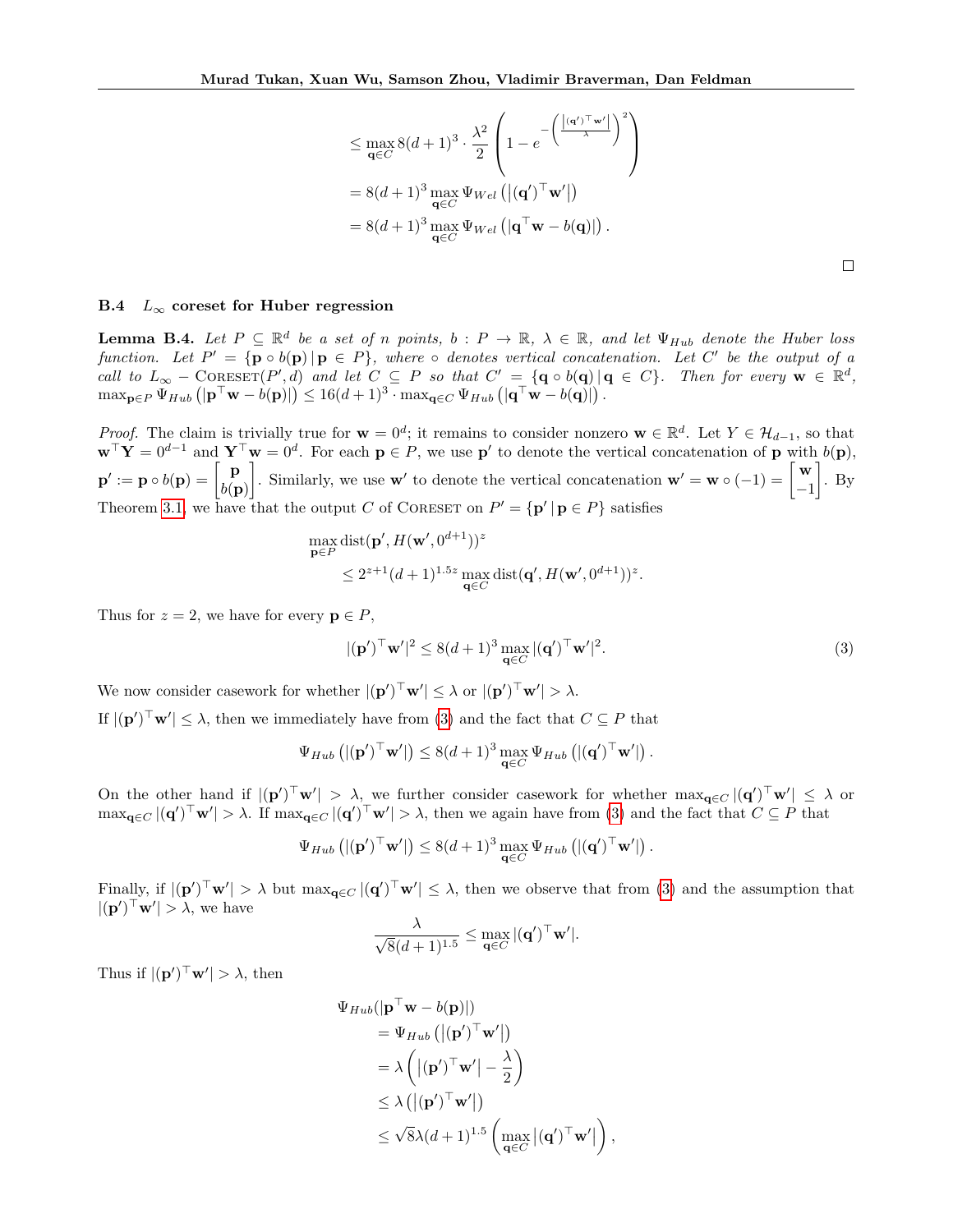$$
\leq \max_{\mathbf{q}\in C} 8(d+1)^3 \cdot \frac{\lambda^2}{2} \left(1 - e^{-\left(\frac{\left|(\mathbf{q}')^\top \mathbf{w}'\right|}{\lambda}\right)^2}\right)
$$
  
= 8(d+1)<sup>3</sup> max  $\Psi_{Wel} (\vert (\mathbf{q}')^\top \mathbf{w}' \vert)$   
= 8(d+1)<sup>3</sup> max  $\Psi_{Wel} (\vert \mathbf{q}^\top \mathbf{w} - b(\mathbf{q}) \vert)$ .

## B.4  $L_{\infty}$  coreset for Huber regression

<span id="page-18-0"></span>**Lemma B.4.** Let  $P \subseteq \mathbb{R}^d$  be a set of n points,  $b : P \to \mathbb{R}$ ,  $\lambda \in \mathbb{R}$ , and let  $\Psi_{Hub}$  denote the Huber loss function. Let  $P' = {\mathbf{p} \circ b(\mathbf{p}) | \mathbf{p} \in P}$ , where  $\circ$  denotes vertical concatenation. Let C' be the output of a call to  $L_{\infty}$  – CORESET(P', d) and let  $C \subseteq P$  so that  $C' = {\mathbf{q} \circ b(\mathbf{q}) | \mathbf{q} \in C}$ . Then for every  $\mathbf{w} \in \mathbb{R}^d$ ,  $\max_{\mathbf{p}\in P}\Psi_{Hub} (\mathbf{|}\mathbf{p}^{\top}\mathbf{w}-b(\mathbf{p})|) \leq 16(d+1)^3\cdot \max_{\mathbf{q}\in C}\Psi_{Hub} (\mathbf{|}\mathbf{q}^{\top}\mathbf{w}-b(\mathbf{q})|).$ 

Proof. The claim is trivially true for  $\mathbf{w} = 0^d$ ; it remains to consider nonzero  $\mathbf{w} \in \mathbb{R}^d$ . Let  $Y \in \mathcal{H}_{d-1}$ , so that  $\mathbf{w}^{\top} \mathbf{Y} = 0^{d-1}$  and  $\mathbf{Y}^{\top} \mathbf{w} = 0^d$ . For each  $p \in P$ , we use p' to denote the vertical concatenation of p with  $b(\mathbf{p})$ ,  $\mathbf{p}^\prime := \mathbf{p} \circ b(\mathbf{p}) = \begin{bmatrix} \mathbf{p} \ b(\mathbf{r}) \end{bmatrix}$  $b(\mathbf{p})$ Similarly, we use **w**' to denote the vertical concatenation  $\mathbf{w}' = \mathbf{w} \circ (-1) = \begin{bmatrix} \mathbf{w} \\ -1 \end{bmatrix}$ −1  $\big]$ . By Theorem [3.1,](#page-6-1) we have that the output C of CORESET on  $P' = {\bf p' | p \in P}$  satisfies

$$
\max_{\mathbf{p}\in P} \text{dist}(\mathbf{p}', H(\mathbf{w}', 0^{d+1}))^z
$$
  

$$
\leq 2^{z+1} (d+1)^{1.5z} \max_{\mathbf{q}\in C} \text{dist}(\mathbf{q}', H(\mathbf{w}', 0^{d+1}))^z.
$$

Thus for  $z = 2$ , we have for every  $p \in P$ ,

<span id="page-18-1"></span>
$$
|(\mathbf{p}')^\top \mathbf{w}'|^2 \le 8(d+1)^3 \max_{\mathbf{q} \in C} |(\mathbf{q}')^\top \mathbf{w}'|^2. \tag{3}
$$

We now consider casework for whether  $|({\bf p}')^\top {\bf w}'| \leq \lambda$  or  $|({\bf p}')^\top {\bf w}'| > \lambda$ . If  $|(\mathbf{p}')^\top \mathbf{w}'| \leq \lambda$ , then we immediately have from [\(3\)](#page-18-1) and the fact that  $C \subseteq P$  that

$$
\Psi_{Hub} \left( |(\mathbf{p}')^\top \mathbf{w}'| \right) \leq 8(d+1)^3 \max_{\mathbf{q} \in C} \Psi_{Hub} \left( |(\mathbf{q}')^\top \mathbf{w}'| \right).
$$

On the other hand if  $|(\mathbf{p}')^\top \mathbf{w}'| > \lambda$ , we further consider casework for whether  $\max_{\mathbf{q} \in C} |(\mathbf{q}')^\top \mathbf{w}'| \leq \lambda$  or  $\max_{\mathbf{q}\in C} |(\mathbf{q}')^\top \mathbf{w}'| > \lambda$ . If  $\max_{\mathbf{q}\in C} |(\mathbf{q}')^\top \mathbf{w}'| > \lambda$ , then we again have from [\(3\)](#page-18-1) and the fact that  $C \subseteq P$  that

$$
\Psi_{Hub} \left( |(\mathbf{p}')^\top \mathbf{w}'| \right) \leq 8(d+1)^3 \max_{\mathbf{q} \in C} \Psi_{Hub} \left( |(\mathbf{q}')^\top \mathbf{w}'| \right).
$$

Finally, if  $|(\mathbf{p}')^\top \mathbf{w}'| > \lambda$  but  $\max_{\mathbf{q} \in C} |(\mathbf{q}')^\top \mathbf{w}'| \leq \lambda$ , then we observe that from [\(3\)](#page-18-1) and the assumption that  $|(\mathbf{p}')^\top \mathbf{w}'| > \lambda$ , we have

$$
\frac{\lambda}{\sqrt{8}(d+1)^{1.5}} \leq \max_{\mathbf{q} \in C} |(\mathbf{q}')^\top \mathbf{w}'|.
$$

Thus if  $|(\mathbf{p}')^\top \mathbf{w}'| > \lambda$ , then

$$
\Psi_{Hub}(|\mathbf{p}^{\top}\mathbf{w} - b(\mathbf{p})|)
$$
\n
$$
= \Psi_{Hub} (|(\mathbf{p}')^{\top}\mathbf{w}'|)
$$
\n
$$
= \lambda \left(|(\mathbf{p}')^{\top}\mathbf{w}'| - \frac{\lambda}{2}\right)
$$
\n
$$
\leq \lambda (|(\mathbf{p}')^{\top}\mathbf{w}'|)
$$
\n
$$
\leq \sqrt{8}\lambda (d+1)^{1.5} \left(\max_{\mathbf{q} \in C} |(\mathbf{q}')^{\top}\mathbf{w}'| \right),
$$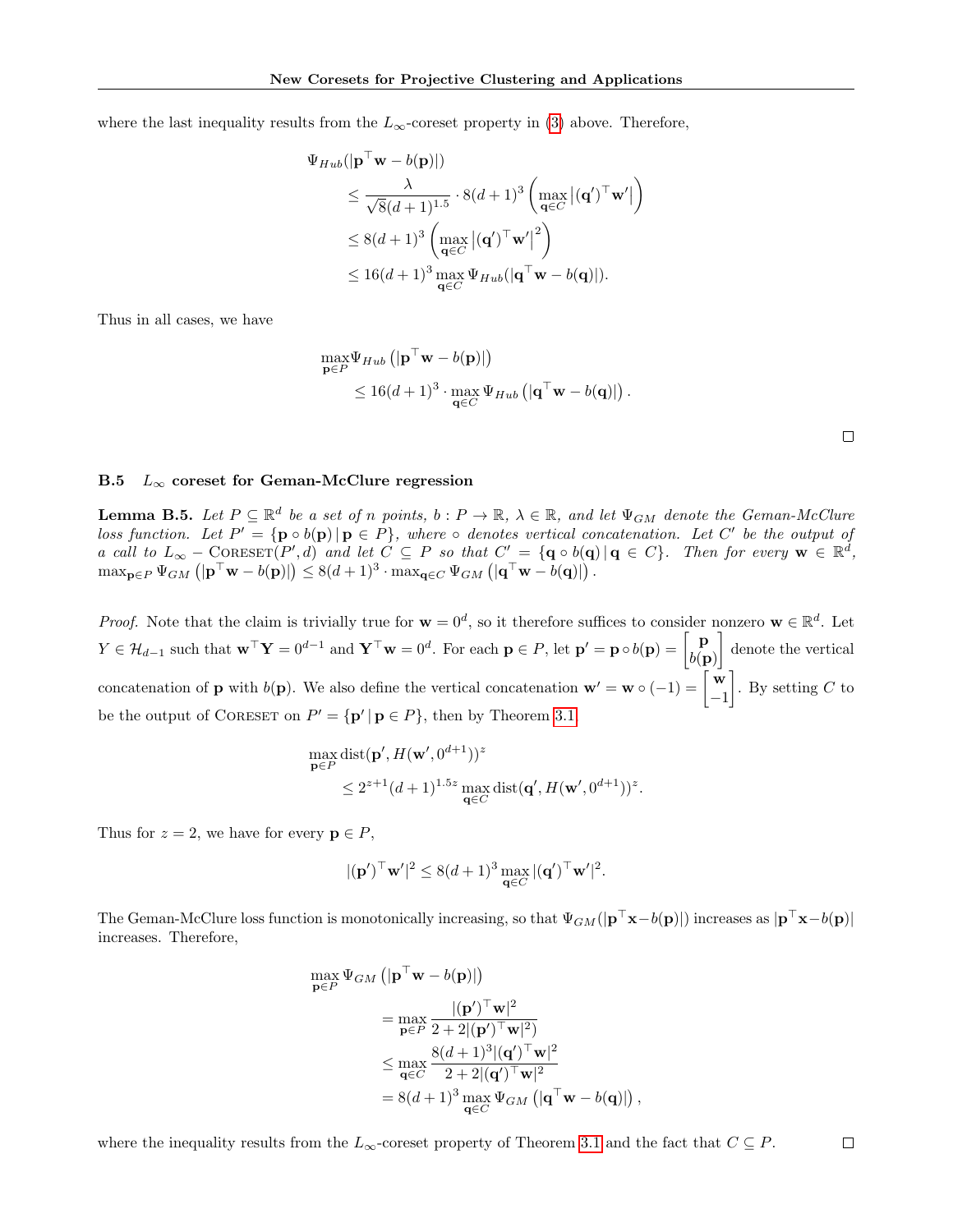where the last inequality results from the  $L_{\infty}$ -coreset property in [\(3\)](#page-18-1) above. Therefore,

$$
\Psi_{Hub}(|\mathbf{p}^{\top}\mathbf{w} - b(\mathbf{p})|)
$$
\n
$$
\leq \frac{\lambda}{\sqrt{8}(d+1)^{1.5}} \cdot 8(d+1)^{3} \left( \max_{\mathbf{q} \in C} |(\mathbf{q}')^{\top}\mathbf{w}'| \right)
$$
\n
$$
\leq 8(d+1)^{3} \left( \max_{\mathbf{q} \in C} |(\mathbf{q}')^{\top}\mathbf{w}'|^{2} \right)
$$
\n
$$
\leq 16(d+1)^{3} \max_{\mathbf{q} \in C} \Psi_{Hub}(|\mathbf{q}^{\top}\mathbf{w} - b(\mathbf{q})|).
$$

Thus in all cases, we have

$$
\max_{\mathbf{p}\in P} \Psi_{Hub} \left( |\mathbf{p}^\top \mathbf{w} - b(\mathbf{p})| \right) \n\leq 16(d+1)^3 \cdot \max_{\mathbf{q}\in C} \Psi_{Hub} \left( |\mathbf{q}^\top \mathbf{w} - b(\mathbf{q})| \right).
$$

### B.5  $L_{\infty}$  coreset for Geman-McClure regression

<span id="page-19-0"></span>**Lemma B.5.** Let  $P \subseteq \mathbb{R}^d$  be a set of n points,  $b : P \to \mathbb{R}$ ,  $\lambda \in \mathbb{R}$ , and let  $\Psi_{GM}$  denote the Geman-McClure loss function. Let  $P' = \{ \mathbf{p} \circ b(\mathbf{p}) \mid \mathbf{p} \in P \}$ , where  $\circ$  denotes vertical concatenation. Let C' be the output of a call to  $L_{\infty}$  – CORESET(P', d) and let  $C \subseteq P$  so that  $C' = {\bf{q} \circ b(\bf{q}) | \bf{q} \in C}$ . Then for every  $\bf{w} \in \mathbb{R}^d$ ,  $\max_{\mathbf{p}\in P}\Psi_{GM}\left(|\mathbf{p}^{\top}\mathbf{w}-b(\mathbf{p})|\right)\leq 8(d+1)^3\cdot\max_{\mathbf{q}\in C}\Psi_{GM}\left(|\mathbf{q}^{\top}\mathbf{w}-b(\mathbf{q})|\right).$ 

*Proof.* Note that the claim is trivially true for  $\mathbf{w} = 0^d$ , so it therefore suffices to consider nonzero  $\mathbf{w} \in \mathbb{R}^d$ . Let  $Y \in \mathcal{H}_{d-1}$  such that  $\mathbf{w}^\top \mathbf{Y} = 0^{d-1}$  and  $\mathbf{Y}^\top \mathbf{w} = 0^d$ . For each  $\mathbf{p} \in P$ , let  $\mathbf{p}' = \mathbf{p} \circ b(\mathbf{p}) = \begin{bmatrix} \mathbf{p} \\ b(\mathbf{p}') \end{bmatrix}$  $b(\mathbf{p})$  denote the vertical concatenation of **p** with  $b(\mathbf{p})$ . We also define the vertical concatenation  $\mathbf{w}' = \mathbf{w} \circ (-1) = \begin{bmatrix} \mathbf{w} \\ -1 \end{bmatrix}$ −1 . By setting  $C$  to be the output of CORESET on  $P' = {\{ \mathbf{p}' \mid \mathbf{p} \in P \}}$ , then by Theorem [3.1,](#page-6-1)

$$
\max_{\mathbf{p}\in P} \text{dist}(\mathbf{p}', H(\mathbf{w}', 0^{d+1}))^z
$$
  

$$
\leq 2^{z+1} (d+1)^{1.5z} \max_{\mathbf{q}\in C} \text{dist}(\mathbf{q}', H(\mathbf{w}', 0^{d+1}))^z.
$$

Thus for  $z = 2$ , we have for every  $p \in P$ ,

$$
|(\mathbf{p}')^\top \mathbf{w}'|^2 \le 8(d+1)^3 \max_{\mathbf{q} \in C} |(\mathbf{q}')^\top \mathbf{w}'|^2.
$$

The Geman-McClure loss function is monotonically increasing, so that  $\Psi_{GM}(|\mathbf{p}^{\top}\mathbf{x}-b(\mathbf{p})|)$  increases as  $|\mathbf{p}^{\top}\mathbf{x}-b(\mathbf{p})|$ increases. Therefore,

$$
\max_{\mathbf{p}\in P} \Psi_{GM} \left( |\mathbf{p}^\top \mathbf{w} - b(\mathbf{p})| \right)
$$
\n
$$
= \max_{\mathbf{p}\in P} \frac{|(\mathbf{p}')^\top \mathbf{w}|^2}{2 + 2|(\mathbf{p}')^\top \mathbf{w}|^2}
$$
\n
$$
\leq \max_{\mathbf{q}\in C} \frac{8(d+1)^3|(\mathbf{q}')^\top \mathbf{w}|^2}{2 + 2|(\mathbf{q}')^\top \mathbf{w}|^2}
$$
\n
$$
= 8(d+1)^3 \max_{\mathbf{q}\in C} \Psi_{GM} \left( |\mathbf{q}^\top \mathbf{w} - b(\mathbf{q})| \right),
$$

where the inequality results from the  $L_{\infty}$ -coreset property of Theorem [3.1](#page-6-1) and the fact that  $C \subseteq P$ .  $\Box$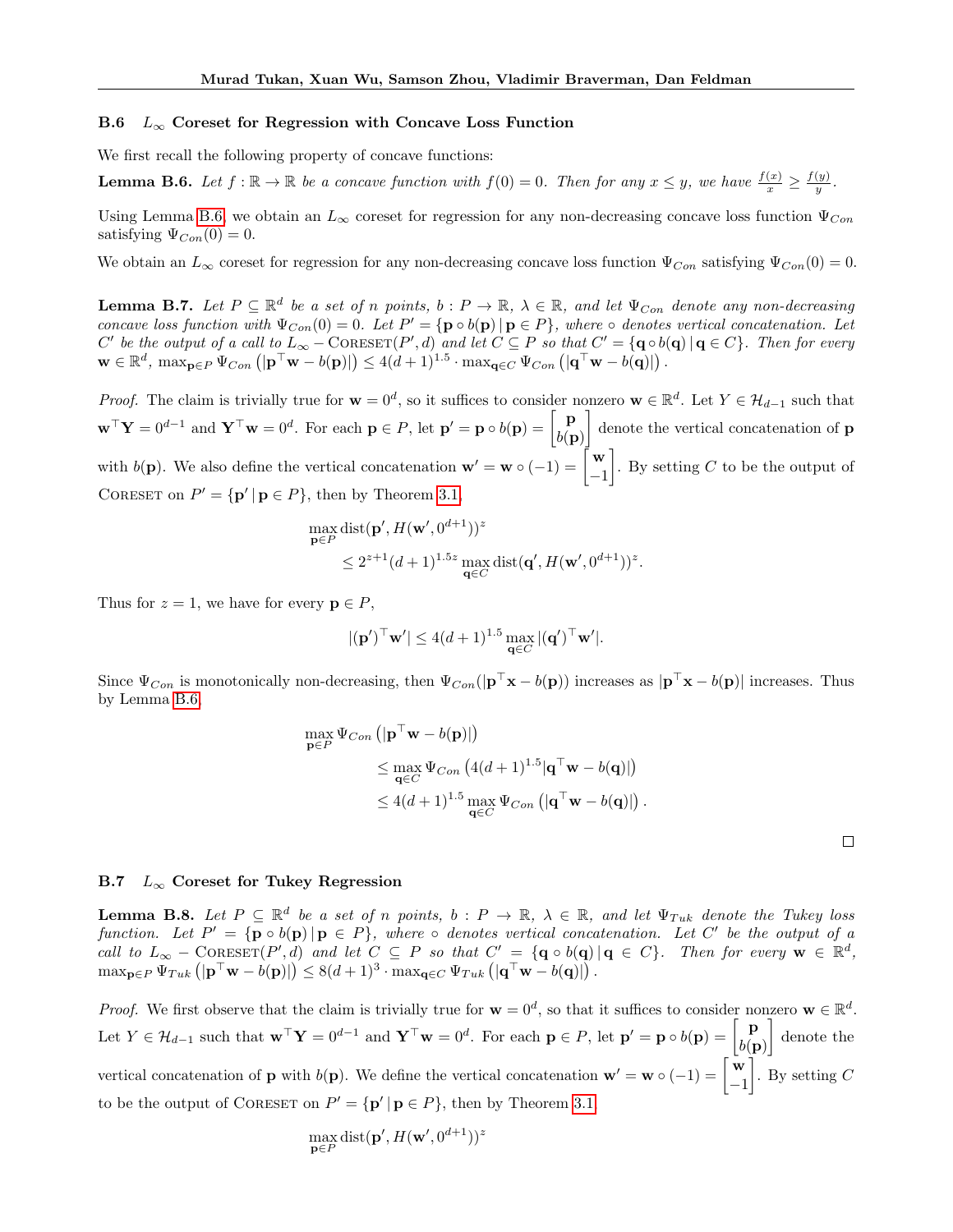#### B.6  $L_{\infty}$  Coreset for Regression with Concave Loss Function

We first recall the following property of concave functions:

<span id="page-20-2"></span>**Lemma B.6.** Let  $f : \mathbb{R} \to \mathbb{R}$  be a concave function with  $f(0) = 0$ . Then for any  $x \leq y$ , we have  $\frac{f(x)}{x} \geq \frac{f(y)}{y}$  $\frac{(y)}{y}$  .

Using Lemma [B.6,](#page-20-2) we obtain an  $L_{\infty}$  coreset for regression for any non-decreasing concave loss function  $\Psi_{Con}$ satisfying  $\Psi_{Con}(0) = 0$ .

We obtain an  $L_{\infty}$  coreset for regression for any non-decreasing concave loss function  $\Psi_{Con}$  satisfying  $\Psi_{Con}(0) = 0$ .

<span id="page-20-0"></span>**Lemma B.7.** Let  $P \subseteq \mathbb{R}^d$  be a set of n points,  $b : P \to \mathbb{R}$ ,  $\lambda \in \mathbb{R}$ , and let  $\Psi_{Con}$  denote any non-decreasing concave loss function with  $\Psi_{Con}(0) = 0$ . Let  $P' = \{ \mathbf{p} \circ b(\mathbf{p}) \mid \mathbf{p} \in P \}$ , where  $\circ$  denotes vertical concatenation. Let  $C'$  be the output of a call to  $L_{\infty}$  – CORESET(P', d) and let  $C \subseteq P$  so that  $C' = {\mathbf{q} \circ b(\mathbf{q}) \mid \mathbf{q} \in C}$ . Then for every  $\mathbf{w} \in \mathbb{R}^d$ ,  $\max_{\mathbf{p} \in P} \Psi_{Con} \left( |\mathbf{p}^\top \mathbf{w} - b(\mathbf{p})| \right) \leq 4(d+1)^{1.5} \cdot \max_{\mathbf{q} \in C} \Psi_{Con} \left( |\mathbf{q}^\top \mathbf{w} - b(\mathbf{q})| \right)$ .

*Proof.* The claim is trivially true for  $\mathbf{w} = 0^d$ , so it suffices to consider nonzero  $\mathbf{w} \in \mathbb{R}^d$ . Let  $Y \in \mathcal{H}_{d-1}$  such that  $\mathbf{w}^\top \mathbf{Y} = 0^{d-1}$  and  $\mathbf{Y}^\top \mathbf{w} = 0^d$ . For each  $\mathbf{p} \in P$ , let  $\mathbf{p}' = \mathbf{p} \circ b(\mathbf{p}) = \begin{bmatrix} \mathbf{p} \\ b(\mathbf{r}) \end{bmatrix}$  $b(\mathbf{p})$ denote the vertical concatenation of **p** with  $b(\mathbf{p})$ . We also define the vertical concatenation  $\mathbf{w}' = \mathbf{w} \circ (-1) = \begin{bmatrix} \mathbf{w} \\ -1 \end{bmatrix}$ −1 . By setting  $C$  to be the output of CORESET on  $P' = {\mathbf{p'} | \mathbf{p} \in P}$ , then by Theorem [3.1,](#page-6-1)

$$
\max_{\mathbf{p}\in P} \text{dist}(\mathbf{p}', H(\mathbf{w}', 0^{d+1}))^z
$$
  
 
$$
\leq 2^{z+1} (d+1)^{1.5z} \max_{\mathbf{q}\in C} \text{dist}(\mathbf{q}', H(\mathbf{w}', 0^{d+1}))^z.
$$

Thus for  $z = 1$ , we have for every  $p \in P$ ,

$$
|(\mathbf{p}')^\top \mathbf{w}'| \le 4(d+1)^{1.5} \max_{\mathbf{q} \in C} |(\mathbf{q}')^\top \mathbf{w}'|.
$$

Since  $\Psi_{Con}$  is monotonically non-decreasing, then  $\Psi_{Con}(|\mathbf{p}^{\top}\mathbf{x} - b(\mathbf{p}))$  increases as  $|\mathbf{p}^{\top}\mathbf{x} - b(\mathbf{p})|$  increases. Thus by Lemma [B.6,](#page-20-2)

$$
\max_{\mathbf{p}\in P} \Psi_{Con} \left( |\mathbf{p}^\top \mathbf{w} - b(\mathbf{p})| \right) \n\leq \max_{\mathbf{q}\in C} \Psi_{Con} \left( 4(d+1)^{1.5} |\mathbf{q}^\top \mathbf{w} - b(\mathbf{q})| \right) \n\leq 4(d+1)^{1.5} \max_{\mathbf{q}\in C} \Psi_{Con} \left( |\mathbf{q}^\top \mathbf{w} - b(\mathbf{q})| \right).
$$

 $\Box$ 

### B.7  $L_{\infty}$  Coreset for Tukey Regression

<span id="page-20-1"></span>**Lemma B.8.** Let  $P \subseteq \mathbb{R}^d$  be a set of n points,  $b : P \to \mathbb{R}$ ,  $\lambda \in \mathbb{R}$ , and let  $\Psi_{Tuk}$  denote the Tukey loss function. Let  $P' = {\mathbf{p} \circ b(\mathbf{p}) | \mathbf{p} \in P}$ , where  $\circ$  denotes vertical concatenation. Let C' be the output of a call to  $L_{\infty}$  – CORESET(P',d) and let  $C \subseteq P$  so that  $C' = {\mathbf{q} \circ b(\mathbf{q}) | \mathbf{q} \in C}$ . Then for every  $\mathbf{w} \in \mathbb{R}^d$ ,  $\max_{\mathbf{p}\in P}\Psi_{Tuk}(\mathbf{p}^{\top}\mathbf{w}-b(\mathbf{p})\mathbf{)}\leq 8(d+1)^{3}\cdot\max_{\mathbf{q}\in C}\Psi_{Tuk}(\mathbf{q}^{\top}\mathbf{w}-b(\mathbf{q})\mathbf{)}$ .

*Proof.* We first observe that the claim is trivially true for  $\mathbf{w} = 0^d$ , so that it suffices to consider nonzero  $\mathbf{w} \in \mathbb{R}^d$ . Let  $Y \in \mathcal{H}_{d-1}$  such that  $\mathbf{w}^\top \mathbf{Y} = 0^{d-1}$  and  $\mathbf{Y}^\top \mathbf{w} = 0^d$ . For each  $\mathbf{p} \in P$ , let  $\mathbf{p}' = \mathbf{p} \circ b(\mathbf{p}) = \begin{bmatrix} \mathbf{p} \\ b(\mathbf{p}') \end{bmatrix}$  $b(\mathbf{p})$  denote the vertical concatenation of **p** with  $b(\mathbf{p})$ . We define the vertical concatenation  $\mathbf{w}' = \mathbf{w} \circ (-1) = \begin{bmatrix} \mathbf{w} \\ -1 \end{bmatrix}$ −1 . By setting  $C$ to be the output of CORESET on  $P' = {\{ \mathbf{p}' \mid \mathbf{p} \in P \}}$ , then by Theorem [3.1,](#page-6-1)

$$
\max_{\mathbf{p}\in P}\text{dist}(\mathbf{p}',H(\mathbf{w}',0^{d+1}))^z
$$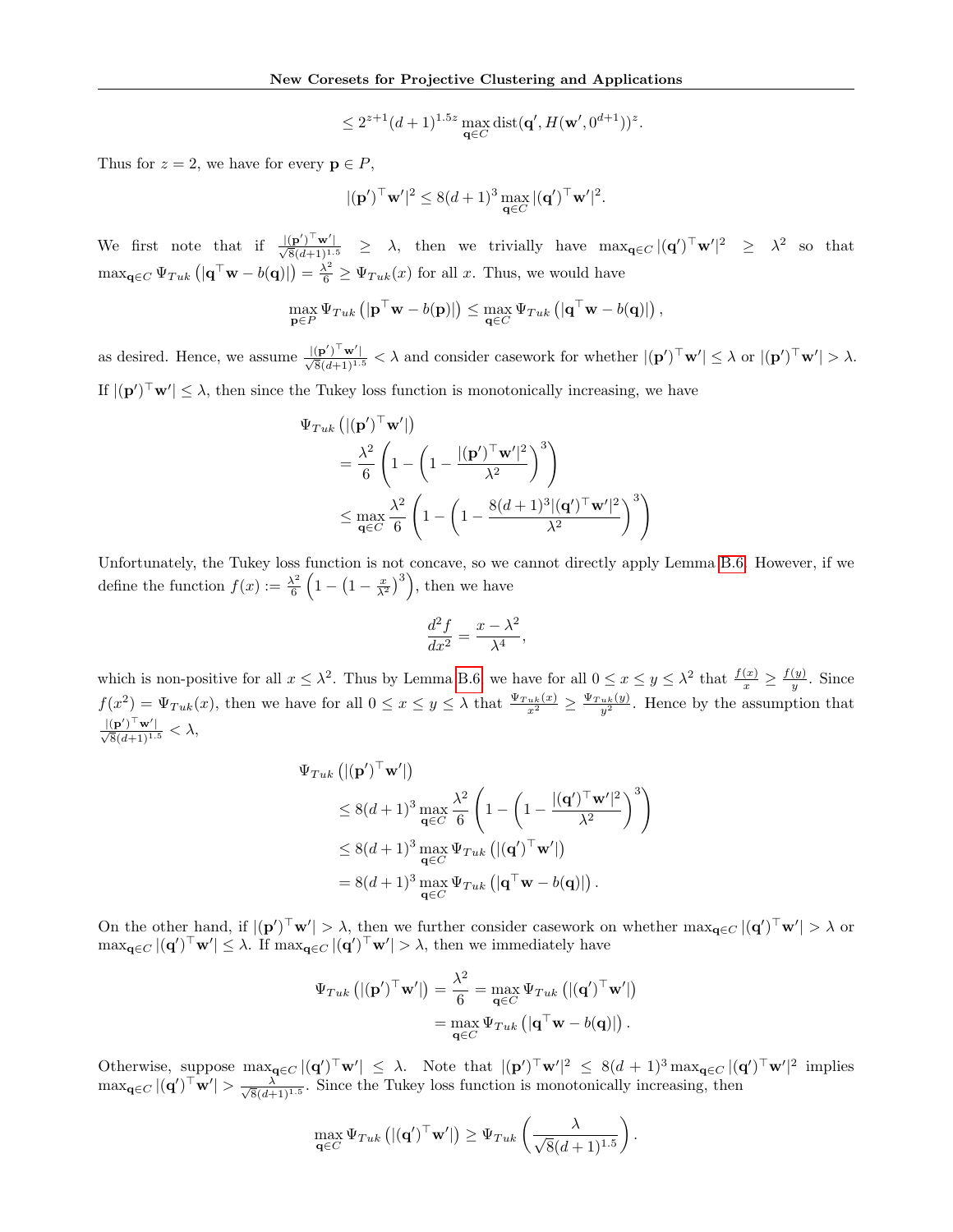$$
\leq 2^{z+1}(d+1)^{1.5z}\max_{\mathbf{q}\in C} \text{dist}(\mathbf{q}',H(\mathbf{w}',0^{d+1}))^z
$$

.

Thus for  $z = 2$ , we have for every  $p \in P$ ,

$$
|(\mathbf{p}')^\top \mathbf{w}'|^2 \le 8(d+1)^3 \max_{\mathbf{q} \in C} |(\mathbf{q}')^\top \mathbf{w}'|^2.
$$

We first note that if  $\frac{|(\mathbf{p}')^\top \mathbf{w}'|}{\sqrt{8}(d+1)^{1.5}}$   $\geq \lambda$ , then we trivially have  $\max_{\mathbf{q}\in C} |(\mathbf{q}')^\top \mathbf{w}'|^2 \geq \lambda^2$  so that  $\max_{\mathbf{q} \in C} \Psi_{Tuk} \left( |\mathbf{q}^\top \mathbf{w} - b(\mathbf{q})| \right) = \frac{\lambda^2}{6} \geq \Psi_{Tuk}(x)$  for all x. Thus, we would have

$$
\max_{\mathbf{p}\in P} \Psi_{Tuk} \left( |\mathbf{p}^\top \mathbf{w} - b(\mathbf{p})| \right) \leq \max_{\mathbf{q}\in C} \Psi_{Tuk} \left( |\mathbf{q}^\top \mathbf{w} - b(\mathbf{q})| \right),
$$

as desired. Hence, we assume  $\frac{|(\mathbf{p}')^\top \mathbf{w}'|}{\sqrt{8}(d+1)^{1.5}} < \lambda$  and consider casework for whether  $|(\mathbf{p}')^\top \mathbf{w}'| \leq \lambda$  or  $|(\mathbf{p}')^\top \mathbf{w}'| > \lambda$ . If  $|(\mathbf{p}')^\top \mathbf{w}'| \leq \lambda$ , then since the Tukey loss function is monotonically increasing, we have

$$
\Psi_{Tuk} (\vert (\mathbf{p}')^{\top} \mathbf{w}' \vert)
$$
\n
$$
= \frac{\lambda^2}{6} \left( 1 - \left( 1 - \frac{\vert (\mathbf{p}')^{\top} \mathbf{w}' \vert^2}{\lambda^2} \right)^3 \right)
$$
\n
$$
\leq \max_{\mathbf{q} \in C} \frac{\lambda^2}{6} \left( 1 - \left( 1 - \frac{8(d+1)^3 \vert (\mathbf{q}')^{\top} \mathbf{w}' \vert^2}{\lambda^2} \right)^3 \right)
$$

Unfortunately, the Tukey loss function is not concave, so we cannot directly apply Lemma [B.6.](#page-20-2) However, if we define the function  $f(x) := \frac{\lambda^2}{6}$  $\frac{\lambda^2}{6}\left(1-\left(1-\frac{x}{\lambda^2}\right)^3\right)$ , then we have

$$
\frac{d^2f}{dx^2} = \frac{x - \lambda^2}{\lambda^4},
$$

which is non-positive for all  $x \leq \lambda^2$ . Thus by Lemma [B.6,](#page-20-2) we have for all  $0 \leq x \leq y \leq \lambda^2$  that  $\frac{f(x)}{x} \geq \frac{f(y)}{y}$  $\frac{(y)}{y}$ . Since  $f(x^2) = \Psi_{Tuk}(x)$ , then we have for all  $0 \le x \le y \le \lambda$  that  $\frac{\Psi_{Tuk}(x)}{x^2} \ge \frac{\Psi_{Tuk}(y)}{y^2}$ . Hence by the assumption that  $\frac{|(\mathbf{p}')^\top \mathbf{w}'|}{\sqrt{8}(d+1)^{1.5}} < \lambda,$ 

$$
\Psi_{Tuk} \left( |(\mathbf{p}')^\top \mathbf{w}'| \right)
$$
\n
$$
\leq 8(d+1)^3 \max_{\mathbf{q} \in C} \frac{\lambda^2}{6} \left( 1 - \left( 1 - \frac{|(\mathbf{q}')^\top \mathbf{w}'|^2}{\lambda^2} \right)^3 \right)
$$
\n
$$
\leq 8(d+1)^3 \max_{\mathbf{q} \in C} \Psi_{Tuk} \left( |(\mathbf{q}')^\top \mathbf{w}'| \right)
$$
\n
$$
= 8(d+1)^3 \max_{\mathbf{q} \in C} \Psi_{Tuk} \left( |\mathbf{q}^\top \mathbf{w} - b(\mathbf{q})| \right).
$$

On the other hand, if  $|(\mathbf{p}')^\top \mathbf{w}'| > \lambda$ , then we further consider casework on whether  $\max_{\mathbf{q} \in C} |(\mathbf{q}')^\top \mathbf{w}'| > \lambda$  or  $\max_{\mathbf{q}\in C} |(\mathbf{q}')^\top \mathbf{w}'| \leq \lambda$ . If  $\max_{\mathbf{q}\in C} |(\mathbf{q}')^\top \mathbf{w}'| > \lambda$ , then we immediately have

$$
\Psi_{Tuk} \left( |(\mathbf{p}')^\top \mathbf{w}'| \right) = \frac{\lambda^2}{6} = \max_{\mathbf{q} \in C} \Psi_{Tuk} \left( |(\mathbf{q}')^\top \mathbf{w}'| \right)
$$

$$
= \max_{\mathbf{q} \in C} \Psi_{Tuk} \left( |\mathbf{q}^\top \mathbf{w} - b(\mathbf{q})| \right).
$$

Otherwise, suppose  $\max_{\mathbf{q}\in C} |(\mathbf{q}')^\top \mathbf{w}'| \leq \lambda$ . Note that  $|(\mathbf{p}')^\top \mathbf{w}'|^2 \leq 8(d+1)^3 \max_{\mathbf{q}\in C} |(\mathbf{q}')^\top \mathbf{w}'|^2$  implies  $\max_{\mathbf{q}\in C} |(\mathbf{q}')^\top\mathbf{w}'| > \frac{\lambda}{\sqrt{8}(d+1)}$  $\frac{\lambda}{\delta(d+1)^{1.5}}$ . Since the Tukey loss function is monotonically increasing, then

$$
\max_{\mathbf{q}\in C} \Psi_{Tuk} \left( |(\mathbf{q}')^\top \mathbf{w}'| \right) \geq \Psi_{Tuk} \left( \frac{\lambda}{\sqrt{8}(d+1)^{1.5}} \right).
$$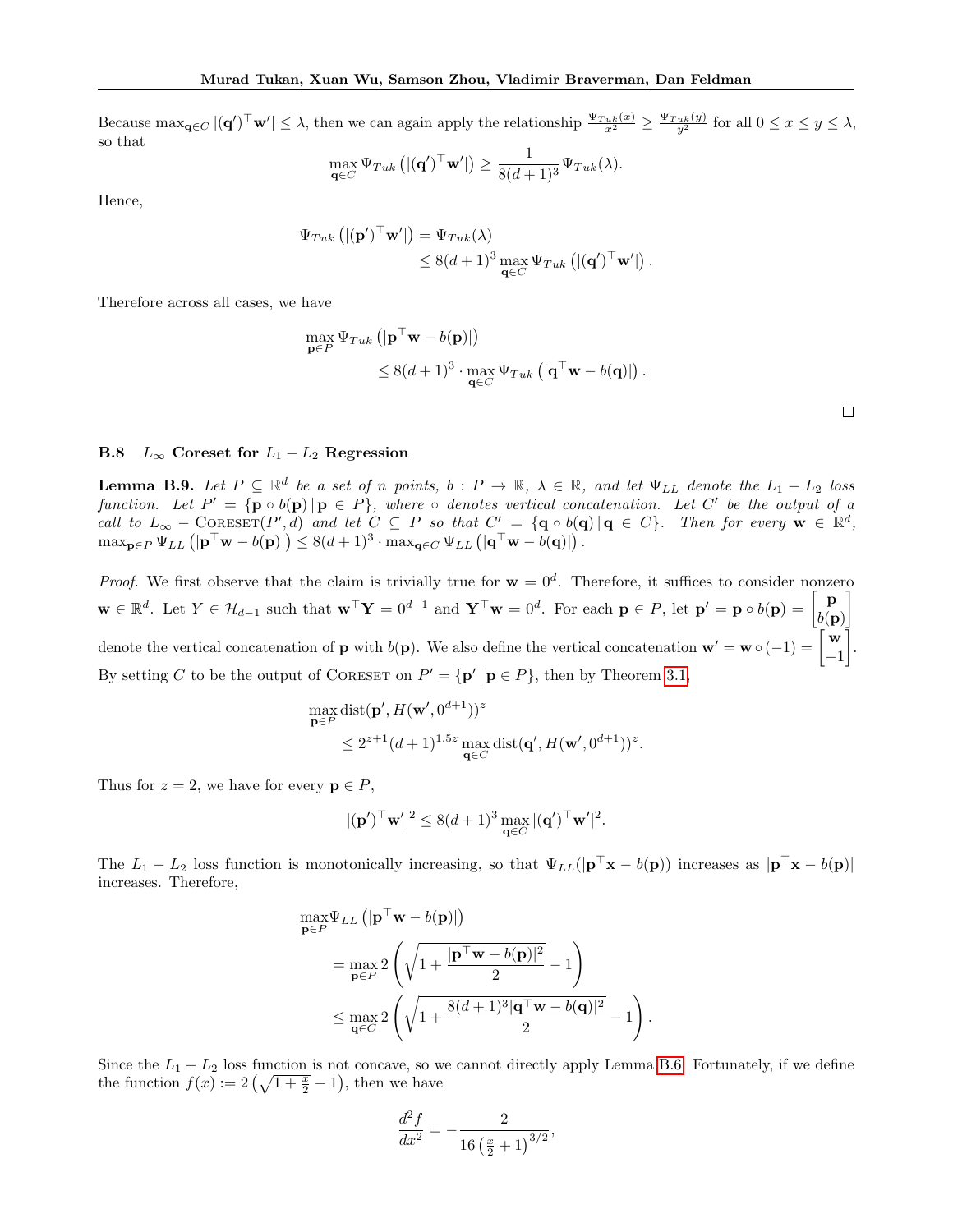Because  $\max_{\mathbf{q} \in C} |(\mathbf{q}')^\top \mathbf{w}'| \leq \lambda$ , then we can again apply the relationship  $\frac{\Psi_{Twk}(x)}{x^2} \geq \frac{\Psi_{Twk}(y)}{y^2}$  for all  $0 \leq x \leq y \leq \lambda$ , so that

$$
\max_{\mathbf{q}\in C} \Psi_{Tuk} \left( |(\mathbf{q}')^\top \mathbf{w}'| \right) \ge \frac{1}{8(d+1)^3} \Psi_{Tuk}(\lambda).
$$

Hence,

$$
\Psi_{Tuk} \left( |(\mathbf{p}')^\top \mathbf{w}'| \right) = \Psi_{Tuk}(\lambda) \leq 8(d+1)^3 \max_{\mathbf{q} \in C} \Psi_{Tuk} \left( |(\mathbf{q}')^\top \mathbf{w}'| \right).
$$

Therefore across all cases, we have

$$
\max_{\mathbf{p}\in P} \Psi_{Tuk} \left( |\mathbf{p}^{\top}\mathbf{w} - b(\mathbf{p})| \right) \n\leq 8(d+1)^3 \cdot \max_{\mathbf{q}\in C} \Psi_{Tuk} \left( |\mathbf{q}^{\top}\mathbf{w} - b(\mathbf{q})| \right).
$$

# B.8  $L_{\infty}$  Coreset for  $L_1 - L_2$  Regression

<span id="page-22-0"></span>**Lemma B.9.** Let  $P \subseteq \mathbb{R}^d$  be a set of n points,  $b : P \to \mathbb{R}$ ,  $\lambda \in \mathbb{R}$ , and let  $\Psi_{LL}$  denote the  $L_1 - L_2$  loss function. Let  $P' = {\mathbf{p} \circ b(\mathbf{p}) | \mathbf{p} \in P}$ , where  $\circ$  denotes vertical concatenation. Let C' be the output of a call to  $L_{\infty}$  – CORESET(P', d) and let  $C \subseteq P$  so that  $C' = {\mathbf{q} \circ b(\mathbf{q}) | \mathbf{q} \in C}$ . Then for every  $\mathbf{w} \in \mathbb{R}^d$ ,  $\max_{\mathbf{p}\in P} \Psi_{LL} (\mathbf{p}^{\top}\mathbf{w} - b(\mathbf{p})|) \leq 8(d+1)^3 \cdot \max_{\mathbf{q}\in C} \Psi_{LL} (\mathbf{q}^{\top}\mathbf{w} - b(\mathbf{q})|).$ 

*Proof.* We first observe that the claim is trivially true for  $w = 0<sup>d</sup>$ . Therefore, it suffices to consider nonzero  $\mathbf{w} \in \mathbb{R}^d$ . Let  $Y \in \mathcal{H}_{d-1}$  such that  $\mathbf{w}^\top \mathbf{Y} = 0^{d-1}$  and  $\mathbf{Y}^\top \mathbf{w} = 0^d$ . For each  $\mathbf{p} \in P$ , let  $\mathbf{p}' = \mathbf{p} \circ b(\mathbf{p}) = \begin{bmatrix} \mathbf{p} \\ b(\mathbf{p}) \end{bmatrix}$  $b(\mathbf{p})$ 1 denote the vertical concatenation of **p** with  $b(\mathbf{p})$ . We also define the vertical concatenation  $\mathbf{w}' = \mathbf{w} \circ (-1) = \begin{bmatrix} \mathbf{w} & 0 \\ -1 & 1 \end{bmatrix}$ −1 . By setting C to be the output of CORESET on  $P' = {\{ \mathbf{p}' \mid \mathbf{p} \in P \}}$ , then by Theorem [3.1,](#page-6-1)

$$
\max_{\mathbf{p}\in P} \text{dist}(\mathbf{p}', H(\mathbf{w}', 0^{d+1}))^z
$$
  

$$
\leq 2^{z+1} (d+1)^{1.5z} \max_{\mathbf{q}\in C} \text{dist}(\mathbf{q}', H(\mathbf{w}', 0^{d+1}))^z.
$$

Thus for  $z = 2$ , we have for every  $p \in P$ ,

$$
|(\mathbf{p}')^\top \mathbf{w}'|^2 \le 8(d+1)^3 \max_{\mathbf{q} \in C} |(\mathbf{q}')^\top \mathbf{w}'|^2.
$$

The  $L_1 - L_2$  loss function is monotonically increasing, so that  $\Psi_{LL}(|\mathbf{p}^T \mathbf{x} - b(\mathbf{p}))$  increases as  $|\mathbf{p}^T \mathbf{x} - b(\mathbf{p})|$ increases. Therefore,

$$
\max_{\mathbf{p}\in P} \Psi_{LL} \left( |\mathbf{p}^\top \mathbf{w} - b(\mathbf{p})| \right) \n= \max_{\mathbf{p}\in P} 2 \left( \sqrt{1 + \frac{|\mathbf{p}^\top \mathbf{w} - b(\mathbf{p})|^2}{2}} - 1 \right) \n\le \max_{\mathbf{q}\in C} 2 \left( \sqrt{1 + \frac{8(d+1)^3 |\mathbf{q}^\top \mathbf{w} - b(\mathbf{q})|^2}{2}} - 1 \right).
$$

Since the  $L_1 - L_2$  loss function is not concave, so we cannot directly apply Lemma [B.6.](#page-20-2) Fortunately, if we define the function  $f(x) := 2(\sqrt{1 + \frac{x}{2}} - 1)$ , then we have

$$
\frac{d^2f}{dx^2} = -\frac{2}{16\left(\frac{x}{2}+1\right)^{3/2}},
$$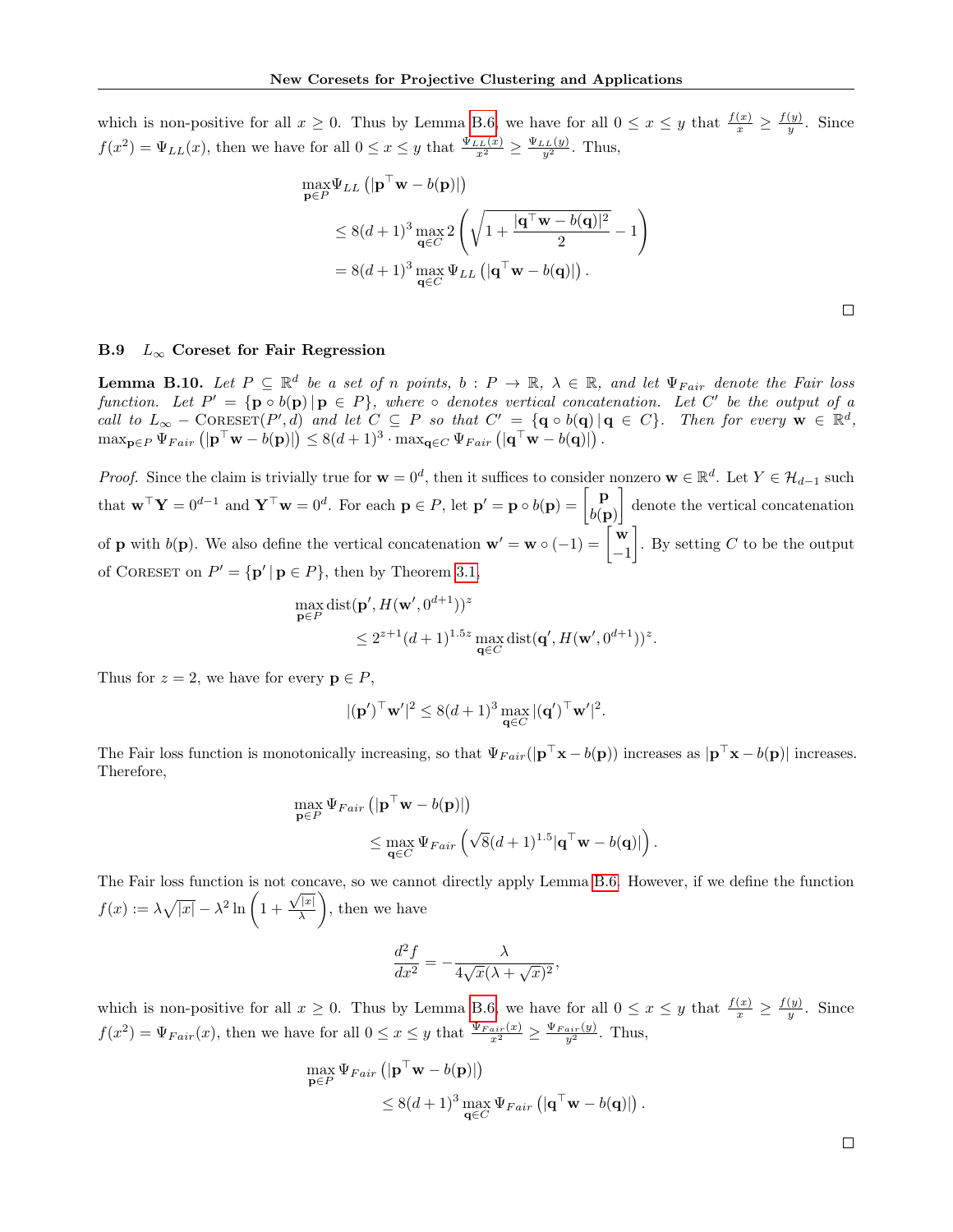which is non-positive for all  $x \geq 0$ . Thus by Lemma [B.6,](#page-20-2) we have for all  $0 \leq x \leq y$  that  $\frac{f(x)}{x} \geq \frac{f(y)}{y}$  $\frac{(y)}{y}$ . Since  $f(x^2) = \Psi_{LL}(x)$ , then we have for all  $0 \le x \le y$  that  $\frac{\Psi_{LL}(x)}{x^2} \ge \frac{\Psi_{LL}(y)}{y^2}$ . Thus,

$$
\max_{\mathbf{p}\in P} \Psi_{LL} \left( |\mathbf{p}^\top \mathbf{w} - b(\mathbf{p})| \right) \n\leq 8(d+1)^3 \max_{\mathbf{q}\in C} 2 \left( \sqrt{1 + \frac{|\mathbf{q}^\top \mathbf{w} - b(\mathbf{q})|^2}{2}} - 1 \right) \n= 8(d+1)^3 \max_{\mathbf{q}\in C} \Psi_{LL} \left( |\mathbf{q}^\top \mathbf{w} - b(\mathbf{q})| \right).
$$

## B.9  $L_{\infty}$  Coreset for Fair Regression

<span id="page-23-0"></span>**Lemma B.10.** Let  $P \subseteq \mathbb{R}^d$  be a set of n points,  $b : P \to \mathbb{R}$ ,  $\lambda \in \mathbb{R}$ , and let  $\Psi_{Fair}$  denote the Fair loss function. Let  $P' = {\mathbf{p} \circ b(\mathbf{p}) | \mathbf{p} \in P}$ , where  $\circ$  denotes vertical concatenation. Let C' be the output of a call to  $L_{\infty}$  – CORESET(P',d) and let  $C \subseteq P$  so that  $C' = {\mathbf{q} \circ b(\mathbf{q}) | \mathbf{q} \in C}$ . Then for every  $\mathbf{w} \in \mathbb{R}^d$ ,  $\max_{\mathbf{p}\in P}\Psi_{Fair}\left(|\mathbf{p}^{\top}\mathbf{w}-b(\mathbf{p})|\right)\leq 8(d+1)^3\cdot\max_{\mathbf{q}\in C}\Psi_{Fair}\left(|\mathbf{q}^{\top}\mathbf{w}-b(\mathbf{q})|\right).$ 

*Proof.* Since the claim is trivially true for  $\mathbf{w} = 0^d$ , then it suffices to consider nonzero  $\mathbf{w} \in \mathbb{R}^d$ . Let  $Y \in \mathcal{H}_{d-1}$  such that  $\mathbf{w}^\top \mathbf{Y} = 0^{d-1}$  and  $\mathbf{Y}^\top \mathbf{w} = 0^d$ . For each  $\mathbf{p} \in P$ , let  $\mathbf{p}' = \mathbf{p} \circ b(\mathbf{p}) = \begin{bmatrix} \mathbf{p} \\ b(\mathbf{p}') \end{bmatrix}$  $b(\mathbf{p})$  denote the vertical concatenation of **p** with  $b(\mathbf{p})$ . We also define the vertical concatenation  $\mathbf{w}' = \mathbf{w} \circ (-1) = \begin{bmatrix} \mathbf{w} \\ -1 \end{bmatrix}$ −1 . By setting  $C$  to be the output of CORESET on  $P' = {\mathbf{p'} | \mathbf{p} \in P}$ , then by Theorem [3.1,](#page-6-1)

$$
\max_{\mathbf{p}\in P} \text{dist}(\mathbf{p}', H(\mathbf{w}', 0^{d+1}))^z
$$
  
 
$$
\leq 2^{z+1} (d+1)^{1.5z} \max_{\mathbf{q}\in C} \text{dist}(\mathbf{q}', H(\mathbf{w}', 0^{d+1}))^z.
$$

Thus for  $z = 2$ , we have for every  $p \in P$ ,

$$
|(\mathbf{p}')^\top \mathbf{w}'|^2 \le 8(d+1)^3 \max_{\mathbf{q} \in C} |(\mathbf{q}')^\top \mathbf{w}'|^2.
$$

The Fair loss function is monotonically increasing, so that  $\Psi_{Fair}(|\mathbf{p}^{\top}\mathbf{x} - b(\mathbf{p}))$  increases as  $|\mathbf{p}^{\top}\mathbf{x} - b(\mathbf{p})|$  increases. Therefore,

$$
\max_{\mathbf{p}\in P} \Psi_{Fair} \left( \left| \mathbf{p}^{\top} \mathbf{w} - b(\mathbf{p}) \right| \right) \n\leq \max_{\mathbf{q}\in C} \Psi_{Fair} \left( \sqrt{8}(d+1)^{1.5} |\mathbf{q}^{\top} \mathbf{w} - b(\mathbf{q})| \right).
$$

The Fair loss function is not concave, so we cannot directly apply Lemma [B.6.](#page-20-2) However, if we define the function  $f(x) := \lambda \sqrt{|x|} - \lambda^2 \ln \left( 1 + \right)$  $\sqrt{|x|}$ λ , then we have

$$
\frac{d^2f}{dx^2} = -\frac{\lambda}{4\sqrt{x}(\lambda + \sqrt{x})^2},
$$

which is non-positive for all  $x \geq 0$ . Thus by Lemma [B.6,](#page-20-2) we have for all  $0 \leq x \leq y$  that  $\frac{f(x)}{x} \geq \frac{f(y)}{y}$  $\frac{(y)}{y}$ . Since  $f(x^2) = \Psi_{Fair}(x)$ , then we have for all  $0 \le x \le y$  that  $\frac{\Psi_{Fair}(x)}{x^2} \ge \frac{\Psi_{Fair}(y)}{y^2}$ . Thus,

$$
\max_{\mathbf{p}\in P} \Psi_{Fair} \left( |\mathbf{p}^\top \mathbf{w} - b(\mathbf{p})| \right) \n\leq 8(d+1)^3 \max_{\mathbf{q}\in C} \Psi_{Fair} \left( |\mathbf{q}^\top \mathbf{w} - b(\mathbf{q})| \right).
$$

 $\Box$ 

 $\Box$